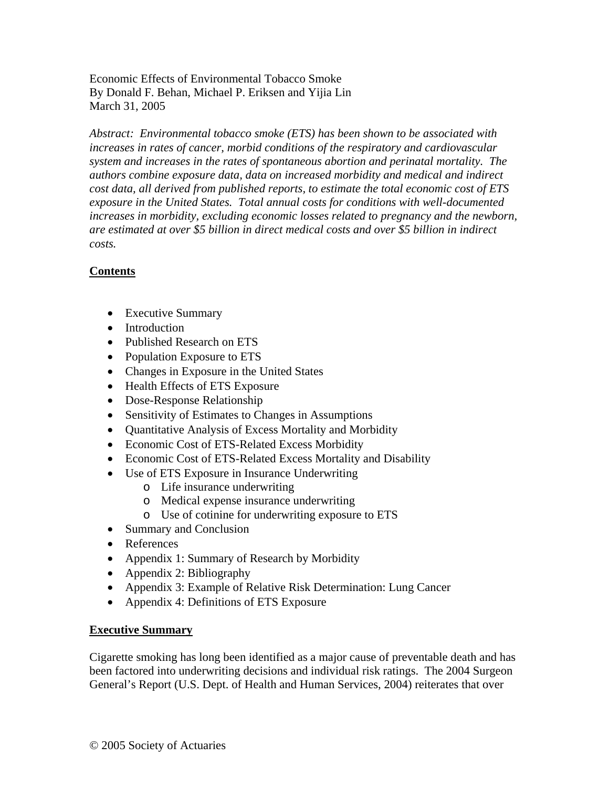Economic Effects of Environmental Tobacco Smoke By Donald F. Behan, Michael P. Eriksen and Yijia Lin March 31, 2005

*Abstract: Environmental tobacco smoke (ETS) has been shown to be associated with increases in rates of cancer, morbid conditions of the respiratory and cardiovascular system and increases in the rates of spontaneous abortion and perinatal mortality. The authors combine exposure data, data on increased morbidity and medical and indirect cost data, all derived from published reports, to estimate the total economic cost of ETS exposure in the United States. Total annual costs for conditions with well-documented increases in morbidity, excluding economic losses related to pregnancy and the newborn, are estimated at over \$5 billion in direct medical costs and over \$5 billion in indirect costs.* 

# **Contents**

- Executive Summary
- Introduction
- Published Research on ETS
- Population Exposure to ETS
- Changes in Exposure in the United States
- Health Effects of ETS Exposure
- Dose-Response Relationship
- Sensitivity of Estimates to Changes in Assumptions
- Quantitative Analysis of Excess Mortality and Morbidity
- Economic Cost of ETS-Related Excess Morbidity
- Economic Cost of ETS-Related Excess Mortality and Disability
- Use of ETS Exposure in Insurance Underwriting
	- o Life insurance underwriting
	- o Medical expense insurance underwriting
	- o Use of cotinine for underwriting exposure to ETS
- Summary and Conclusion
- References
- Appendix 1: Summary of Research by Morbidity
- Appendix 2: Bibliography
- Appendix 3: Example of Relative Risk Determination: Lung Cancer
- Appendix 4: Definitions of ETS Exposure

# **Executive Summary**

Cigarette smoking has long been identified as a major cause of preventable death and has been factored into underwriting decisions and individual risk ratings. The 2004 Surgeon General's Report (U.S. Dept. of Health and Human Services, 2004) reiterates that over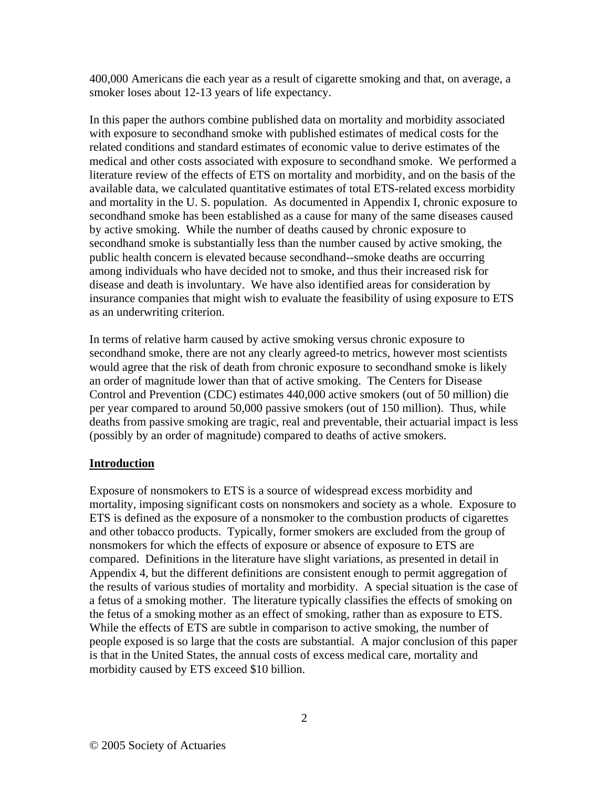400,000 Americans die each year as a result of cigarette smoking and that, on average, a smoker loses about 12-13 years of life expectancy.

In this paper the authors combine published data on mortality and morbidity associated with exposure to secondhand smoke with published estimates of medical costs for the related conditions and standard estimates of economic value to derive estimates of the medical and other costs associated with exposure to secondhand smoke. We performed a literature review of the effects of ETS on mortality and morbidity, and on the basis of the available data, we calculated quantitative estimates of total ETS-related excess morbidity and mortality in the U. S. population. As documented in Appendix I, chronic exposure to secondhand smoke has been established as a cause for many of the same diseases caused by active smoking. While the number of deaths caused by chronic exposure to secondhand smoke is substantially less than the number caused by active smoking, the public health concern is elevated because secondhand--smoke deaths are occurring among individuals who have decided not to smoke, and thus their increased risk for disease and death is involuntary. We have also identified areas for consideration by insurance companies that might wish to evaluate the feasibility of using exposure to ETS as an underwriting criterion.

In terms of relative harm caused by active smoking versus chronic exposure to secondhand smoke, there are not any clearly agreed-to metrics, however most scientists would agree that the risk of death from chronic exposure to secondhand smoke is likely an order of magnitude lower than that of active smoking. The Centers for Disease Control and Prevention (CDC) estimates 440,000 active smokers (out of 50 million) die per year compared to around 50,000 passive smokers (out of 150 million). Thus, while deaths from passive smoking are tragic, real and preventable, their actuarial impact is less (possibly by an order of magnitude) compared to deaths of active smokers.

# **Introduction**

Exposure of nonsmokers to ETS is a source of widespread excess morbidity and mortality, imposing significant costs on nonsmokers and society as a whole. Exposure to ETS is defined as the exposure of a nonsmoker to the combustion products of cigarettes and other tobacco products. Typically, former smokers are excluded from the group of nonsmokers for which the effects of exposure or absence of exposure to ETS are compared. Definitions in the literature have slight variations, as presented in detail in Appendix 4, but the different definitions are consistent enough to permit aggregation of the results of various studies of mortality and morbidity. A special situation is the case of a fetus of a smoking mother. The literature typically classifies the effects of smoking on the fetus of a smoking mother as an effect of smoking, rather than as exposure to ETS. While the effects of ETS are subtle in comparison to active smoking, the number of people exposed is so large that the costs are substantial. A major conclusion of this paper is that in the United States, the annual costs of excess medical care, mortality and morbidity caused by ETS exceed \$10 billion.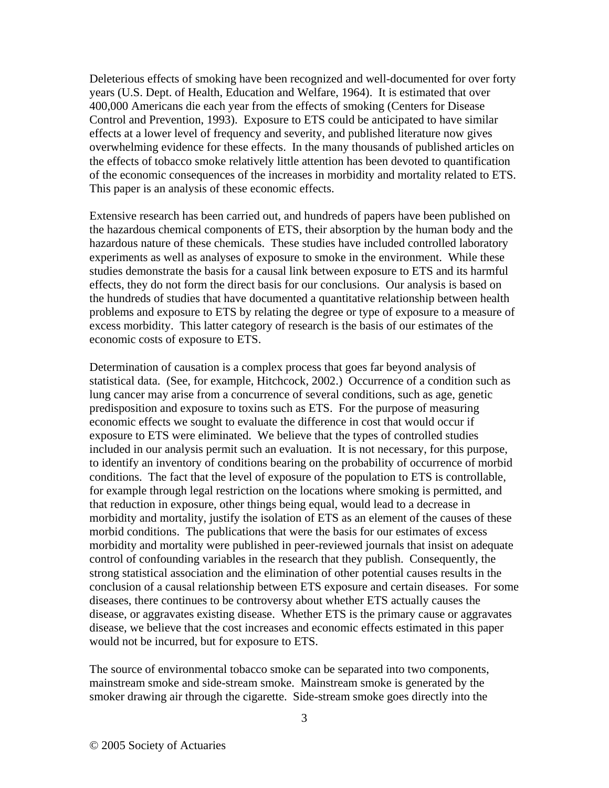Deleterious effects of smoking have been recognized and well-documented for over forty years (U.S. Dept. of Health, Education and Welfare, 1964). It is estimated that over 400,000 Americans die each year from the effects of smoking (Centers for Disease Control and Prevention, 1993). Exposure to ETS could be anticipated to have similar effects at a lower level of frequency and severity, and published literature now gives overwhelming evidence for these effects. In the many thousands of published articles on the effects of tobacco smoke relatively little attention has been devoted to quantification of the economic consequences of the increases in morbidity and mortality related to ETS. This paper is an analysis of these economic effects.

Extensive research has been carried out, and hundreds of papers have been published on the hazardous chemical components of ETS, their absorption by the human body and the hazardous nature of these chemicals. These studies have included controlled laboratory experiments as well as analyses of exposure to smoke in the environment. While these studies demonstrate the basis for a causal link between exposure to ETS and its harmful effects, they do not form the direct basis for our conclusions. Our analysis is based on the hundreds of studies that have documented a quantitative relationship between health problems and exposure to ETS by relating the degree or type of exposure to a measure of excess morbidity. This latter category of research is the basis of our estimates of the economic costs of exposure to ETS.

Determination of causation is a complex process that goes far beyond analysis of statistical data. (See, for example, Hitchcock, 2002.) Occurrence of a condition such as lung cancer may arise from a concurrence of several conditions, such as age, genetic predisposition and exposure to toxins such as ETS. For the purpose of measuring economic effects we sought to evaluate the difference in cost that would occur if exposure to ETS were eliminated. We believe that the types of controlled studies included in our analysis permit such an evaluation. It is not necessary, for this purpose, to identify an inventory of conditions bearing on the probability of occurrence of morbid conditions. The fact that the level of exposure of the population to ETS is controllable, for example through legal restriction on the locations where smoking is permitted, and that reduction in exposure, other things being equal, would lead to a decrease in morbidity and mortality, justify the isolation of ETS as an element of the causes of these morbid conditions. The publications that were the basis for our estimates of excess morbidity and mortality were published in peer-reviewed journals that insist on adequate control of confounding variables in the research that they publish. Consequently, the strong statistical association and the elimination of other potential causes results in the conclusion of a causal relationship between ETS exposure and certain diseases. For some diseases, there continues to be controversy about whether ETS actually causes the disease, or aggravates existing disease. Whether ETS is the primary cause or aggravates disease, we believe that the cost increases and economic effects estimated in this paper would not be incurred, but for exposure to ETS.

The source of environmental tobacco smoke can be separated into two components, mainstream smoke and side-stream smoke. Mainstream smoke is generated by the smoker drawing air through the cigarette. Side-stream smoke goes directly into the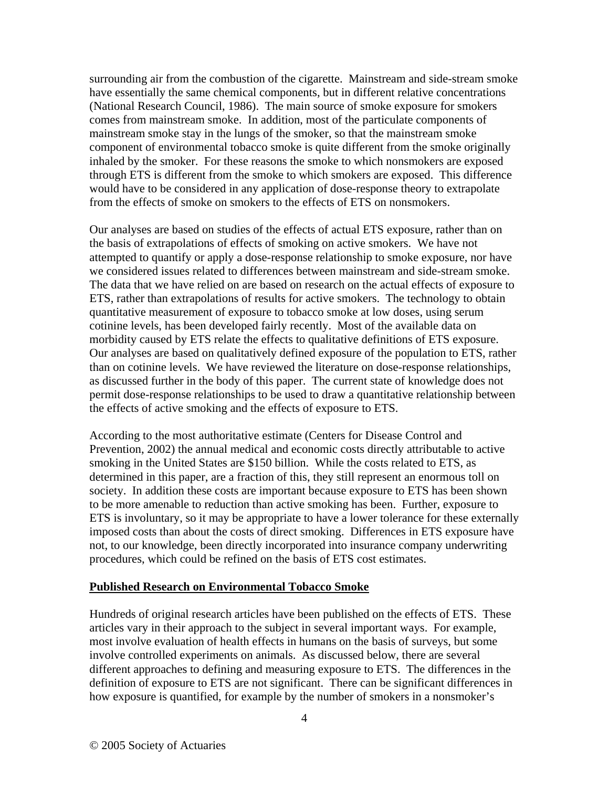surrounding air from the combustion of the cigarette. Mainstream and side-stream smoke have essentially the same chemical components, but in different relative concentrations (National Research Council, 1986). The main source of smoke exposure for smokers comes from mainstream smoke. In addition, most of the particulate components of mainstream smoke stay in the lungs of the smoker, so that the mainstream smoke component of environmental tobacco smoke is quite different from the smoke originally inhaled by the smoker. For these reasons the smoke to which nonsmokers are exposed through ETS is different from the smoke to which smokers are exposed. This difference would have to be considered in any application of dose-response theory to extrapolate from the effects of smoke on smokers to the effects of ETS on nonsmokers.

Our analyses are based on studies of the effects of actual ETS exposure, rather than on the basis of extrapolations of effects of smoking on active smokers. We have not attempted to quantify or apply a dose-response relationship to smoke exposure, nor have we considered issues related to differences between mainstream and side-stream smoke. The data that we have relied on are based on research on the actual effects of exposure to ETS, rather than extrapolations of results for active smokers. The technology to obtain quantitative measurement of exposure to tobacco smoke at low doses, using serum cotinine levels, has been developed fairly recently. Most of the available data on morbidity caused by ETS relate the effects to qualitative definitions of ETS exposure. Our analyses are based on qualitatively defined exposure of the population to ETS, rather than on cotinine levels. We have reviewed the literature on dose-response relationships, as discussed further in the body of this paper. The current state of knowledge does not permit dose-response relationships to be used to draw a quantitative relationship between the effects of active smoking and the effects of exposure to ETS.

According to the most authoritative estimate (Centers for Disease Control and Prevention, 2002) the annual medical and economic costs directly attributable to active smoking in the United States are \$150 billion. While the costs related to ETS, as determined in this paper, are a fraction of this, they still represent an enormous toll on society. In addition these costs are important because exposure to ETS has been shown to be more amenable to reduction than active smoking has been. Further, exposure to ETS is involuntary, so it may be appropriate to have a lower tolerance for these externally imposed costs than about the costs of direct smoking. Differences in ETS exposure have not, to our knowledge, been directly incorporated into insurance company underwriting procedures, which could be refined on the basis of ETS cost estimates.

#### **Published Research on Environmental Tobacco Smoke**

Hundreds of original research articles have been published on the effects of ETS. These articles vary in their approach to the subject in several important ways. For example, most involve evaluation of health effects in humans on the basis of surveys, but some involve controlled experiments on animals. As discussed below, there are several different approaches to defining and measuring exposure to ETS. The differences in the definition of exposure to ETS are not significant. There can be significant differences in how exposure is quantified, for example by the number of smokers in a nonsmoker's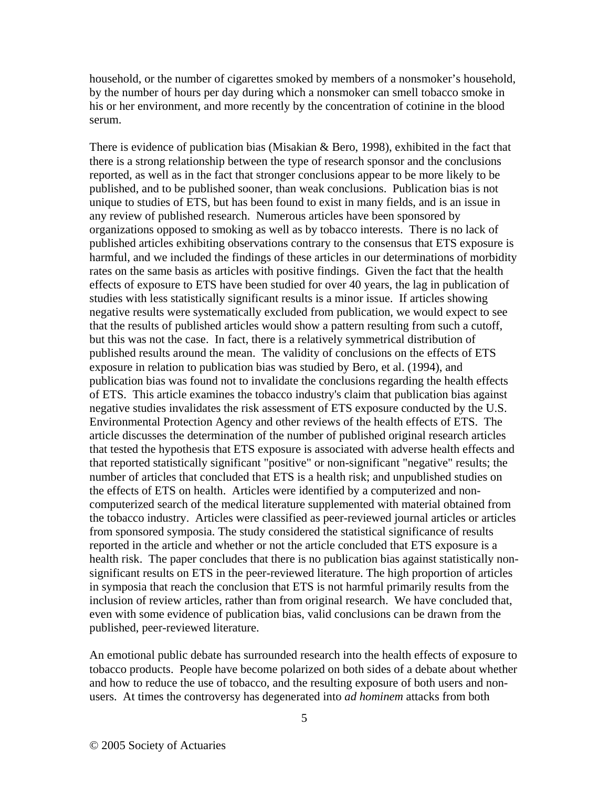household, or the number of cigarettes smoked by members of a nonsmoker's household, by the number of hours per day during which a nonsmoker can smell tobacco smoke in his or her environment, and more recently by the concentration of cotinine in the blood serum.

There is evidence of publication bias (Misakian & Bero, 1998), exhibited in the fact that there is a strong relationship between the type of research sponsor and the conclusions reported, as well as in the fact that stronger conclusions appear to be more likely to be published, and to be published sooner, than weak conclusions. Publication bias is not unique to studies of ETS, but has been found to exist in many fields, and is an issue in any review of published research. Numerous articles have been sponsored by organizations opposed to smoking as well as by tobacco interests. There is no lack of published articles exhibiting observations contrary to the consensus that ETS exposure is harmful, and we included the findings of these articles in our determinations of morbidity rates on the same basis as articles with positive findings. Given the fact that the health effects of exposure to ETS have been studied for over 40 years, the lag in publication of studies with less statistically significant results is a minor issue. If articles showing negative results were systematically excluded from publication, we would expect to see that the results of published articles would show a pattern resulting from such a cutoff, but this was not the case. In fact, there is a relatively symmetrical distribution of published results around the mean. The validity of conclusions on the effects of ETS exposure in relation to publication bias was studied by Bero, et al. (1994), and publication bias was found not to invalidate the conclusions regarding the health effects of ETS. This article examines the tobacco industry's claim that publication bias against negative studies invalidates the risk assessment of ETS exposure conducted by the U.S. Environmental Protection Agency and other reviews of the health effects of ETS. The article discusses the determination of the number of published original research articles that tested the hypothesis that ETS exposure is associated with adverse health effects and that reported statistically significant "positive" or non-significant "negative" results; the number of articles that concluded that ETS is a health risk; and unpublished studies on the effects of ETS on health. Articles were identified by a computerized and noncomputerized search of the medical literature supplemented with material obtained from the tobacco industry. Articles were classified as peer-reviewed journal articles or articles from sponsored symposia. The study considered the statistical significance of results reported in the article and whether or not the article concluded that ETS exposure is a health risk. The paper concludes that there is no publication bias against statistically nonsignificant results on ETS in the peer-reviewed literature. The high proportion of articles in symposia that reach the conclusion that ETS is not harmful primarily results from the inclusion of review articles, rather than from original research. We have concluded that, even with some evidence of publication bias, valid conclusions can be drawn from the published, peer-reviewed literature.

An emotional public debate has surrounded research into the health effects of exposure to tobacco products. People have become polarized on both sides of a debate about whether and how to reduce the use of tobacco, and the resulting exposure of both users and nonusers. At times the controversy has degenerated into *ad hominem* attacks from both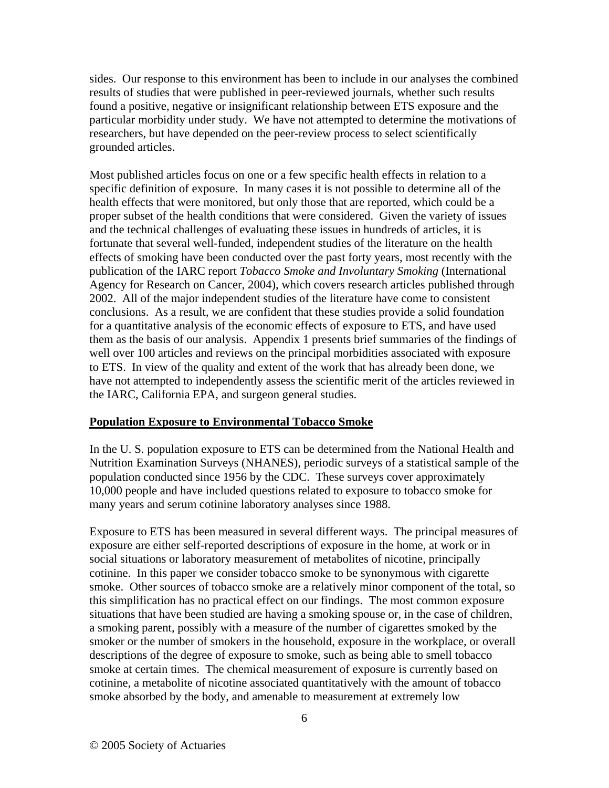sides. Our response to this environment has been to include in our analyses the combined results of studies that were published in peer-reviewed journals, whether such results found a positive, negative or insignificant relationship between ETS exposure and the particular morbidity under study. We have not attempted to determine the motivations of researchers, but have depended on the peer-review process to select scientifically grounded articles.

Most published articles focus on one or a few specific health effects in relation to a specific definition of exposure. In many cases it is not possible to determine all of the health effects that were monitored, but only those that are reported, which could be a proper subset of the health conditions that were considered. Given the variety of issues and the technical challenges of evaluating these issues in hundreds of articles, it is fortunate that several well-funded, independent studies of the literature on the health effects of smoking have been conducted over the past forty years, most recently with the publication of the IARC report *Tobacco Smoke and Involuntary Smoking* (International Agency for Research on Cancer, 2004), which covers research articles published through 2002. All of the major independent studies of the literature have come to consistent conclusions. As a result, we are confident that these studies provide a solid foundation for a quantitative analysis of the economic effects of exposure to ETS, and have used them as the basis of our analysis. Appendix 1 presents brief summaries of the findings of well over 100 articles and reviews on the principal morbidities associated with exposure to ETS. In view of the quality and extent of the work that has already been done, we have not attempted to independently assess the scientific merit of the articles reviewed in the IARC, California EPA, and surgeon general studies.

#### **Population Exposure to Environmental Tobacco Smoke**

In the U. S. population exposure to ETS can be determined from the National Health and Nutrition Examination Surveys (NHANES), periodic surveys of a statistical sample of the population conducted since 1956 by the CDC. These surveys cover approximately 10,000 people and have included questions related to exposure to tobacco smoke for many years and serum cotinine laboratory analyses since 1988.

Exposure to ETS has been measured in several different ways. The principal measures of exposure are either self-reported descriptions of exposure in the home, at work or in social situations or laboratory measurement of metabolites of nicotine, principally cotinine. In this paper we consider tobacco smoke to be synonymous with cigarette smoke. Other sources of tobacco smoke are a relatively minor component of the total, so this simplification has no practical effect on our findings. The most common exposure situations that have been studied are having a smoking spouse or, in the case of children, a smoking parent, possibly with a measure of the number of cigarettes smoked by the smoker or the number of smokers in the household, exposure in the workplace, or overall descriptions of the degree of exposure to smoke, such as being able to smell tobacco smoke at certain times. The chemical measurement of exposure is currently based on cotinine, a metabolite of nicotine associated quantitatively with the amount of tobacco smoke absorbed by the body, and amenable to measurement at extremely low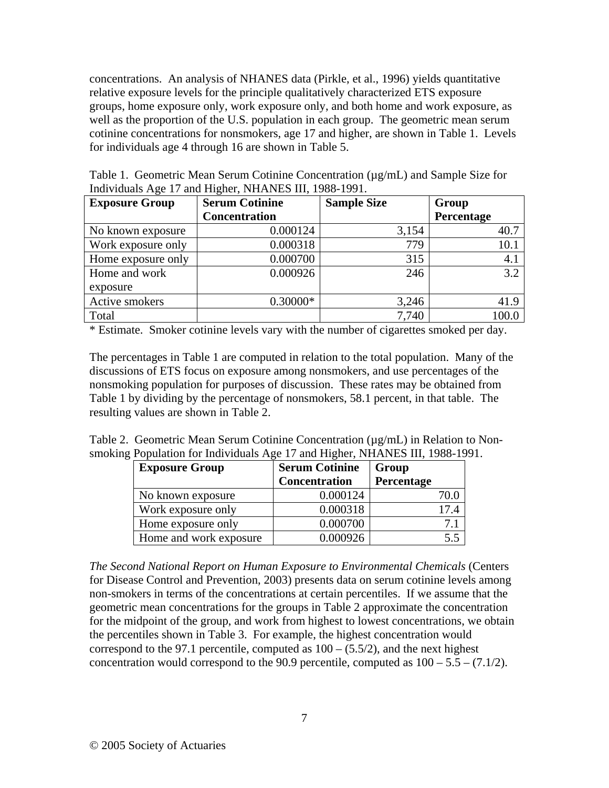concentrations. An analysis of NHANES data (Pirkle, et al., 1996) yields quantitative relative exposure levels for the principle qualitatively characterized ETS exposure groups, home exposure only, work exposure only, and both home and work exposure, as well as the proportion of the U.S. population in each group. The geometric mean serum cotinine concentrations for nonsmokers, age 17 and higher, are shown in Table 1. Levels for individuals age 4 through 16 are shown in Table 5.

| Table 1. Geometric Mean Serum Cotinine Concentration $(\mu g/mL)$ and Sample Size for |                      |  |                   |  |
|---------------------------------------------------------------------------------------|----------------------|--|-------------------|--|
| Individuals Age 17 and Higher, NHANES III, 1988-1991.                                 |                      |  |                   |  |
| <b>Sample Size</b><br><b>Group</b><br><b>Exposure Group</b><br><b>Serum Cotinine</b>  |                      |  |                   |  |
|                                                                                       | <b>Concentration</b> |  | <b>Percentage</b> |  |

ヿ

|                    | <b>Concentration</b> |       | <b>Percentage</b> |
|--------------------|----------------------|-------|-------------------|
| No known exposure  | 0.000124             | 3,154 | 40.7              |
| Work exposure only | 0.000318             | 779   | 10.1              |
| Home exposure only | 0.000700             | 315   | 4.1               |
| Home and work      | 0.000926             | 246   | 3.2               |
| exposure           |                      |       |                   |
| Active smokers     | $0.30000*$           | 3,246 | 41.9              |
| Total              |                      | 7,740 |                   |

\* Estimate. Smoker cotinine levels vary with the number of cigarettes smoked per day.

The percentages in Table 1 are computed in relation to the total population. Many of the discussions of ETS focus on exposure among nonsmokers, and use percentages of the nonsmoking population for purposes of discussion. These rates may be obtained from Table 1 by dividing by the percentage of nonsmokers, 58.1 percent, in that table. The resulting values are shown in Table 2.

|  |                                                                              |  | Table 2. Geometric Mean Serum Cotinine Concentration ( $\mu$ g/mL) in Relation to Non- |
|--|------------------------------------------------------------------------------|--|----------------------------------------------------------------------------------------|
|  | smoking Population for Individuals Age 17 and Higher, NHANES III, 1988-1991. |  |                                                                                        |

| <b>Exposure Group</b>  | <b>Serum Cotinine</b> | Group      |
|------------------------|-----------------------|------------|
|                        | <b>Concentration</b>  | Percentage |
| No known exposure      | 0.000124              | 70.0       |
| Work exposure only     | 0.000318              | 17.4       |
| Home exposure only     | 0.000700              |            |
| Home and work exposure | 0.000926              |            |

*The Second National Report on Human Exposure to Environmental Chemicals* (Centers for Disease Control and Prevention, 2003) presents data on serum cotinine levels among non-smokers in terms of the concentrations at certain percentiles. If we assume that the geometric mean concentrations for the groups in Table 2 approximate the concentration for the midpoint of the group, and work from highest to lowest concentrations, we obtain the percentiles shown in Table 3. For example, the highest concentration would correspond to the 97.1 percentile, computed as  $100 - (5.5/2)$ , and the next highest concentration would correspond to the 90.9 percentile, computed as  $100 - 5.5 - (7.1/2)$ .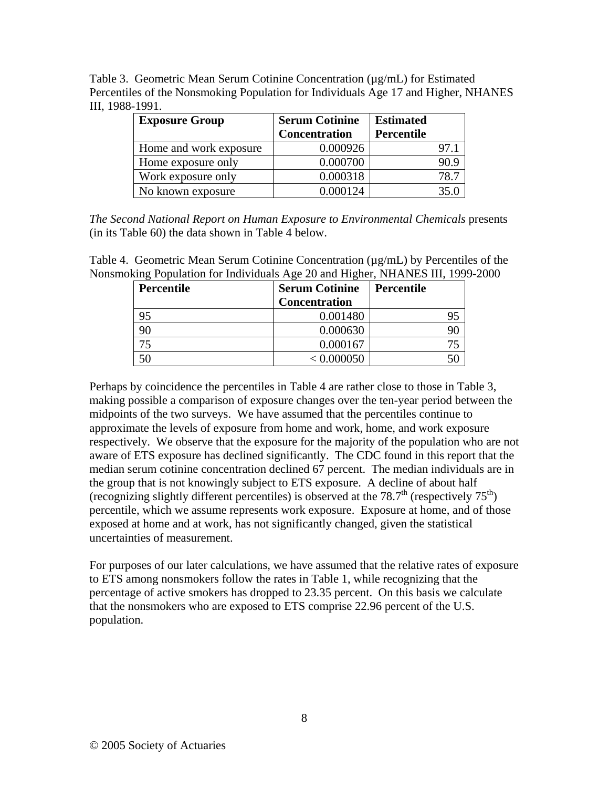Table 3. Geometric Mean Serum Cotinine Concentration  $(\mu g/mL)$  for Estimated Percentiles of the Nonsmoking Population for Individuals Age 17 and Higher, NHANES III, 1988-1991.

| <b>Exposure Group</b>  | <b>Serum Cotinine</b> | <b>Estimated</b> |      |
|------------------------|-----------------------|------------------|------|
|                        | Concentration         | Percentile       |      |
| Home and work exposure | 0.000926              |                  |      |
| Home exposure only     | 0.000700              |                  | 90.9 |
| Work exposure only     | 0.000318              |                  | 78.7 |
| No known exposure      | 0.000124              |                  | 35 C |

*The Second National Report on Human Exposure to Environmental Chemicals* presents (in its Table 60) the data shown in Table 4 below.

Table 4. Geometric Mean Serum Cotinine Concentration (µg/mL) by Percentiles of the Nonsmoking Population for Individuals Age 20 and Higher, NHANES III, 1999-2000

| Percentile | <b>Serum Cotinine</b> | Percentile |
|------------|-----------------------|------------|
|            | <b>Concentration</b>  |            |
| 95         | 0.001480              |            |
|            | 0.000630              |            |
|            | 0.000167              |            |
| 5٢         | < 0.000050            |            |

Perhaps by coincidence the percentiles in Table 4 are rather close to those in Table 3, making possible a comparison of exposure changes over the ten-year period between the midpoints of the two surveys. We have assumed that the percentiles continue to approximate the levels of exposure from home and work, home, and work exposure respectively. We observe that the exposure for the majority of the population who are not aware of ETS exposure has declined significantly. The CDC found in this report that the median serum cotinine concentration declined 67 percent. The median individuals are in the group that is not knowingly subject to ETS exposure. A decline of about half (recognizing slightly different percentiles) is observed at the  $78.7<sup>th</sup>$  (respectively  $75<sup>th</sup>$ ) percentile, which we assume represents work exposure. Exposure at home, and of those exposed at home and at work, has not significantly changed, given the statistical uncertainties of measurement.

For purposes of our later calculations, we have assumed that the relative rates of exposure to ETS among nonsmokers follow the rates in Table 1, while recognizing that the percentage of active smokers has dropped to 23.35 percent. On this basis we calculate that the nonsmokers who are exposed to ETS comprise 22.96 percent of the U.S. population.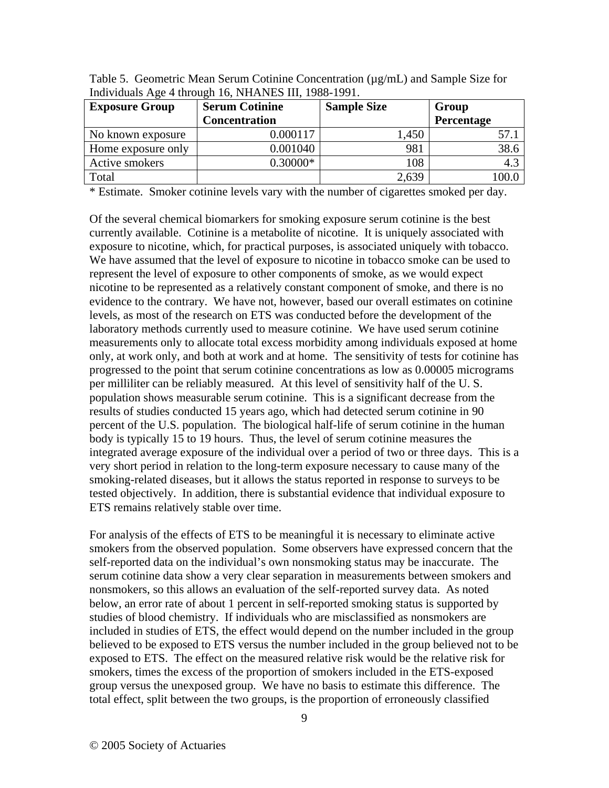| <b>Serum Cotinine</b><br><b>Exposure Group</b> |                      | <b>Sample Size</b> | Group      |
|------------------------------------------------|----------------------|--------------------|------------|
|                                                | <b>Concentration</b> |                    | Percentage |
| No known exposure                              | 0.000117             | 1,450              |            |
| Home exposure only                             | 0.001040             | 981                | 38.6       |
| Active smokers                                 | $0.30000*$           | 108                | 4.3        |
| Total                                          |                      | 2,639              |            |

Table 5. Geometric Mean Serum Cotinine Concentration ( $\mu$ g/mL) and Sample Size for Individuals Age 4 through 16, NHANES III, 1988-1991.

\* Estimate. Smoker cotinine levels vary with the number of cigarettes smoked per day.

Of the several chemical biomarkers for smoking exposure serum cotinine is the best currently available. Cotinine is a metabolite of nicotine. It is uniquely associated with exposure to nicotine, which, for practical purposes, is associated uniquely with tobacco. We have assumed that the level of exposure to nicotine in tobacco smoke can be used to represent the level of exposure to other components of smoke, as we would expect nicotine to be represented as a relatively constant component of smoke, and there is no evidence to the contrary. We have not, however, based our overall estimates on cotinine levels, as most of the research on ETS was conducted before the development of the laboratory methods currently used to measure cotinine. We have used serum cotinine measurements only to allocate total excess morbidity among individuals exposed at home only, at work only, and both at work and at home. The sensitivity of tests for cotinine has progressed to the point that serum cotinine concentrations as low as 0.00005 micrograms per milliliter can be reliably measured. At this level of sensitivity half of the U. S. population shows measurable serum cotinine. This is a significant decrease from the results of studies conducted 15 years ago, which had detected serum cotinine in 90 percent of the U.S. population. The biological half-life of serum cotinine in the human body is typically 15 to 19 hours. Thus, the level of serum cotinine measures the integrated average exposure of the individual over a period of two or three days. This is a very short period in relation to the long-term exposure necessary to cause many of the smoking-related diseases, but it allows the status reported in response to surveys to be tested objectively. In addition, there is substantial evidence that individual exposure to ETS remains relatively stable over time.

For analysis of the effects of ETS to be meaningful it is necessary to eliminate active smokers from the observed population. Some observers have expressed concern that the self-reported data on the individual's own nonsmoking status may be inaccurate. The serum cotinine data show a very clear separation in measurements between smokers and nonsmokers, so this allows an evaluation of the self-reported survey data. As noted below, an error rate of about 1 percent in self-reported smoking status is supported by studies of blood chemistry. If individuals who are misclassified as nonsmokers are included in studies of ETS, the effect would depend on the number included in the group believed to be exposed to ETS versus the number included in the group believed not to be exposed to ETS. The effect on the measured relative risk would be the relative risk for smokers, times the excess of the proportion of smokers included in the ETS-exposed group versus the unexposed group. We have no basis to estimate this difference. The total effect, split between the two groups, is the proportion of erroneously classified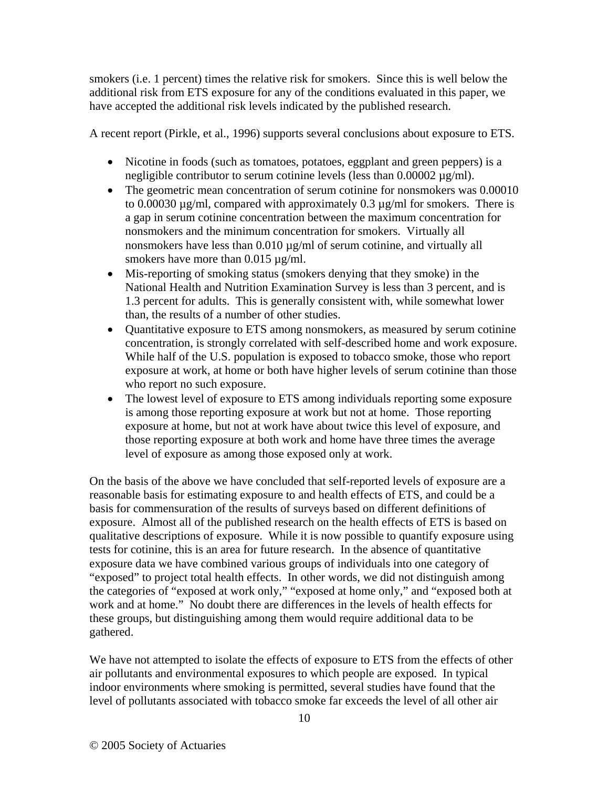smokers (i.e. 1 percent) times the relative risk for smokers. Since this is well below the additional risk from ETS exposure for any of the conditions evaluated in this paper, we have accepted the additional risk levels indicated by the published research.

A recent report (Pirkle, et al., 1996) supports several conclusions about exposure to ETS.

- Nicotine in foods (such as tomatoes, potatoes, eggplant and green peppers) is a negligible contributor to serum cotinine levels (less than 0.00002 µg/ml).
- The geometric mean concentration of serum cotinine for nonsmokers was 0.00010 to 0.00030 µg/ml, compared with approximately 0.3 µg/ml for smokers. There is a gap in serum cotinine concentration between the maximum concentration for nonsmokers and the minimum concentration for smokers. Virtually all nonsmokers have less than 0.010  $\mu$ g/ml of serum cotinine, and virtually all smokers have more than 0.015  $\mu$ g/ml.
- Mis-reporting of smoking status (smokers denying that they smoke) in the National Health and Nutrition Examination Survey is less than 3 percent, and is 1.3 percent for adults. This is generally consistent with, while somewhat lower than, the results of a number of other studies.
- Quantitative exposure to ETS among nonsmokers, as measured by serum cotinine concentration, is strongly correlated with self-described home and work exposure. While half of the U.S. population is exposed to tobacco smoke, those who report exposure at work, at home or both have higher levels of serum cotinine than those who report no such exposure.
- The lowest level of exposure to ETS among individuals reporting some exposure is among those reporting exposure at work but not at home. Those reporting exposure at home, but not at work have about twice this level of exposure, and those reporting exposure at both work and home have three times the average level of exposure as among those exposed only at work.

On the basis of the above we have concluded that self-reported levels of exposure are a reasonable basis for estimating exposure to and health effects of ETS, and could be a basis for commensuration of the results of surveys based on different definitions of exposure. Almost all of the published research on the health effects of ETS is based on qualitative descriptions of exposure. While it is now possible to quantify exposure using tests for cotinine, this is an area for future research. In the absence of quantitative exposure data we have combined various groups of individuals into one category of "exposed" to project total health effects. In other words, we did not distinguish among the categories of "exposed at work only," "exposed at home only," and "exposed both at work and at home." No doubt there are differences in the levels of health effects for these groups, but distinguishing among them would require additional data to be gathered.

We have not attempted to isolate the effects of exposure to ETS from the effects of other air pollutants and environmental exposures to which people are exposed. In typical indoor environments where smoking is permitted, several studies have found that the level of pollutants associated with tobacco smoke far exceeds the level of all other air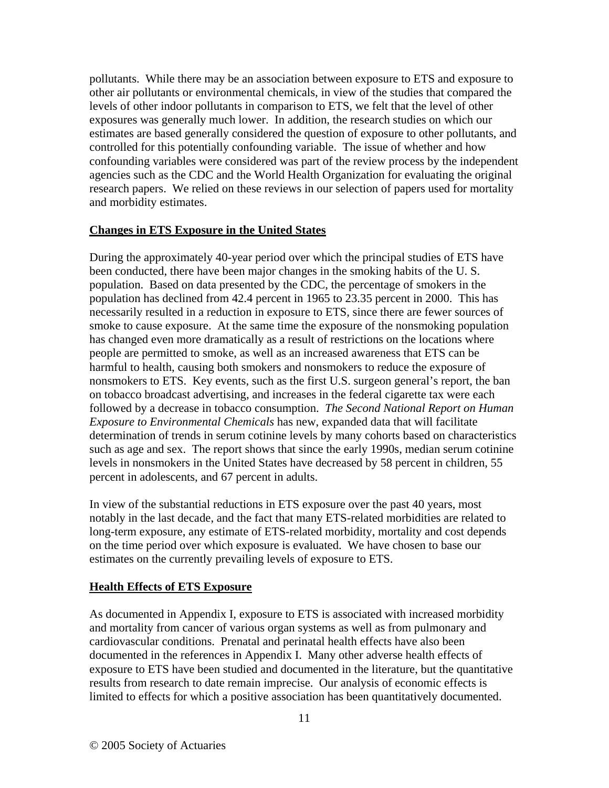pollutants. While there may be an association between exposure to ETS and exposure to other air pollutants or environmental chemicals, in view of the studies that compared the levels of other indoor pollutants in comparison to ETS, we felt that the level of other exposures was generally much lower. In addition, the research studies on which our estimates are based generally considered the question of exposure to other pollutants, and controlled for this potentially confounding variable. The issue of whether and how confounding variables were considered was part of the review process by the independent agencies such as the CDC and the World Health Organization for evaluating the original research papers. We relied on these reviews in our selection of papers used for mortality and morbidity estimates.

#### **Changes in ETS Exposure in the United States**

During the approximately 40-year period over which the principal studies of ETS have been conducted, there have been major changes in the smoking habits of the U. S. population. Based on data presented by the CDC, the percentage of smokers in the population has declined from 42.4 percent in 1965 to 23.35 percent in 2000. This has necessarily resulted in a reduction in exposure to ETS, since there are fewer sources of smoke to cause exposure. At the same time the exposure of the nonsmoking population has changed even more dramatically as a result of restrictions on the locations where people are permitted to smoke, as well as an increased awareness that ETS can be harmful to health, causing both smokers and nonsmokers to reduce the exposure of nonsmokers to ETS. Key events, such as the first U.S. surgeon general's report, the ban on tobacco broadcast advertising, and increases in the federal cigarette tax were each followed by a decrease in tobacco consumption. *The Second National Report on Human Exposure to Environmental Chemicals* has new, expanded data that will facilitate determination of trends in serum cotinine levels by many cohorts based on characteristics such as age and sex. The report shows that since the early 1990s, median serum cotinine levels in nonsmokers in the United States have decreased by 58 percent in children, 55 percent in adolescents, and 67 percent in adults.

In view of the substantial reductions in ETS exposure over the past 40 years, most notably in the last decade, and the fact that many ETS-related morbidities are related to long-term exposure, any estimate of ETS-related morbidity, mortality and cost depends on the time period over which exposure is evaluated. We have chosen to base our estimates on the currently prevailing levels of exposure to ETS.

# **Health Effects of ETS Exposure**

As documented in Appendix I, exposure to ETS is associated with increased morbidity and mortality from cancer of various organ systems as well as from pulmonary and cardiovascular conditions. Prenatal and perinatal health effects have also been documented in the references in Appendix I. Many other adverse health effects of exposure to ETS have been studied and documented in the literature, but the quantitative results from research to date remain imprecise. Our analysis of economic effects is limited to effects for which a positive association has been quantitatively documented.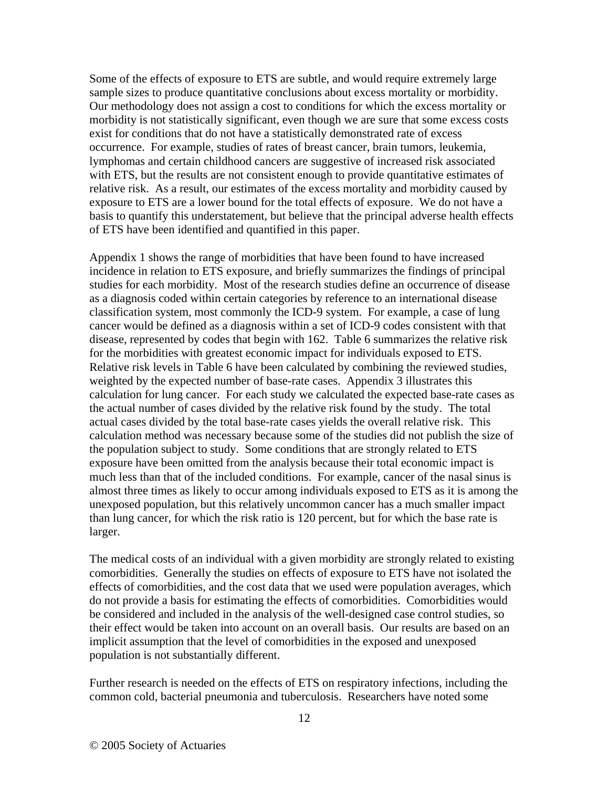Some of the effects of exposure to ETS are subtle, and would require extremely large sample sizes to produce quantitative conclusions about excess mortality or morbidity. Our methodology does not assign a cost to conditions for which the excess mortality or morbidity is not statistically significant, even though we are sure that some excess costs exist for conditions that do not have a statistically demonstrated rate of excess occurrence. For example, studies of rates of breast cancer, brain tumors, leukemia, lymphomas and certain childhood cancers are suggestive of increased risk associated with ETS, but the results are not consistent enough to provide quantitative estimates of relative risk. As a result, our estimates of the excess mortality and morbidity caused by exposure to ETS are a lower bound for the total effects of exposure. We do not have a basis to quantify this understatement, but believe that the principal adverse health effects of ETS have been identified and quantified in this paper.

Appendix 1 shows the range of morbidities that have been found to have increased incidence in relation to ETS exposure, and briefly summarizes the findings of principal studies for each morbidity. Most of the research studies define an occurrence of disease as a diagnosis coded within certain categories by reference to an international disease classification system, most commonly the ICD-9 system. For example, a case of lung cancer would be defined as a diagnosis within a set of ICD-9 codes consistent with that disease, represented by codes that begin with 162. Table 6 summarizes the relative risk for the morbidities with greatest economic impact for individuals exposed to ETS. Relative risk levels in Table 6 have been calculated by combining the reviewed studies, weighted by the expected number of base-rate cases. Appendix 3 illustrates this calculation for lung cancer. For each study we calculated the expected base-rate cases as the actual number of cases divided by the relative risk found by the study. The total actual cases divided by the total base-rate cases yields the overall relative risk. This calculation method was necessary because some of the studies did not publish the size of the population subject to study. Some conditions that are strongly related to ETS exposure have been omitted from the analysis because their total economic impact is much less than that of the included conditions. For example, cancer of the nasal sinus is almost three times as likely to occur among individuals exposed to ETS as it is among the unexposed population, but this relatively uncommon cancer has a much smaller impact than lung cancer, for which the risk ratio is 120 percent, but for which the base rate is larger.

The medical costs of an individual with a given morbidity are strongly related to existing comorbidities. Generally the studies on effects of exposure to ETS have not isolated the effects of comorbidities, and the cost data that we used were population averages, which do not provide a basis for estimating the effects of comorbidities. Comorbidities would be considered and included in the analysis of the well-designed case control studies, so their effect would be taken into account on an overall basis. Our results are based on an implicit assumption that the level of comorbidities in the exposed and unexposed population is not substantially different.

Further research is needed on the effects of ETS on respiratory infections, including the common cold, bacterial pneumonia and tuberculosis. Researchers have noted some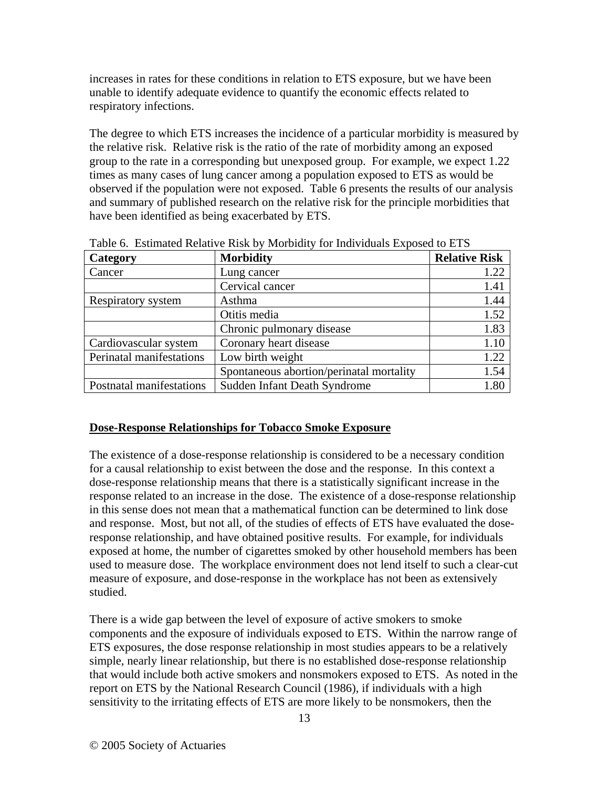increases in rates for these conditions in relation to ETS exposure, but we have been unable to identify adequate evidence to quantify the economic effects related to respiratory infections.

The degree to which ETS increases the incidence of a particular morbidity is measured by the relative risk. Relative risk is the ratio of the rate of morbidity among an exposed group to the rate in a corresponding but unexposed group. For example, we expect 1.22 times as many cases of lung cancer among a population exposed to ETS as would be observed if the population were not exposed. Table 6 presents the results of our analysis and summary of published research on the relative risk for the principle morbidities that have been identified as being exacerbated by ETS.

| Category                 | <b>Morbidity</b>                         | <b>Relative Risk</b> |
|--------------------------|------------------------------------------|----------------------|
| Cancer                   | Lung cancer                              | 1.22                 |
|                          | Cervical cancer                          | 1.41                 |
| Respiratory system       | Asthma                                   | 1.44                 |
|                          | Otitis media                             | 1.52                 |
|                          | Chronic pulmonary disease                | 1.83                 |
| Cardiovascular system    | Coronary heart disease                   | 1.10                 |
| Perinatal manifestations | Low birth weight                         | 1.22                 |
|                          | Spontaneous abortion/perinatal mortality | 1.54                 |
| Postnatal manifestations | Sudden Infant Death Syndrome             | 1.80                 |

Table 6. Estimated Relative Risk by Morbidity for Individuals Exposed to ETS

# **Dose-Response Relationships for Tobacco Smoke Exposure**

The existence of a dose-response relationship is considered to be a necessary condition for a causal relationship to exist between the dose and the response. In this context a dose-response relationship means that there is a statistically significant increase in the response related to an increase in the dose. The existence of a dose-response relationship in this sense does not mean that a mathematical function can be determined to link dose and response. Most, but not all, of the studies of effects of ETS have evaluated the doseresponse relationship, and have obtained positive results. For example, for individuals exposed at home, the number of cigarettes smoked by other household members has been used to measure dose. The workplace environment does not lend itself to such a clear-cut measure of exposure, and dose-response in the workplace has not been as extensively studied.

There is a wide gap between the level of exposure of active smokers to smoke components and the exposure of individuals exposed to ETS. Within the narrow range of ETS exposures, the dose response relationship in most studies appears to be a relatively simple, nearly linear relationship, but there is no established dose-response relationship that would include both active smokers and nonsmokers exposed to ETS. As noted in the report on ETS by the National Research Council (1986), if individuals with a high sensitivity to the irritating effects of ETS are more likely to be nonsmokers, then the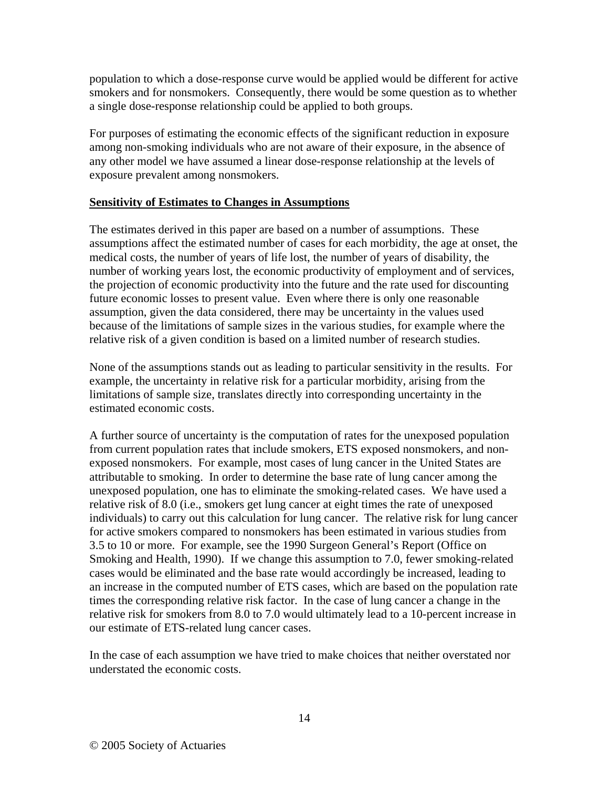population to which a dose-response curve would be applied would be different for active smokers and for nonsmokers. Consequently, there would be some question as to whether a single dose-response relationship could be applied to both groups.

For purposes of estimating the economic effects of the significant reduction in exposure among non-smoking individuals who are not aware of their exposure, in the absence of any other model we have assumed a linear dose-response relationship at the levels of exposure prevalent among nonsmokers.

#### **Sensitivity of Estimates to Changes in Assumptions**

The estimates derived in this paper are based on a number of assumptions. These assumptions affect the estimated number of cases for each morbidity, the age at onset, the medical costs, the number of years of life lost, the number of years of disability, the number of working years lost, the economic productivity of employment and of services, the projection of economic productivity into the future and the rate used for discounting future economic losses to present value. Even where there is only one reasonable assumption, given the data considered, there may be uncertainty in the values used because of the limitations of sample sizes in the various studies, for example where the relative risk of a given condition is based on a limited number of research studies.

None of the assumptions stands out as leading to particular sensitivity in the results. For example, the uncertainty in relative risk for a particular morbidity, arising from the limitations of sample size, translates directly into corresponding uncertainty in the estimated economic costs.

A further source of uncertainty is the computation of rates for the unexposed population from current population rates that include smokers, ETS exposed nonsmokers, and nonexposed nonsmokers. For example, most cases of lung cancer in the United States are attributable to smoking. In order to determine the base rate of lung cancer among the unexposed population, one has to eliminate the smoking-related cases. We have used a relative risk of 8.0 (i.e., smokers get lung cancer at eight times the rate of unexposed individuals) to carry out this calculation for lung cancer. The relative risk for lung cancer for active smokers compared to nonsmokers has been estimated in various studies from 3.5 to 10 or more. For example, see the 1990 Surgeon General's Report (Office on Smoking and Health, 1990). If we change this assumption to 7.0, fewer smoking-related cases would be eliminated and the base rate would accordingly be increased, leading to an increase in the computed number of ETS cases, which are based on the population rate times the corresponding relative risk factor. In the case of lung cancer a change in the relative risk for smokers from 8.0 to 7.0 would ultimately lead to a 10-percent increase in our estimate of ETS-related lung cancer cases.

In the case of each assumption we have tried to make choices that neither overstated nor understated the economic costs.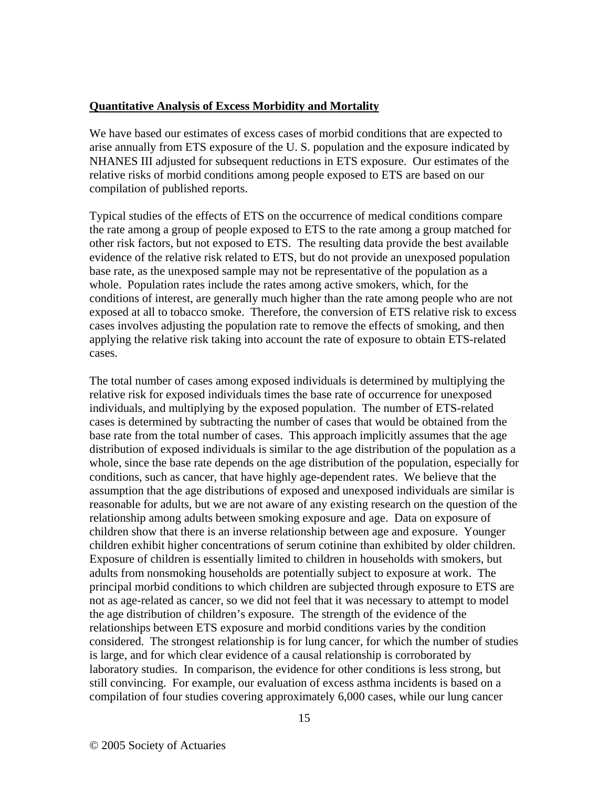#### **Quantitative Analysis of Excess Morbidity and Mortality**

We have based our estimates of excess cases of morbid conditions that are expected to arise annually from ETS exposure of the U. S. population and the exposure indicated by NHANES III adjusted for subsequent reductions in ETS exposure. Our estimates of the relative risks of morbid conditions among people exposed to ETS are based on our compilation of published reports.

Typical studies of the effects of ETS on the occurrence of medical conditions compare the rate among a group of people exposed to ETS to the rate among a group matched for other risk factors, but not exposed to ETS. The resulting data provide the best available evidence of the relative risk related to ETS, but do not provide an unexposed population base rate, as the unexposed sample may not be representative of the population as a whole. Population rates include the rates among active smokers, which, for the conditions of interest, are generally much higher than the rate among people who are not exposed at all to tobacco smoke. Therefore, the conversion of ETS relative risk to excess cases involves adjusting the population rate to remove the effects of smoking, and then applying the relative risk taking into account the rate of exposure to obtain ETS-related cases.

The total number of cases among exposed individuals is determined by multiplying the relative risk for exposed individuals times the base rate of occurrence for unexposed individuals, and multiplying by the exposed population. The number of ETS-related cases is determined by subtracting the number of cases that would be obtained from the base rate from the total number of cases. This approach implicitly assumes that the age distribution of exposed individuals is similar to the age distribution of the population as a whole, since the base rate depends on the age distribution of the population, especially for conditions, such as cancer, that have highly age-dependent rates. We believe that the assumption that the age distributions of exposed and unexposed individuals are similar is reasonable for adults, but we are not aware of any existing research on the question of the relationship among adults between smoking exposure and age. Data on exposure of children show that there is an inverse relationship between age and exposure. Younger children exhibit higher concentrations of serum cotinine than exhibited by older children. Exposure of children is essentially limited to children in households with smokers, but adults from nonsmoking households are potentially subject to exposure at work. The principal morbid conditions to which children are subjected through exposure to ETS are not as age-related as cancer, so we did not feel that it was necessary to attempt to model the age distribution of children's exposure. The strength of the evidence of the relationships between ETS exposure and morbid conditions varies by the condition considered. The strongest relationship is for lung cancer, for which the number of studies is large, and for which clear evidence of a causal relationship is corroborated by laboratory studies. In comparison, the evidence for other conditions is less strong, but still convincing. For example, our evaluation of excess asthma incidents is based on a compilation of four studies covering approximately 6,000 cases, while our lung cancer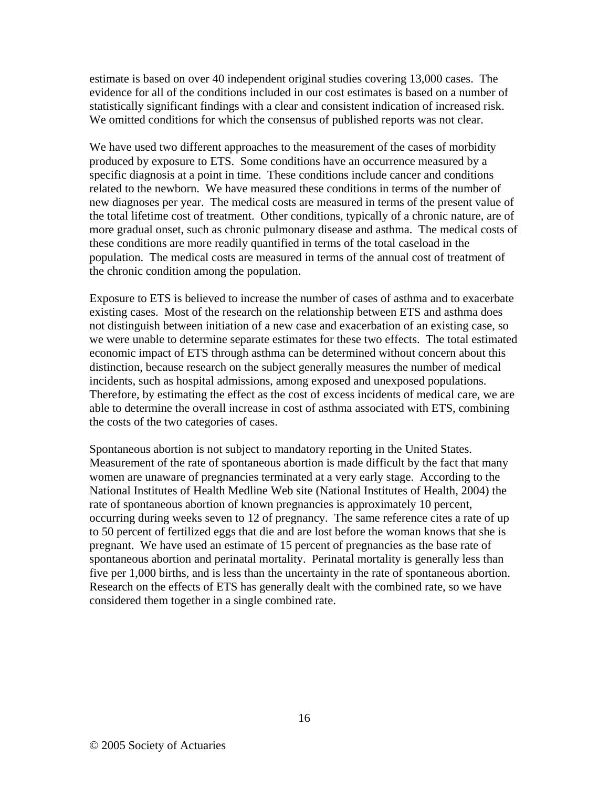estimate is based on over 40 independent original studies covering 13,000 cases. The evidence for all of the conditions included in our cost estimates is based on a number of statistically significant findings with a clear and consistent indication of increased risk. We omitted conditions for which the consensus of published reports was not clear.

We have used two different approaches to the measurement of the cases of morbidity produced by exposure to ETS. Some conditions have an occurrence measured by a specific diagnosis at a point in time. These conditions include cancer and conditions related to the newborn. We have measured these conditions in terms of the number of new diagnoses per year. The medical costs are measured in terms of the present value of the total lifetime cost of treatment. Other conditions, typically of a chronic nature, are of more gradual onset, such as chronic pulmonary disease and asthma. The medical costs of these conditions are more readily quantified in terms of the total caseload in the population. The medical costs are measured in terms of the annual cost of treatment of the chronic condition among the population.

Exposure to ETS is believed to increase the number of cases of asthma and to exacerbate existing cases. Most of the research on the relationship between ETS and asthma does not distinguish between initiation of a new case and exacerbation of an existing case, so we were unable to determine separate estimates for these two effects. The total estimated economic impact of ETS through asthma can be determined without concern about this distinction, because research on the subject generally measures the number of medical incidents, such as hospital admissions, among exposed and unexposed populations. Therefore, by estimating the effect as the cost of excess incidents of medical care, we are able to determine the overall increase in cost of asthma associated with ETS, combining the costs of the two categories of cases.

Spontaneous abortion is not subject to mandatory reporting in the United States. Measurement of the rate of spontaneous abortion is made difficult by the fact that many women are unaware of pregnancies terminated at a very early stage. According to the National Institutes of Health Medline Web site (National Institutes of Health, 2004) the rate of spontaneous abortion of known pregnancies is approximately 10 percent, occurring during weeks seven to 12 of pregnancy. The same reference cites a rate of up to 50 percent of fertilized eggs that die and are lost before the woman knows that she is pregnant. We have used an estimate of 15 percent of pregnancies as the base rate of spontaneous abortion and perinatal mortality. Perinatal mortality is generally less than five per 1,000 births, and is less than the uncertainty in the rate of spontaneous abortion. Research on the effects of ETS has generally dealt with the combined rate, so we have considered them together in a single combined rate.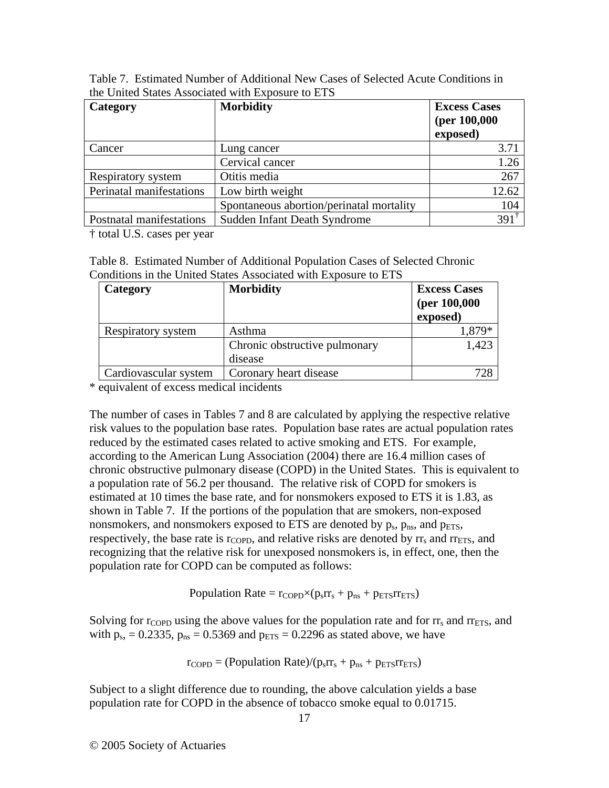| Category                 | <b>Morbidity</b>                         | <b>Excess Cases</b><br>(per 100,000<br>exposed) |
|--------------------------|------------------------------------------|-------------------------------------------------|
| Cancer                   | Lung cancer                              | 3.71                                            |
|                          | Cervical cancer                          | 1.26                                            |
| Respiratory system       | Otitis media                             | 267                                             |
| Perinatal manifestations | Low birth weight                         | 12.62                                           |
|                          | Spontaneous abortion/perinatal mortality | 104                                             |
| Postnatal manifestations | Sudden Infant Death Syndrome             | $391^{\dagger}$                                 |

Table 7. Estimated Number of Additional New Cases of Selected Acute Conditions in the United States Associated with Exposure to ETS

† total U.S. cases per year

| Table 8. Estimated Number of Additional Population Cases of Selected Chronic |
|------------------------------------------------------------------------------|
| Conditions in the United States Associated with Exposure to ETS              |

| Category              | <b>Morbidity</b>                         | <b>Excess Cases</b><br>(per $100,000$<br>exposed) |
|-----------------------|------------------------------------------|---------------------------------------------------|
| Respiratory system    | Asthma                                   | 1,879*                                            |
|                       | Chronic obstructive pulmonary<br>disease | 1,423                                             |
| Cardiovascular system | Coronary heart disease                   | 728                                               |

\* equivalent of excess medical incidents

The number of cases in Tables 7 and 8 are calculated by applying the respective relative risk values to the population base rates. Population base rates are actual population rates reduced by the estimated cases related to active smoking and ETS. For example, according to the American Lung Association (2004) there are 16.4 million cases of chronic obstructive pulmonary disease (COPD) in the United States. This is equivalent to a population rate of 56.2 per thousand. The relative risk of COPD for smokers is estimated at 10 times the base rate, and for nonsmokers exposed to ETS it is 1.83, as shown in Table 7. If the portions of the population that are smokers, non-exposed nonsmokers, and nonsmokers exposed to ETS are denoted by  $p_s$ ,  $p_{ns}$ , and  $p_{ETS}$ , respectively, the base rate is  $r_{\text{COPD}}$ , and relative risks are denoted by  $r_{\text{S}}$  and  $r_{\text{ETS}}$ , and recognizing that the relative risk for unexposed nonsmokers is, in effect, one, then the population rate for COPD can be computed as follows:

Population Rate =  $r_{\text{COPD}} \times (p_s r_s + p_{ns} + p_{\text{ETS}} r_{\text{ETS}})$ 

Solving for  $r_{\text{COPD}}$  using the above values for the population rate and for  $rr_s$  and  $rr_{\text{ETS}}$ , and with  $p_s$ , = 0.2335,  $p_{ns}$  = 0.5369 and  $p_{ETS}$  = 0.2296 as stated above, we have

 $r_{\text{COPD}} = (Population Rate)/(p_s rr_s + p_{ns} + p_{\text{ETS}} r_{\text{ETS}})$ 

Subject to a slight difference due to rounding, the above calculation yields a base population rate for COPD in the absence of tobacco smoke equal to 0.01715.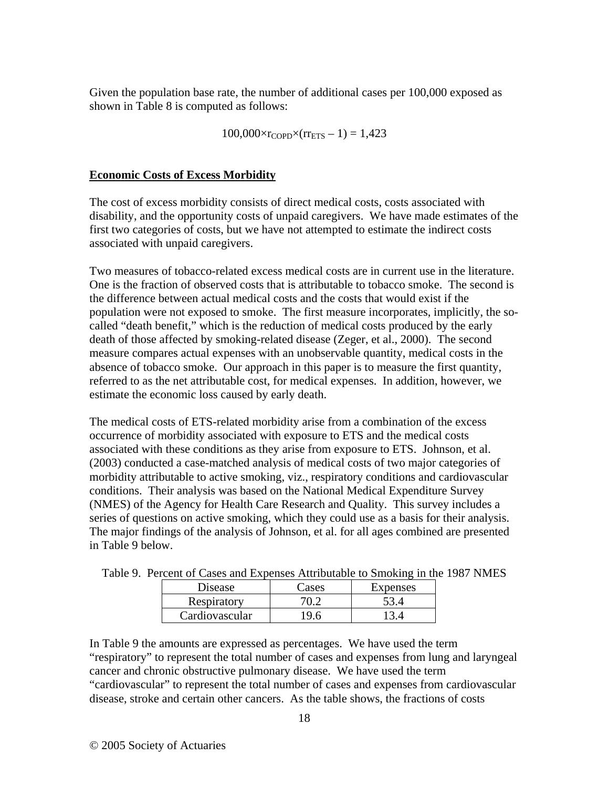Given the population base rate, the number of additional cases per 100,000 exposed as shown in Table 8 is computed as follows:

 $100,000 \times r_{\text{COPD}} \times (r r_{\text{ETS}} - 1) = 1,423$ 

#### **Economic Costs of Excess Morbidity**

The cost of excess morbidity consists of direct medical costs, costs associated with disability, and the opportunity costs of unpaid caregivers. We have made estimates of the first two categories of costs, but we have not attempted to estimate the indirect costs associated with unpaid caregivers.

Two measures of tobacco-related excess medical costs are in current use in the literature. One is the fraction of observed costs that is attributable to tobacco smoke. The second is the difference between actual medical costs and the costs that would exist if the population were not exposed to smoke. The first measure incorporates, implicitly, the socalled "death benefit," which is the reduction of medical costs produced by the early death of those affected by smoking-related disease (Zeger, et al., 2000). The second measure compares actual expenses with an unobservable quantity, medical costs in the absence of tobacco smoke. Our approach in this paper is to measure the first quantity, referred to as the net attributable cost, for medical expenses. In addition, however, we estimate the economic loss caused by early death.

The medical costs of ETS-related morbidity arise from a combination of the excess occurrence of morbidity associated with exposure to ETS and the medical costs associated with these conditions as they arise from exposure to ETS. Johnson, et al. (2003) conducted a case-matched analysis of medical costs of two major categories of morbidity attributable to active smoking, viz., respiratory conditions and cardiovascular conditions. Their analysis was based on the National Medical Expenditure Survey (NMES) of the Agency for Health Care Research and Quality. This survey includes a series of questions on active smoking, which they could use as a basis for their analysis. The major findings of the analysis of Johnson, et al. for all ages combined are presented in Table 9 below.

| $\alpha$ is the case of the experises Although to Shoking in the |       |          |  |
|------------------------------------------------------------------|-------|----------|--|
| Disease                                                          | Cases | Expenses |  |
| Respiratory                                                      | 70.2  | 53.4     |  |
| Cardiovascular                                                   | 19.6  | 13.4     |  |

|  |  |  |  |  |  | Table 9. Percent of Cases and Expenses Attributable to Smoking in the 1987 NMES |
|--|--|--|--|--|--|---------------------------------------------------------------------------------|
|--|--|--|--|--|--|---------------------------------------------------------------------------------|

In Table 9 the amounts are expressed as percentages. We have used the term "respiratory" to represent the total number of cases and expenses from lung and laryngeal cancer and chronic obstructive pulmonary disease. We have used the term "cardiovascular" to represent the total number of cases and expenses from cardiovascular disease, stroke and certain other cancers. As the table shows, the fractions of costs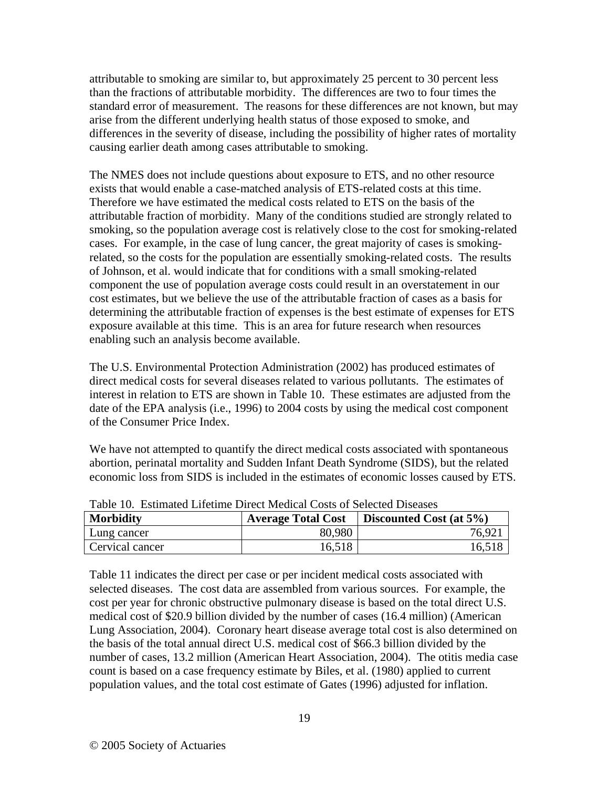attributable to smoking are similar to, but approximately 25 percent to 30 percent less than the fractions of attributable morbidity. The differences are two to four times the standard error of measurement. The reasons for these differences are not known, but may arise from the different underlying health status of those exposed to smoke, and differences in the severity of disease, including the possibility of higher rates of mortality causing earlier death among cases attributable to smoking.

The NMES does not include questions about exposure to ETS, and no other resource exists that would enable a case-matched analysis of ETS-related costs at this time. Therefore we have estimated the medical costs related to ETS on the basis of the attributable fraction of morbidity. Many of the conditions studied are strongly related to smoking, so the population average cost is relatively close to the cost for smoking-related cases. For example, in the case of lung cancer, the great majority of cases is smokingrelated, so the costs for the population are essentially smoking-related costs. The results of Johnson, et al. would indicate that for conditions with a small smoking-related component the use of population average costs could result in an overstatement in our cost estimates, but we believe the use of the attributable fraction of cases as a basis for determining the attributable fraction of expenses is the best estimate of expenses for ETS exposure available at this time. This is an area for future research when resources enabling such an analysis become available.

The U.S. Environmental Protection Administration (2002) has produced estimates of direct medical costs for several diseases related to various pollutants. The estimates of interest in relation to ETS are shown in Table 10. These estimates are adjusted from the date of the EPA analysis (i.e., 1996) to 2004 costs by using the medical cost component of the Consumer Price Index.

We have not attempted to quantify the direct medical costs associated with spontaneous abortion, perinatal mortality and Sudden Infant Death Syndrome (SIDS), but the related economic loss from SIDS is included in the estimates of economic losses caused by ETS.

| Table To. Estimated Effective Direct medical Costs of Belected Diseases |                                 |                             |  |  |  |  |
|-------------------------------------------------------------------------|---------------------------------|-----------------------------|--|--|--|--|
| Morbidity                                                               | <sup>1</sup> Average Total Cost | Discounted Cost (at $5\%$ ) |  |  |  |  |
| Lung cancer                                                             | 80,980                          | 76.92                       |  |  |  |  |
| Cervical cancer                                                         | 16,518                          | 16,518                      |  |  |  |  |

Table 10. Estimated Lifetime Direct Medical Costs of Selected Diseases

Table 11 indicates the direct per case or per incident medical costs associated with selected diseases. The cost data are assembled from various sources. For example, the cost per year for chronic obstructive pulmonary disease is based on the total direct U.S. medical cost of \$20.9 billion divided by the number of cases (16.4 million) (American Lung Association, 2004). Coronary heart disease average total cost is also determined on the basis of the total annual direct U.S. medical cost of \$66.3 billion divided by the number of cases, 13.2 million (American Heart Association, 2004). The otitis media case count is based on a case frequency estimate by Biles, et al. (1980) applied to current population values, and the total cost estimate of Gates (1996) adjusted for inflation.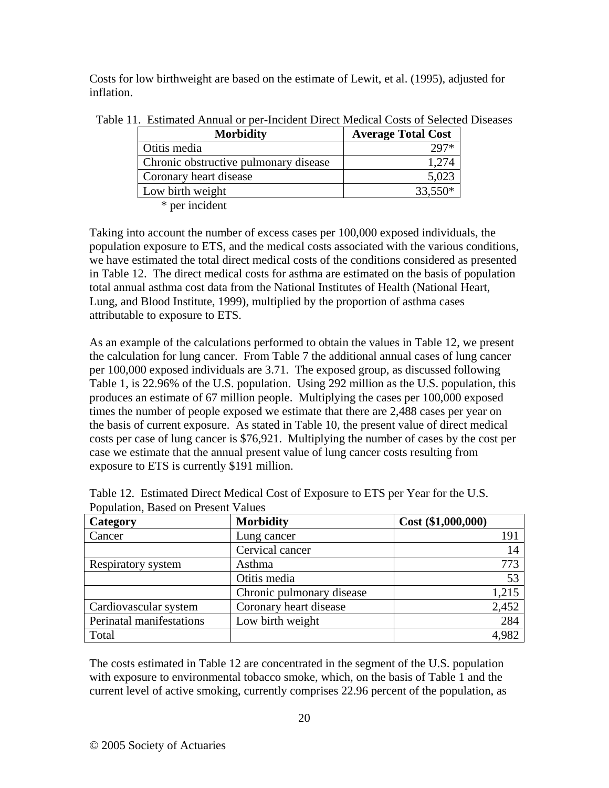Costs for low birthweight are based on the estimate of Lewit, et al. (1995), adjusted for inflation.

| <b>Morbidity</b>                      | <b>Average Total Cost</b> |
|---------------------------------------|---------------------------|
| Otitis media                          |                           |
| Chronic obstructive pulmonary disease | 1.274                     |
| Coronary heart disease                | 5,023                     |
| Low birth weight                      | 33,550*                   |
| * per incident                        |                           |

Table 11. Estimated Annual or per-Incident Direct Medical Costs of Selected Diseases

Taking into account the number of excess cases per 100,000 exposed individuals, the population exposure to ETS, and the medical costs associated with the various conditions, we have estimated the total direct medical costs of the conditions considered as presented in Table 12. The direct medical costs for asthma are estimated on the basis of population total annual asthma cost data from the National Institutes of Health (National Heart, Lung, and Blood Institute, 1999), multiplied by the proportion of asthma cases attributable to exposure to ETS.

As an example of the calculations performed to obtain the values in Table 12, we present the calculation for lung cancer. From Table 7 the additional annual cases of lung cancer per 100,000 exposed individuals are 3.71. The exposed group, as discussed following Table 1, is 22.96% of the U.S. population. Using 292 million as the U.S. population, this produces an estimate of 67 million people. Multiplying the cases per 100,000 exposed times the number of people exposed we estimate that there are 2,488 cases per year on the basis of current exposure. As stated in Table 10, the present value of direct medical costs per case of lung cancer is \$76,921. Multiplying the number of cases by the cost per case we estimate that the annual present value of lung cancer costs resulting from exposure to ETS is currently \$191 million.

| Category                 | <b>Morbidity</b>          | Cost( \$1,000,000) |
|--------------------------|---------------------------|--------------------|
| Cancer                   | Lung cancer               | 191                |
|                          | Cervical cancer           | 14                 |
| Respiratory system       | Asthma                    | 773                |
|                          | Otitis media              | 53                 |
|                          | Chronic pulmonary disease | 1,215              |
| Cardiovascular system    | Coronary heart disease    | 2,452              |
| Perinatal manifestations | Low birth weight          | 284                |
| Total                    |                           | 4,982              |

Table 12. Estimated Direct Medical Cost of Exposure to ETS per Year for the U.S. Population, Based on Present Values

The costs estimated in Table 12 are concentrated in the segment of the U.S. population with exposure to environmental tobacco smoke, which, on the basis of Table 1 and the current level of active smoking, currently comprises 22.96 percent of the population, as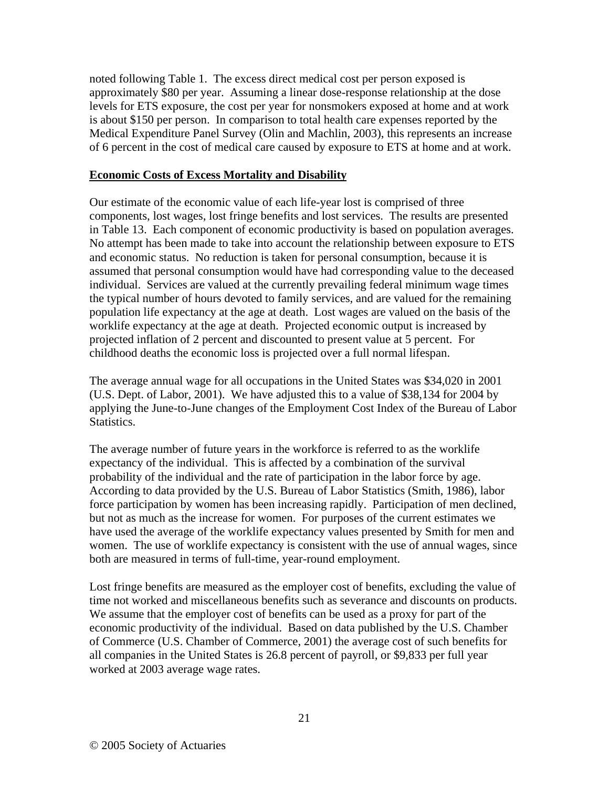noted following Table 1. The excess direct medical cost per person exposed is approximately \$80 per year. Assuming a linear dose-response relationship at the dose levels for ETS exposure, the cost per year for nonsmokers exposed at home and at work is about \$150 per person. In comparison to total health care expenses reported by the Medical Expenditure Panel Survey (Olin and Machlin, 2003), this represents an increase of 6 percent in the cost of medical care caused by exposure to ETS at home and at work.

#### **Economic Costs of Excess Mortality and Disability**

Our estimate of the economic value of each life-year lost is comprised of three components, lost wages, lost fringe benefits and lost services. The results are presented in Table 13. Each component of economic productivity is based on population averages. No attempt has been made to take into account the relationship between exposure to ETS and economic status. No reduction is taken for personal consumption, because it is assumed that personal consumption would have had corresponding value to the deceased individual. Services are valued at the currently prevailing federal minimum wage times the typical number of hours devoted to family services, and are valued for the remaining population life expectancy at the age at death. Lost wages are valued on the basis of the worklife expectancy at the age at death. Projected economic output is increased by projected inflation of 2 percent and discounted to present value at 5 percent. For childhood deaths the economic loss is projected over a full normal lifespan.

The average annual wage for all occupations in the United States was \$34,020 in 2001 (U.S. Dept. of Labor, 2001). We have adjusted this to a value of \$38,134 for 2004 by applying the June-to-June changes of the Employment Cost Index of the Bureau of Labor Statistics.

The average number of future years in the workforce is referred to as the worklife expectancy of the individual. This is affected by a combination of the survival probability of the individual and the rate of participation in the labor force by age. According to data provided by the U.S. Bureau of Labor Statistics (Smith, 1986), labor force participation by women has been increasing rapidly. Participation of men declined, but not as much as the increase for women. For purposes of the current estimates we have used the average of the worklife expectancy values presented by Smith for men and women. The use of worklife expectancy is consistent with the use of annual wages, since both are measured in terms of full-time, year-round employment.

Lost fringe benefits are measured as the employer cost of benefits, excluding the value of time not worked and miscellaneous benefits such as severance and discounts on products. We assume that the employer cost of benefits can be used as a proxy for part of the economic productivity of the individual. Based on data published by the U.S. Chamber of Commerce (U.S. Chamber of Commerce, 2001) the average cost of such benefits for all companies in the United States is 26.8 percent of payroll, or \$9,833 per full year worked at 2003 average wage rates.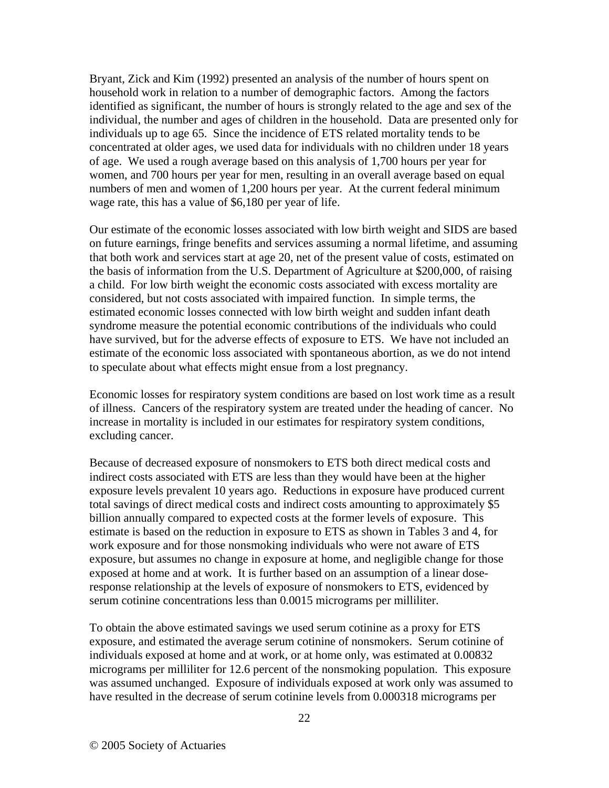Bryant, Zick and Kim (1992) presented an analysis of the number of hours spent on household work in relation to a number of demographic factors. Among the factors identified as significant, the number of hours is strongly related to the age and sex of the individual, the number and ages of children in the household. Data are presented only for individuals up to age 65. Since the incidence of ETS related mortality tends to be concentrated at older ages, we used data for individuals with no children under 18 years of age. We used a rough average based on this analysis of 1,700 hours per year for women, and 700 hours per year for men, resulting in an overall average based on equal numbers of men and women of 1,200 hours per year. At the current federal minimum wage rate, this has a value of \$6,180 per year of life.

Our estimate of the economic losses associated with low birth weight and SIDS are based on future earnings, fringe benefits and services assuming a normal lifetime, and assuming that both work and services start at age 20, net of the present value of costs, estimated on the basis of information from the U.S. Department of Agriculture at \$200,000, of raising a child. For low birth weight the economic costs associated with excess mortality are considered, but not costs associated with impaired function. In simple terms, the estimated economic losses connected with low birth weight and sudden infant death syndrome measure the potential economic contributions of the individuals who could have survived, but for the adverse effects of exposure to ETS. We have not included an estimate of the economic loss associated with spontaneous abortion, as we do not intend to speculate about what effects might ensue from a lost pregnancy.

Economic losses for respiratory system conditions are based on lost work time as a result of illness. Cancers of the respiratory system are treated under the heading of cancer. No increase in mortality is included in our estimates for respiratory system conditions, excluding cancer.

Because of decreased exposure of nonsmokers to ETS both direct medical costs and indirect costs associated with ETS are less than they would have been at the higher exposure levels prevalent 10 years ago. Reductions in exposure have produced current total savings of direct medical costs and indirect costs amounting to approximately \$5 billion annually compared to expected costs at the former levels of exposure. This estimate is based on the reduction in exposure to ETS as shown in Tables 3 and 4, for work exposure and for those nonsmoking individuals who were not aware of ETS exposure, but assumes no change in exposure at home, and negligible change for those exposed at home and at work. It is further based on an assumption of a linear doseresponse relationship at the levels of exposure of nonsmokers to ETS, evidenced by serum cotinine concentrations less than 0.0015 micrograms per milliliter.

To obtain the above estimated savings we used serum cotinine as a proxy for ETS exposure, and estimated the average serum cotinine of nonsmokers. Serum cotinine of individuals exposed at home and at work, or at home only, was estimated at 0.00832 micrograms per milliliter for 12.6 percent of the nonsmoking population. This exposure was assumed unchanged. Exposure of individuals exposed at work only was assumed to have resulted in the decrease of serum cotinine levels from 0.000318 micrograms per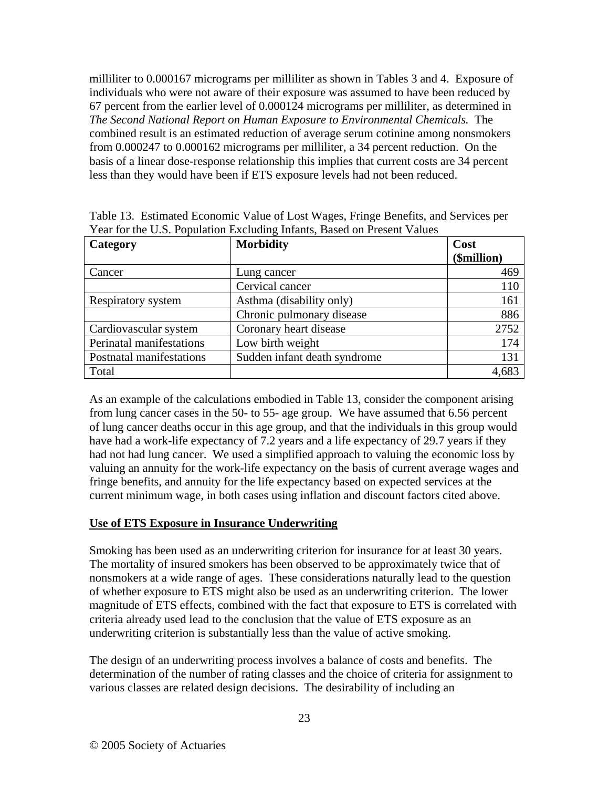milliliter to 0.000167 micrograms per milliliter as shown in Tables 3 and 4. Exposure of individuals who were not aware of their exposure was assumed to have been reduced by 67 percent from the earlier level of 0.000124 micrograms per milliliter, as determined in *The Second National Report on Human Exposure to Environmental Chemicals.* The combined result is an estimated reduction of average serum cotinine among nonsmokers from 0.000247 to 0.000162 micrograms per milliliter, a 34 percent reduction. On the basis of a linear dose-response relationship this implies that current costs are 34 percent less than they would have been if ETS exposure levels had not been reduced.

| Category                 | <b>Morbidity</b>             | Cost<br>(\$million) |
|--------------------------|------------------------------|---------------------|
| Cancer                   | Lung cancer                  | 469                 |
|                          | Cervical cancer              | 110                 |
| Respiratory system       | Asthma (disability only)     | 161                 |
|                          | Chronic pulmonary disease    | 886                 |
| Cardiovascular system    | Coronary heart disease       | 2752                |
| Perinatal manifestations | Low birth weight             | 174                 |
| Postnatal manifestations | Sudden infant death syndrome | 131                 |
| Total                    |                              | 4,683               |

|  | Table 13. Estimated Economic Value of Lost Wages, Fringe Benefits, and Services per |  |  |  |  |
|--|-------------------------------------------------------------------------------------|--|--|--|--|
|  | Year for the U.S. Population Excluding Infants, Based on Present Values             |  |  |  |  |

As an example of the calculations embodied in Table 13, consider the component arising from lung cancer cases in the 50- to 55- age group. We have assumed that 6.56 percent of lung cancer deaths occur in this age group, and that the individuals in this group would have had a work-life expectancy of 7.2 years and a life expectancy of 29.7 years if they had not had lung cancer. We used a simplified approach to valuing the economic loss by valuing an annuity for the work-life expectancy on the basis of current average wages and fringe benefits, and annuity for the life expectancy based on expected services at the current minimum wage, in both cases using inflation and discount factors cited above.

# **Use of ETS Exposure in Insurance Underwriting**

Smoking has been used as an underwriting criterion for insurance for at least 30 years. The mortality of insured smokers has been observed to be approximately twice that of nonsmokers at a wide range of ages. These considerations naturally lead to the question of whether exposure to ETS might also be used as an underwriting criterion. The lower magnitude of ETS effects, combined with the fact that exposure to ETS is correlated with criteria already used lead to the conclusion that the value of ETS exposure as an underwriting criterion is substantially less than the value of active smoking.

The design of an underwriting process involves a balance of costs and benefits. The determination of the number of rating classes and the choice of criteria for assignment to various classes are related design decisions. The desirability of including an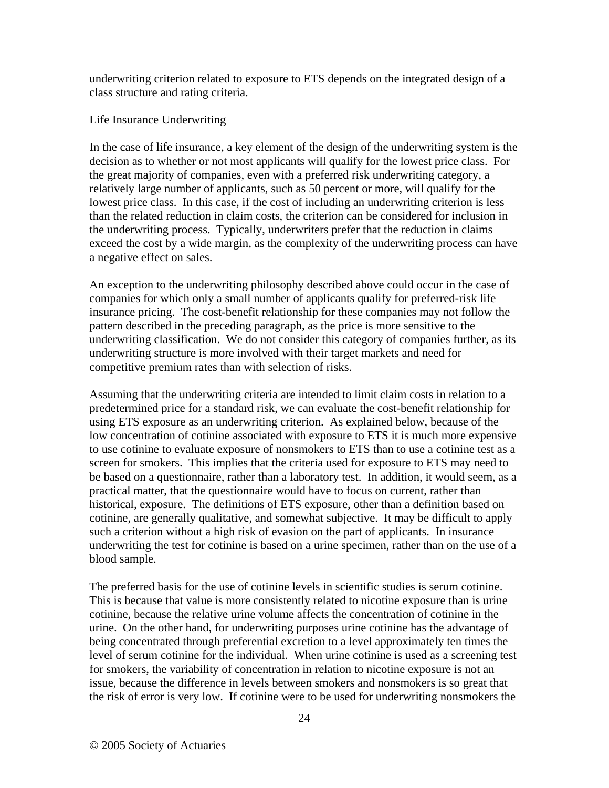underwriting criterion related to exposure to ETS depends on the integrated design of a class structure and rating criteria.

#### Life Insurance Underwriting

In the case of life insurance, a key element of the design of the underwriting system is the decision as to whether or not most applicants will qualify for the lowest price class. For the great majority of companies, even with a preferred risk underwriting category, a relatively large number of applicants, such as 50 percent or more, will qualify for the lowest price class. In this case, if the cost of including an underwriting criterion is less than the related reduction in claim costs, the criterion can be considered for inclusion in the underwriting process. Typically, underwriters prefer that the reduction in claims exceed the cost by a wide margin, as the complexity of the underwriting process can have a negative effect on sales.

An exception to the underwriting philosophy described above could occur in the case of companies for which only a small number of applicants qualify for preferred-risk life insurance pricing. The cost-benefit relationship for these companies may not follow the pattern described in the preceding paragraph, as the price is more sensitive to the underwriting classification. We do not consider this category of companies further, as its underwriting structure is more involved with their target markets and need for competitive premium rates than with selection of risks.

Assuming that the underwriting criteria are intended to limit claim costs in relation to a predetermined price for a standard risk, we can evaluate the cost-benefit relationship for using ETS exposure as an underwriting criterion. As explained below, because of the low concentration of cotinine associated with exposure to ETS it is much more expensive to use cotinine to evaluate exposure of nonsmokers to ETS than to use a cotinine test as a screen for smokers. This implies that the criteria used for exposure to ETS may need to be based on a questionnaire, rather than a laboratory test. In addition, it would seem, as a practical matter, that the questionnaire would have to focus on current, rather than historical, exposure. The definitions of ETS exposure, other than a definition based on cotinine, are generally qualitative, and somewhat subjective. It may be difficult to apply such a criterion without a high risk of evasion on the part of applicants. In insurance underwriting the test for cotinine is based on a urine specimen, rather than on the use of a blood sample.

The preferred basis for the use of cotinine levels in scientific studies is serum cotinine. This is because that value is more consistently related to nicotine exposure than is urine cotinine, because the relative urine volume affects the concentration of cotinine in the urine. On the other hand, for underwriting purposes urine cotinine has the advantage of being concentrated through preferential excretion to a level approximately ten times the level of serum cotinine for the individual. When urine cotinine is used as a screening test for smokers, the variability of concentration in relation to nicotine exposure is not an issue, because the difference in levels between smokers and nonsmokers is so great that the risk of error is very low. If cotinine were to be used for underwriting nonsmokers the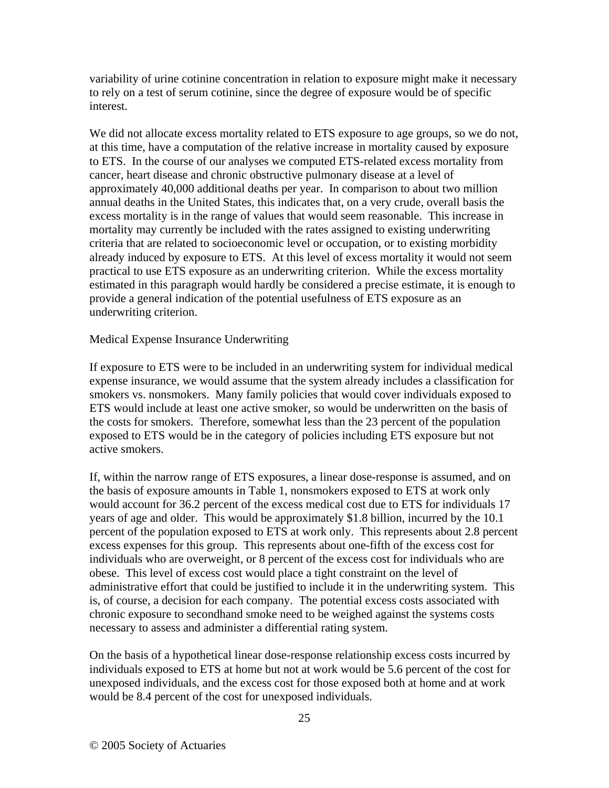variability of urine cotinine concentration in relation to exposure might make it necessary to rely on a test of serum cotinine, since the degree of exposure would be of specific interest.

We did not allocate excess mortality related to ETS exposure to age groups, so we do not, at this time, have a computation of the relative increase in mortality caused by exposure to ETS. In the course of our analyses we computed ETS-related excess mortality from cancer, heart disease and chronic obstructive pulmonary disease at a level of approximately 40,000 additional deaths per year. In comparison to about two million annual deaths in the United States, this indicates that, on a very crude, overall basis the excess mortality is in the range of values that would seem reasonable. This increase in mortality may currently be included with the rates assigned to existing underwriting criteria that are related to socioeconomic level or occupation, or to existing morbidity already induced by exposure to ETS. At this level of excess mortality it would not seem practical to use ETS exposure as an underwriting criterion. While the excess mortality estimated in this paragraph would hardly be considered a precise estimate, it is enough to provide a general indication of the potential usefulness of ETS exposure as an underwriting criterion.

#### Medical Expense Insurance Underwriting

If exposure to ETS were to be included in an underwriting system for individual medical expense insurance, we would assume that the system already includes a classification for smokers vs. nonsmokers. Many family policies that would cover individuals exposed to ETS would include at least one active smoker, so would be underwritten on the basis of the costs for smokers. Therefore, somewhat less than the 23 percent of the population exposed to ETS would be in the category of policies including ETS exposure but not active smokers.

If, within the narrow range of ETS exposures, a linear dose-response is assumed, and on the basis of exposure amounts in Table 1, nonsmokers exposed to ETS at work only would account for 36.2 percent of the excess medical cost due to ETS for individuals 17 years of age and older. This would be approximately \$1.8 billion, incurred by the 10.1 percent of the population exposed to ETS at work only. This represents about 2.8 percent excess expenses for this group. This represents about one-fifth of the excess cost for individuals who are overweight, or 8 percent of the excess cost for individuals who are obese. This level of excess cost would place a tight constraint on the level of administrative effort that could be justified to include it in the underwriting system. This is, of course, a decision for each company. The potential excess costs associated with chronic exposure to secondhand smoke need to be weighed against the systems costs necessary to assess and administer a differential rating system.

On the basis of a hypothetical linear dose-response relationship excess costs incurred by individuals exposed to ETS at home but not at work would be 5.6 percent of the cost for unexposed individuals, and the excess cost for those exposed both at home and at work would be 8.4 percent of the cost for unexposed individuals.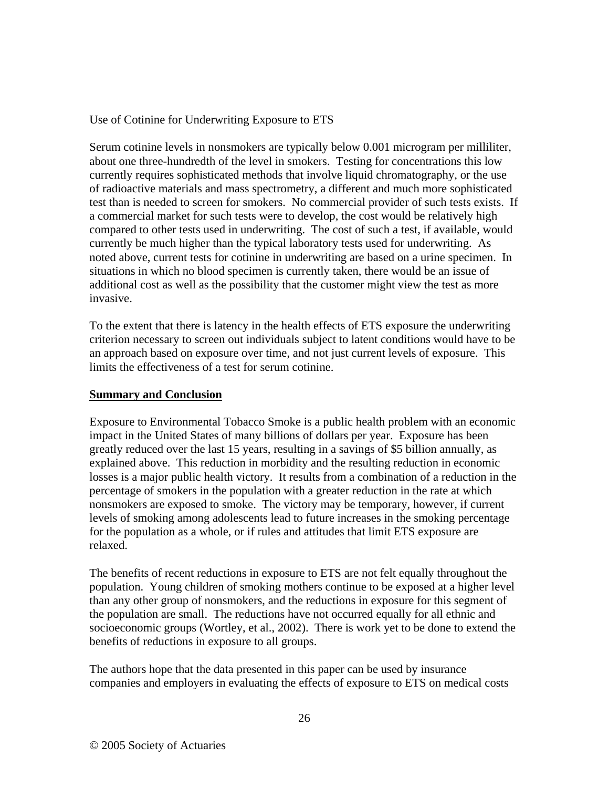Use of Cotinine for Underwriting Exposure to ETS

Serum cotinine levels in nonsmokers are typically below 0.001 microgram per milliliter, about one three-hundredth of the level in smokers. Testing for concentrations this low currently requires sophisticated methods that involve liquid chromatography, or the use of radioactive materials and mass spectrometry, a different and much more sophisticated test than is needed to screen for smokers. No commercial provider of such tests exists. If a commercial market for such tests were to develop, the cost would be relatively high compared to other tests used in underwriting. The cost of such a test, if available, would currently be much higher than the typical laboratory tests used for underwriting. As noted above, current tests for cotinine in underwriting are based on a urine specimen. In situations in which no blood specimen is currently taken, there would be an issue of additional cost as well as the possibility that the customer might view the test as more invasive.

To the extent that there is latency in the health effects of ETS exposure the underwriting criterion necessary to screen out individuals subject to latent conditions would have to be an approach based on exposure over time, and not just current levels of exposure. This limits the effectiveness of a test for serum cotinine.

#### **Summary and Conclusion**

Exposure to Environmental Tobacco Smoke is a public health problem with an economic impact in the United States of many billions of dollars per year. Exposure has been greatly reduced over the last 15 years, resulting in a savings of \$5 billion annually, as explained above. This reduction in morbidity and the resulting reduction in economic losses is a major public health victory. It results from a combination of a reduction in the percentage of smokers in the population with a greater reduction in the rate at which nonsmokers are exposed to smoke. The victory may be temporary, however, if current levels of smoking among adolescents lead to future increases in the smoking percentage for the population as a whole, or if rules and attitudes that limit ETS exposure are relaxed.

The benefits of recent reductions in exposure to ETS are not felt equally throughout the population. Young children of smoking mothers continue to be exposed at a higher level than any other group of nonsmokers, and the reductions in exposure for this segment of the population are small. The reductions have not occurred equally for all ethnic and socioeconomic groups (Wortley, et al., 2002). There is work yet to be done to extend the benefits of reductions in exposure to all groups.

The authors hope that the data presented in this paper can be used by insurance companies and employers in evaluating the effects of exposure to ETS on medical costs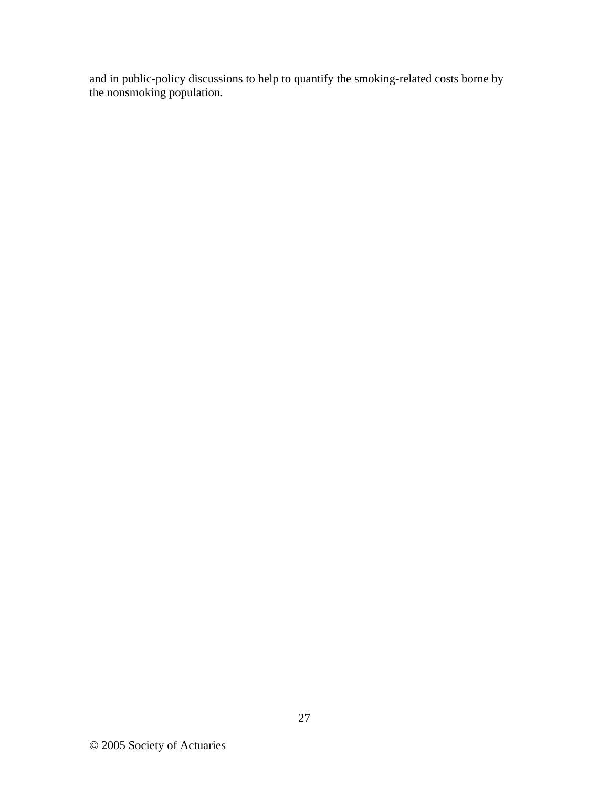and in public-policy discussions to help to quantify the smoking-related costs borne by the nonsmoking population.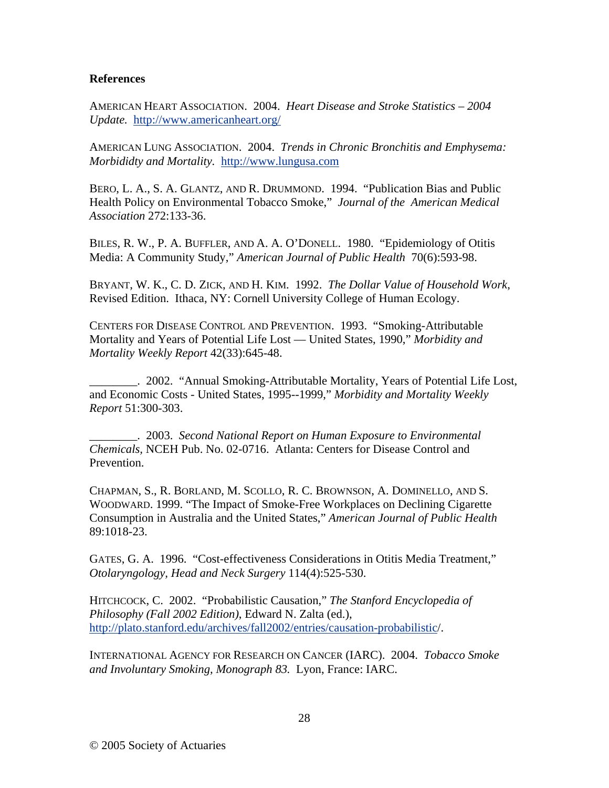#### **References**

AMERICAN HEART ASSOCIATION. 2004. *Heart Disease and Stroke Statistics – 2004 Update.* http://www.americanheart.org/

AMERICAN LUNG ASSOCIATION. 2004. *Trends in Chronic Bronchitis and Emphysema: Morbididty and Mortality.* http://www.lungusa.com

BERO, L. A., S. A. GLANTZ, AND R. DRUMMOND. 1994. "Publication Bias and Public Health Policy on Environmental Tobacco Smoke," *Journal of the American Medical Association* 272:133-36.

BILES, R. W., P. A. BUFFLER, AND A. A. O'DONELL. 1980. "Epidemiology of Otitis Media: A Community Study," *American Journal of Public Health* 70(6):593-98.

BRYANT, W. K., C. D. ZICK, AND H. KIM. 1992. *The Dollar Value of Household Work*, Revised Edition. Ithaca, NY: Cornell University College of Human Ecology.

CENTERS FOR DISEASE CONTROL AND PREVENTION. 1993. "Smoking-Attributable Mortality and Years of Potential Life Lost — United States, 1990," *Morbidity and Mortality Weekly Report* 42(33):645-48.

\_\_\_\_\_\_\_\_. 2002. "Annual Smoking-Attributable Mortality, Years of Potential Life Lost, and Economic Costs - United States, 1995--1999," *Morbidity and Mortality Weekly Report* 51:300-303.

\_\_\_\_\_\_\_\_. 2003. *Second National Report on Human Exposure to Environmental Chemicals,* NCEH Pub. No. 02-0716. Atlanta: Centers for Disease Control and Prevention.

CHAPMAN, S., R. BORLAND, M. SCOLLO, R. C. BROWNSON, A. DOMINELLO, AND S. WOODWARD. 1999. "The Impact of Smoke-Free Workplaces on Declining Cigarette Consumption in Australia and the United States," *American Journal of Public Health* 89:1018-23.

GATES, G. A. 1996. "Cost-effectiveness Considerations in Otitis Media Treatment," *Otolaryngology, Head and Neck Surgery* 114(4):525-530.

HITCHCOCK, C. 2002. "Probabilistic Causation," *The Stanford Encyclopedia of Philosophy (Fall 2002 Edition)*, Edward N. Zalta (ed.), http://plato.stanford.edu/archives/fall2002/entries/causation-probabilistic/.

INTERNATIONAL AGENCY FOR RESEARCH ON CANCER (IARC). 2004. *Tobacco Smoke and Involuntary Smoking, Monograph 83.* Lyon, France: IARC.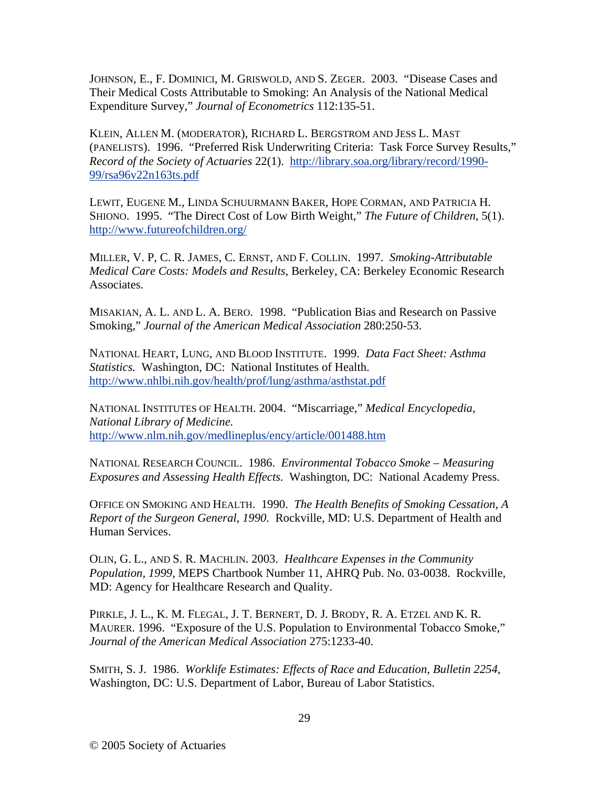JOHNSON, E., F. DOMINICI, M. GRISWOLD, AND S. ZEGER. 2003. "Disease Cases and Their Medical Costs Attributable to Smoking: An Analysis of the National Medical Expenditure Survey," *Journal of Econometrics* 112:135-51.

KLEIN, ALLEN M. (MODERATOR), RICHARD L. BERGSTROM AND JESS L. MAST (PANELISTS). 1996. "Preferred Risk Underwriting Criteria: Task Force Survey Results," *Record of the Society of Actuaries* 22(1). http://library.soa.org/library/record/1990- 99/rsa96v22n163ts.pdf

LEWIT, EUGENE M., LINDA SCHUURMANN BAKER, HOPE CORMAN, AND PATRICIA H. SHIONO. 1995. "The Direct Cost of Low Birth Weight," *The Future of Children,* 5(1). http://www.futureofchildren.org/

MILLER, V. P, C. R. JAMES, C. ERNST, AND F. COLLIN. 1997. *Smoking-Attributable Medical Care Costs: Models and Results*, Berkeley, CA: Berkeley Economic Research Associates.

MISAKIAN, A. L. AND L. A. BERO. 1998. "Publication Bias and Research on Passive Smoking," *Journal of the American Medical Association* 280:250-53.

NATIONAL HEART, LUNG, AND BLOOD INSTITUTE. 1999. *Data Fact Sheet: Asthma Statistics.* Washington, DC: National Institutes of Health. http://www.nhlbi.nih.gov/health/prof/lung/asthma/asthstat.pdf

NATIONAL INSTITUTES OF HEALTH. 2004. "Miscarriage," *Medical Encyclopedia, National Library of Medicine.* http://www.nlm.nih.gov/medlineplus/ency/article/001488.htm

NATIONAL RESEARCH COUNCIL. 1986. *Environmental Tobacco Smoke – Measuring Exposures and Assessing Health Effects.* Washington, DC: National Academy Press.

OFFICE ON SMOKING AND HEALTH. 1990. *The Health Benefits of Smoking Cessation, A Report of the Surgeon General, 1990.* Rockville, MD: U.S. Department of Health and Human Services.

OLIN, G. L., AND S. R. MACHLIN. 2003. *Healthcare Expenses in the Community Population, 1999*, MEPS Chartbook Number 11, AHRQ Pub. No. 03-0038. Rockville, MD: Agency for Healthcare Research and Quality.

PIRKLE, J. L., K. M. FLEGAL, J. T. BERNERT, D. J. BRODY, R. A. ETZEL AND K. R. MAURER. 1996. "Exposure of the U.S. Population to Environmental Tobacco Smoke," *Journal of the American Medical Association* 275:1233-40.

SMITH, S. J. 1986. *Worklife Estimates: Effects of Race and Education, Bulletin 2254*, Washington, DC: U.S. Department of Labor, Bureau of Labor Statistics.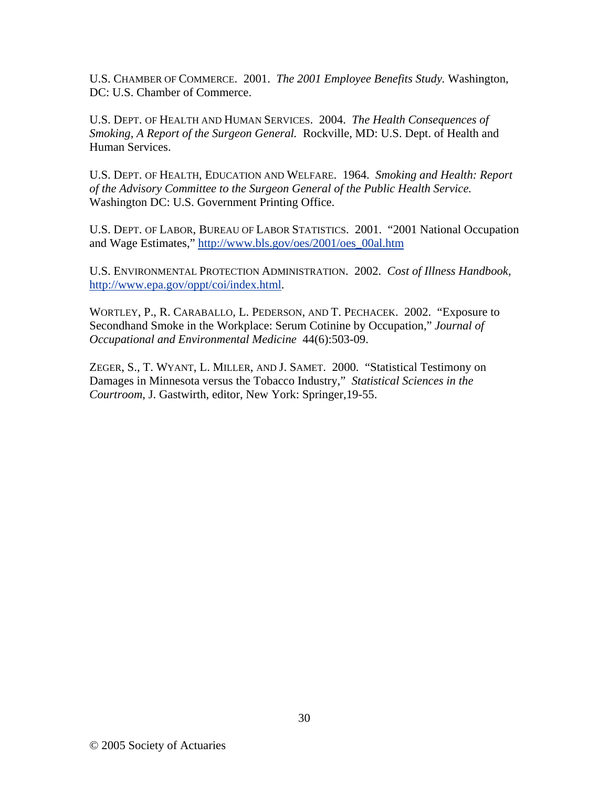U.S. CHAMBER OF COMMERCE. 2001. *The 2001 Employee Benefits Study.* Washington, DC: U.S. Chamber of Commerce.

U.S. DEPT. OF HEALTH AND HUMAN SERVICES. 2004. *The Health Consequences of Smoking, A Report of the Surgeon General.* Rockville, MD: U.S. Dept. of Health and Human Services.

U.S. DEPT. OF HEALTH, EDUCATION AND WELFARE. 1964. *Smoking and Health: Report of the Advisory Committee to the Surgeon General of the Public Health Service.* Washington DC: U.S. Government Printing Office.

U.S. DEPT. OF LABOR, BUREAU OF LABOR STATISTICS. 2001. "2001 National Occupation and Wage Estimates," http://www.bls.gov/oes/2001/oes\_00al.htm

U.S. ENVIRONMENTAL PROTECTION ADMINISTRATION. 2002. *Cost of Illness Handbook*, http://www.epa.gov/oppt/coi/index.html.

WORTLEY, P., R. CARABALLO, L. PEDERSON, AND T. PECHACEK. 2002. "Exposure to Secondhand Smoke in the Workplace: Serum Cotinine by Occupation," *Journal of Occupational and Environmental Medicine* 44(6):503-09.

ZEGER, S., T. WYANT, L. MILLER, AND J. SAMET. 2000. "Statistical Testimony on Damages in Minnesota versus the Tobacco Industry," *Statistical Sciences in the Courtroom*, J. Gastwirth, editor, New York: Springer,19-55.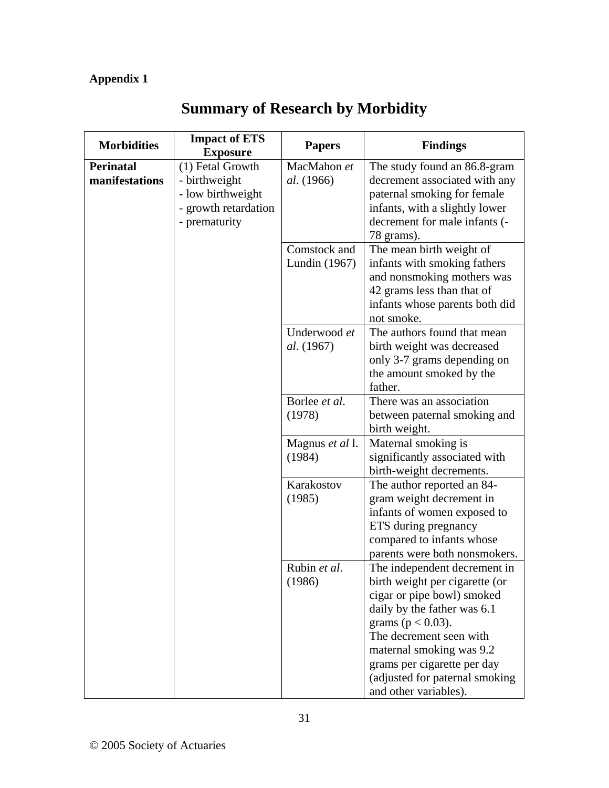# **Appendix 1**

| <b>Morbidities</b>                 | <b>Impact of ETS</b><br><b>Exposure</b>                                                         | <b>Papers</b>                    | <b>Findings</b>                                                                                                                                                                                                                                                                                       |
|------------------------------------|-------------------------------------------------------------------------------------------------|----------------------------------|-------------------------------------------------------------------------------------------------------------------------------------------------------------------------------------------------------------------------------------------------------------------------------------------------------|
| <b>Perinatal</b><br>manifestations | (1) Fetal Growth<br>- birthweight<br>- low birthweight<br>- growth retardation<br>- prematurity | MacMahon et<br><i>al.</i> (1966) | The study found an 86.8-gram<br>decrement associated with any<br>paternal smoking for female<br>infants, with a slightly lower<br>decrement for male infants (-<br>78 grams).                                                                                                                         |
|                                    |                                                                                                 | Comstock and<br>Lundin (1967)    | The mean birth weight of<br>infants with smoking fathers<br>and nonsmoking mothers was<br>42 grams less than that of<br>infants whose parents both did<br>not smoke.                                                                                                                                  |
|                                    |                                                                                                 | Underwood et<br>al. (1967)       | The authors found that mean<br>birth weight was decreased<br>only 3-7 grams depending on<br>the amount smoked by the<br>father.                                                                                                                                                                       |
|                                    |                                                                                                 | Borlee et al.<br>(1978)          | There was an association<br>between paternal smoking and<br>birth weight.                                                                                                                                                                                                                             |
|                                    |                                                                                                 | Magnus et al 1.<br>(1984)        | Maternal smoking is<br>significantly associated with<br>birth-weight decrements.                                                                                                                                                                                                                      |
|                                    |                                                                                                 | Karakostov<br>(1985)             | The author reported an 84-<br>gram weight decrement in<br>infants of women exposed to<br>ETS during pregnancy<br>compared to infants whose<br>parents were both nonsmokers.                                                                                                                           |
|                                    |                                                                                                 | Rubin et al.<br>(1986)           | The independent decrement in<br>birth weight per cigarette (or<br>cigar or pipe bowl) smoked<br>daily by the father was 6.1<br>grams ( $p < 0.03$ ).<br>The decrement seen with<br>maternal smoking was 9.2<br>grams per cigarette per day<br>(adjusted for paternal smoking<br>and other variables). |

# **Summary of Research by Morbidity**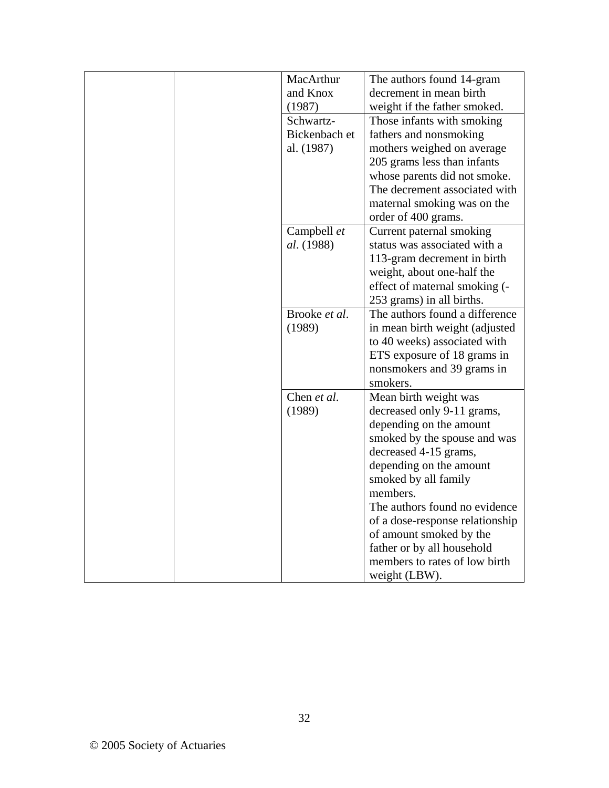| MacArthur         | The authors found 14-gram       |
|-------------------|---------------------------------|
| and Knox          | decrement in mean birth         |
| (1987)            | weight if the father smoked.    |
| Schwartz-         | Those infants with smoking      |
| Bickenbach et     | fathers and nonsmoking          |
| al. (1987)        | mothers weighed on average      |
|                   | 205 grams less than infants     |
|                   | whose parents did not smoke.    |
|                   | The decrement associated with   |
|                   | maternal smoking was on the     |
|                   | order of 400 grams.             |
| Campbell et       | Current paternal smoking        |
| <i>al.</i> (1988) | status was associated with a    |
|                   | 113-gram decrement in birth     |
|                   | weight, about one-half the      |
|                   | effect of maternal smoking (-   |
|                   | 253 grams) in all births.       |
| Brooke et al.     | The authors found a difference  |
| (1989)            | in mean birth weight (adjusted  |
|                   | to 40 weeks) associated with    |
|                   | ETS exposure of 18 grams in     |
|                   | nonsmokers and 39 grams in      |
|                   | smokers.                        |
| Chen et al.       | Mean birth weight was           |
| (1989)            | decreased only 9-11 grams,      |
|                   | depending on the amount         |
|                   | smoked by the spouse and was    |
|                   | decreased 4-15 grams,           |
|                   | depending on the amount         |
|                   | smoked by all family            |
|                   | members.                        |
|                   | The authors found no evidence   |
|                   | of a dose-response relationship |
|                   | of amount smoked by the         |
|                   | father or by all household      |
|                   | members to rates of low birth   |
|                   | weight (LBW).                   |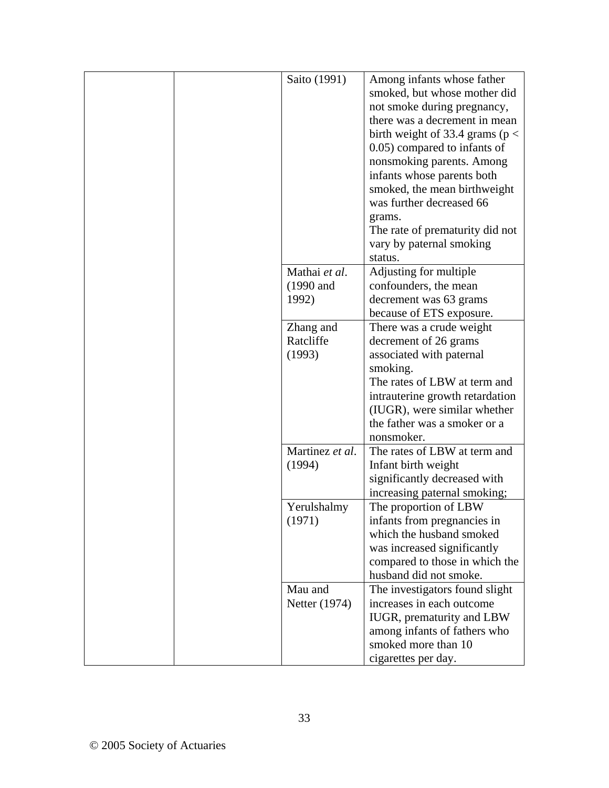| Saito (1991)         | Among infants whose father<br>smoked, but whose mother did<br>not smoke during pregnancy,<br>there was a decrement in mean<br>birth weight of 33.4 grams ( $p <$<br>0.05) compared to infants of<br>nonsmoking parents. Among<br>infants whose parents both<br>smoked, the mean birthweight<br>was further decreased 66<br>grams.<br>The rate of prematurity did not<br>vary by paternal smoking<br>status. |
|----------------------|-------------------------------------------------------------------------------------------------------------------------------------------------------------------------------------------------------------------------------------------------------------------------------------------------------------------------------------------------------------------------------------------------------------|
| Mathai et al.        | Adjusting for multiple                                                                                                                                                                                                                                                                                                                                                                                      |
| $(1990 \text{ and }$ | confounders, the mean                                                                                                                                                                                                                                                                                                                                                                                       |
| 1992)                | decrement was 63 grams                                                                                                                                                                                                                                                                                                                                                                                      |
|                      | because of ETS exposure.                                                                                                                                                                                                                                                                                                                                                                                    |
| Zhang and            | There was a crude weight                                                                                                                                                                                                                                                                                                                                                                                    |
| Ratcliffe            | decrement of 26 grams                                                                                                                                                                                                                                                                                                                                                                                       |
| (1993)               | associated with paternal                                                                                                                                                                                                                                                                                                                                                                                    |
|                      | smoking.                                                                                                                                                                                                                                                                                                                                                                                                    |
|                      | The rates of LBW at term and                                                                                                                                                                                                                                                                                                                                                                                |
|                      | intrauterine growth retardation                                                                                                                                                                                                                                                                                                                                                                             |
|                      | (IUGR), were similar whether                                                                                                                                                                                                                                                                                                                                                                                |
|                      | the father was a smoker or a                                                                                                                                                                                                                                                                                                                                                                                |
|                      | nonsmoker.                                                                                                                                                                                                                                                                                                                                                                                                  |
| Martinez et al.      | The rates of LBW at term and                                                                                                                                                                                                                                                                                                                                                                                |
| (1994)               | Infant birth weight                                                                                                                                                                                                                                                                                                                                                                                         |
|                      | significantly decreased with                                                                                                                                                                                                                                                                                                                                                                                |
|                      | increasing paternal smoking;                                                                                                                                                                                                                                                                                                                                                                                |
| Yerulshalmy          | The proportion of LBW                                                                                                                                                                                                                                                                                                                                                                                       |
| (1971)               | infants from pregnancies in                                                                                                                                                                                                                                                                                                                                                                                 |
|                      | which the husband smoked                                                                                                                                                                                                                                                                                                                                                                                    |
|                      | was increased significantly                                                                                                                                                                                                                                                                                                                                                                                 |
|                      | compared to those in which the                                                                                                                                                                                                                                                                                                                                                                              |
|                      | husband did not smoke.                                                                                                                                                                                                                                                                                                                                                                                      |
| Mau and              | The investigators found slight                                                                                                                                                                                                                                                                                                                                                                              |
| Netter (1974)        | increases in each outcome                                                                                                                                                                                                                                                                                                                                                                                   |
|                      | IUGR, prematurity and LBW                                                                                                                                                                                                                                                                                                                                                                                   |
|                      | among infants of fathers who                                                                                                                                                                                                                                                                                                                                                                                |
|                      | smoked more than 10                                                                                                                                                                                                                                                                                                                                                                                         |
|                      | cigarettes per day.                                                                                                                                                                                                                                                                                                                                                                                         |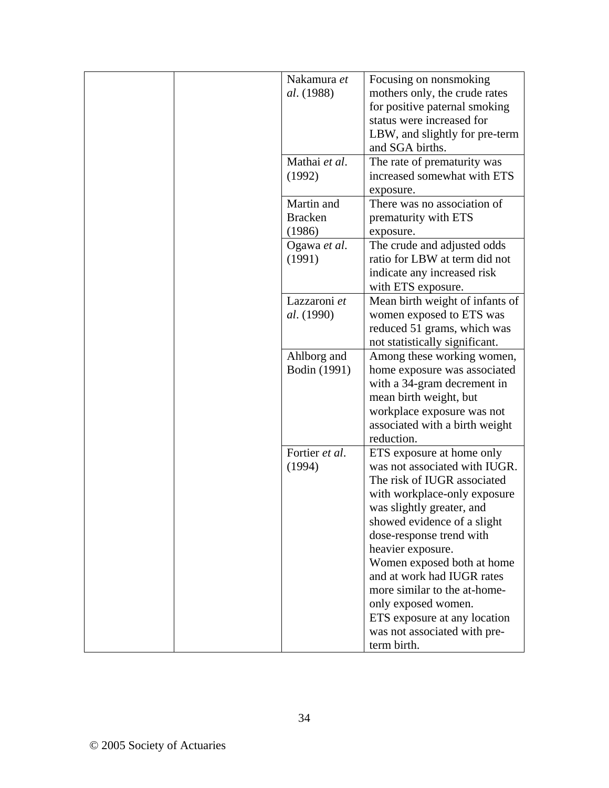|  | Nakamura et       | Focusing on nonsmoking                                     |
|--|-------------------|------------------------------------------------------------|
|  | <i>al.</i> (1988) | mothers only, the crude rates                              |
|  |                   | for positive paternal smoking<br>status were increased for |
|  |                   |                                                            |
|  |                   | LBW, and slightly for pre-term<br>and SGA births.          |
|  | Mathai et al.     |                                                            |
|  | (1992)            | The rate of prematurity was<br>increased somewhat with ETS |
|  |                   | exposure.                                                  |
|  | Martin and        | There was no association of                                |
|  | <b>Bracken</b>    | prematurity with ETS                                       |
|  | (1986)            | exposure.                                                  |
|  | Ogawa et al.      | The crude and adjusted odds                                |
|  | (1991)            | ratio for LBW at term did not                              |
|  |                   | indicate any increased risk                                |
|  |                   | with ETS exposure.                                         |
|  | Lazzaroni et      | Mean birth weight of infants of                            |
|  | al. (1990)        | women exposed to ETS was                                   |
|  |                   | reduced 51 grams, which was                                |
|  |                   | not statistically significant.                             |
|  | Ahlborg and       | Among these working women,                                 |
|  | Bodin (1991)      | home exposure was associated                               |
|  |                   | with a 34-gram decrement in                                |
|  |                   | mean birth weight, but                                     |
|  |                   | workplace exposure was not                                 |
|  |                   | associated with a birth weight                             |
|  |                   | reduction.                                                 |
|  | Fortier et al.    | ETS exposure at home only                                  |
|  | (1994)            | was not associated with IUGR.                              |
|  |                   | The risk of IUGR associated                                |
|  |                   | with workplace-only exposure                               |
|  |                   | was slightly greater, and                                  |
|  |                   | showed evidence of a slight                                |
|  |                   | dose-response trend with                                   |
|  |                   | heavier exposure.                                          |
|  |                   | Women exposed both at home<br>and at work had IUGR rates   |
|  |                   | more similar to the at-home-                               |
|  |                   | only exposed women.                                        |
|  |                   | ETS exposure at any location                               |
|  |                   | was not associated with pre-                               |
|  |                   | term birth.                                                |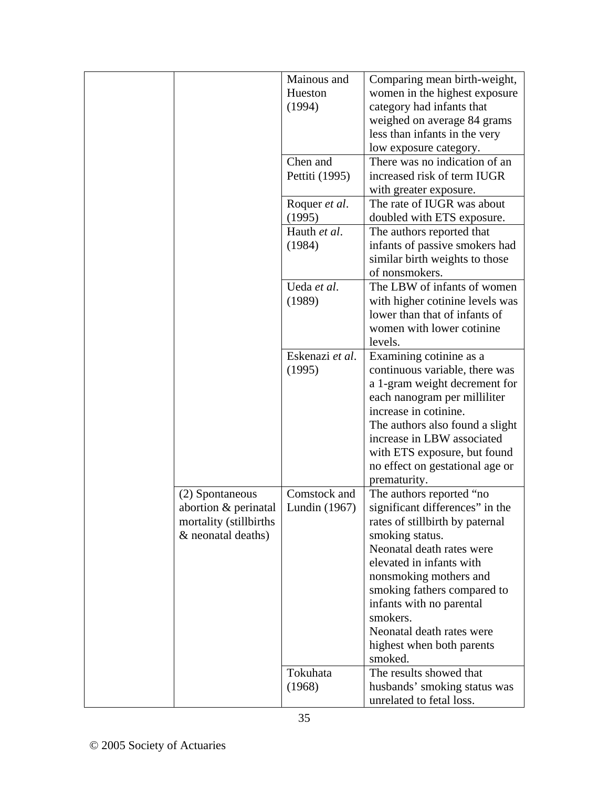|                        | Mainous and     | Comparing mean birth-weight,    |
|------------------------|-----------------|---------------------------------|
|                        | Hueston         | women in the highest exposure   |
|                        | (1994)          | category had infants that       |
|                        |                 | weighed on average 84 grams     |
|                        |                 | less than infants in the very   |
|                        |                 | low exposure category.          |
|                        | Chen and        | There was no indication of an   |
|                        | Pettiti (1995)  | increased risk of term IUGR     |
|                        |                 | with greater exposure.          |
|                        | Roquer et al.   | The rate of IUGR was about      |
|                        | (1995)          | doubled with ETS exposure.      |
|                        | Hauth et al.    | The authors reported that       |
|                        | (1984)          | infants of passive smokers had  |
|                        |                 | similar birth weights to those  |
|                        |                 | of nonsmokers.                  |
|                        | Ueda et al.     | The LBW of infants of women     |
|                        | (1989)          | with higher cotinine levels was |
|                        |                 | lower than that of infants of   |
|                        |                 | women with lower cotinine       |
|                        |                 | levels.                         |
|                        | Eskenazi et al. |                                 |
|                        |                 | Examining cotinine as a         |
|                        | (1995)          | continuous variable, there was  |
|                        |                 | a 1-gram weight decrement for   |
|                        |                 | each nanogram per milliliter    |
|                        |                 | increase in cotinine.           |
|                        |                 | The authors also found a slight |
|                        |                 | increase in LBW associated      |
|                        |                 | with ETS exposure, but found    |
|                        |                 | no effect on gestational age or |
|                        |                 | prematurity.                    |
| (2) Spontaneous        | Comstock and    | The authors reported "no        |
| abortion & perinatal   | Lundin (1967)   | significant differences" in the |
| mortality (stillbirths |                 | rates of stillbirth by paternal |
| & neonatal deaths)     |                 | smoking status.                 |
|                        |                 | Neonatal death rates were       |
|                        |                 | elevated in infants with        |
|                        |                 | nonsmoking mothers and          |
|                        |                 | smoking fathers compared to     |
|                        |                 | infants with no parental        |
|                        |                 | smokers.                        |
|                        |                 | Neonatal death rates were       |
|                        |                 | highest when both parents       |
|                        |                 | smoked.                         |
|                        | Tokuhata        | The results showed that         |
|                        | (1968)          | husbands' smoking status was    |
|                        |                 | unrelated to fetal loss.        |
|                        | 35              |                                 |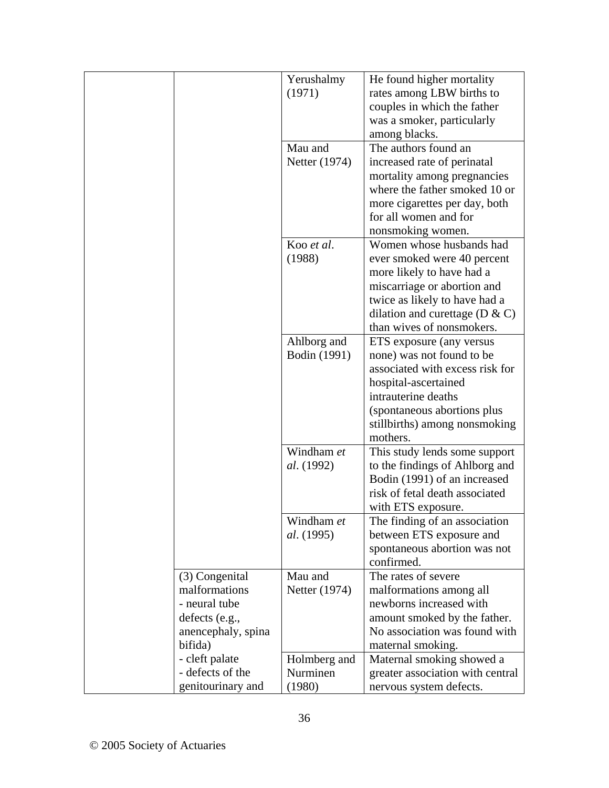|                    | Yerushalmy        | He found higher mortality          |
|--------------------|-------------------|------------------------------------|
|                    | (1971)            | rates among LBW births to          |
|                    |                   | couples in which the father        |
|                    |                   | was a smoker, particularly         |
|                    |                   | among blacks.                      |
|                    | Mau and           | The authors found an               |
|                    | Netter (1974)     | increased rate of perinatal        |
|                    |                   | mortality among pregnancies        |
|                    |                   | where the father smoked 10 or      |
|                    |                   | more cigarettes per day, both      |
|                    |                   | for all women and for              |
|                    |                   | nonsmoking women.                  |
|                    | Koo et al.        | Women whose husbands had           |
|                    | (1988)            | ever smoked were 40 percent        |
|                    |                   | more likely to have had a          |
|                    |                   | miscarriage or abortion and        |
|                    |                   | twice as likely to have had a      |
|                    |                   | dilation and curettage ( $D & C$ ) |
|                    |                   | than wives of nonsmokers.          |
|                    | Ahlborg and       | ETS exposure (any versus           |
|                    | Bodin (1991)      | none) was not found to be          |
|                    |                   | associated with excess risk for    |
|                    |                   | hospital-ascertained               |
|                    |                   | intrauterine deaths                |
|                    |                   | (spontaneous abortions plus        |
|                    |                   | stillbirths) among nonsmoking      |
|                    |                   | mothers.                           |
|                    | Windham et        | This study lends some support      |
|                    | <i>al.</i> (1992) | to the findings of Ahlborg and     |
|                    |                   | Bodin (1991) of an increased       |
|                    |                   | risk of fetal death associated     |
|                    |                   | with ETS exposure.                 |
|                    | Windham et        | The finding of an association      |
|                    | <i>al.</i> (1995) | between ETS exposure and           |
|                    |                   | spontaneous abortion was not       |
|                    |                   | confirmed.                         |
| (3) Congenital     | Mau and           | The rates of severe                |
| malformations      | Netter (1974)     | malformations among all            |
| - neural tube      |                   | newborns increased with            |
| defects (e.g.,     |                   | amount smoked by the father.       |
| anencephaly, spina |                   | No association was found with      |
| bifida)            |                   | maternal smoking.                  |
| - cleft palate     | Holmberg and      | Maternal smoking showed a          |
| - defects of the   | Nurminen          | greater association with central   |
| genitourinary and  | (1980)            | nervous system defects.            |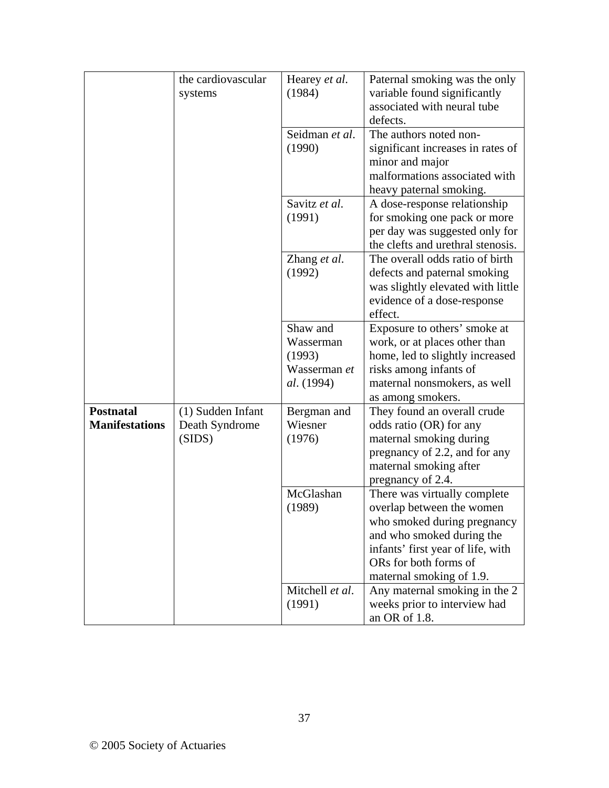|                       | the cardiovascular | Hearey et al.     | Paternal smoking was the only                                           |
|-----------------------|--------------------|-------------------|-------------------------------------------------------------------------|
|                       | systems            | (1984)            | variable found significantly<br>associated with neural tube<br>defects. |
|                       |                    | Seidman et al.    | The authors noted non-                                                  |
|                       |                    | (1990)            | significant increases in rates of                                       |
|                       |                    |                   | minor and major                                                         |
|                       |                    |                   | malformations associated with                                           |
|                       |                    |                   | heavy paternal smoking.                                                 |
|                       |                    | Savitz et al.     | A dose-response relationship                                            |
|                       |                    | (1991)            | for smoking one pack or more                                            |
|                       |                    |                   | per day was suggested only for                                          |
|                       |                    |                   | the clefts and urethral stenosis.                                       |
|                       |                    | Zhang et al.      | The overall odds ratio of birth                                         |
|                       |                    | (1992)            | defects and paternal smoking                                            |
|                       |                    |                   | was slightly elevated with little<br>evidence of a dose-response        |
|                       |                    |                   | effect.                                                                 |
|                       |                    | Shaw and          | Exposure to others' smoke at                                            |
|                       |                    | Wasserman         | work, or at places other than                                           |
|                       |                    | (1993)            | home, led to slightly increased                                         |
|                       |                    | Wasserman et      | risks among infants of                                                  |
|                       |                    | <i>al.</i> (1994) | maternal nonsmokers, as well                                            |
|                       |                    |                   | as among smokers.                                                       |
| <b>Postnatal</b>      | (1) Sudden Infant  | Bergman and       | They found an overall crude                                             |
| <b>Manifestations</b> | Death Syndrome     | Wiesner           | odds ratio (OR) for any                                                 |
|                       | (SIDS)             | (1976)            | maternal smoking during                                                 |
|                       |                    |                   | pregnancy of 2.2, and for any                                           |
|                       |                    |                   | maternal smoking after                                                  |
|                       |                    | McGlashan         | pregnancy of 2.4.                                                       |
|                       |                    | (1989)            | There was virtually complete<br>overlap between the women               |
|                       |                    |                   | who smoked during pregnancy                                             |
|                       |                    |                   | and who smoked during the                                               |
|                       |                    |                   | infants' first year of life, with                                       |
|                       |                    |                   | ORs for both forms of                                                   |
|                       |                    |                   | maternal smoking of 1.9.                                                |
|                       |                    | Mitchell et al.   | Any maternal smoking in the 2                                           |
|                       |                    | (1991)            | weeks prior to interview had                                            |
|                       |                    |                   | an OR of 1.8.                                                           |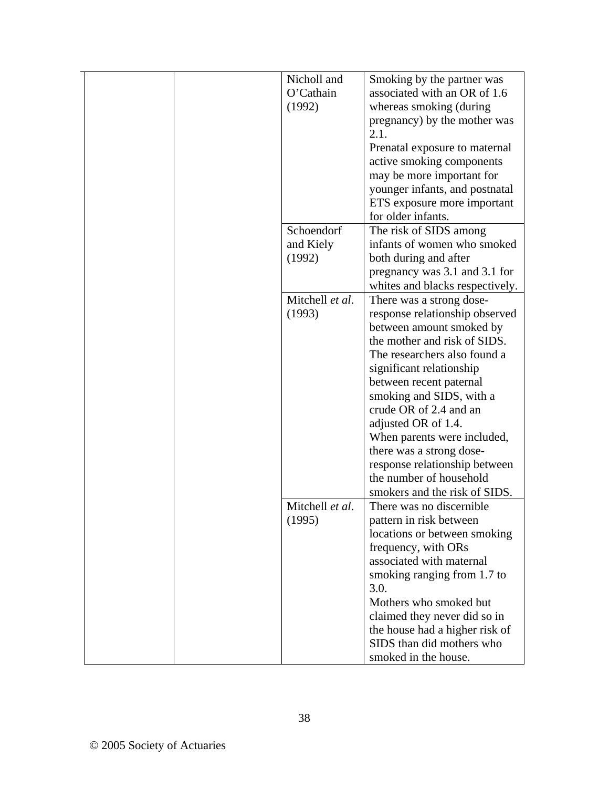| Nicholl and<br>O'Cathain<br>(1992) | Smoking by the partner was<br>associated with an OR of 1.6<br>whereas smoking (during<br>pregnancy) by the mother was<br>2.1.<br>Prenatal exposure to maternal<br>active smoking components<br>may be more important for<br>younger infants, and postnatal<br>ETS exposure more important<br>for older infants.                                                                                                                                    |
|------------------------------------|----------------------------------------------------------------------------------------------------------------------------------------------------------------------------------------------------------------------------------------------------------------------------------------------------------------------------------------------------------------------------------------------------------------------------------------------------|
| Schoendorf<br>and Kiely<br>(1992)  | The risk of SIDS among<br>infants of women who smoked<br>both during and after<br>pregnancy was 3.1 and 3.1 for<br>whites and blacks respectively.                                                                                                                                                                                                                                                                                                 |
| Mitchell et al.<br>(1993)          | There was a strong dose-<br>response relationship observed<br>between amount smoked by<br>the mother and risk of SIDS.<br>The researchers also found a<br>significant relationship<br>between recent paternal<br>smoking and SIDS, with a<br>crude OR of 2.4 and an<br>adjusted OR of 1.4.<br>When parents were included,<br>there was a strong dose-<br>response relationship between<br>the number of household<br>smokers and the risk of SIDS. |
| Mitchell et al.<br>(1995)          | There was no discernible<br>pattern in risk between<br>locations or between smoking<br>frequency, with ORs<br>associated with maternal<br>smoking ranging from 1.7 to<br>3.0.<br>Mothers who smoked but<br>claimed they never did so in<br>the house had a higher risk of<br>SIDS than did mothers who<br>smoked in the house.                                                                                                                     |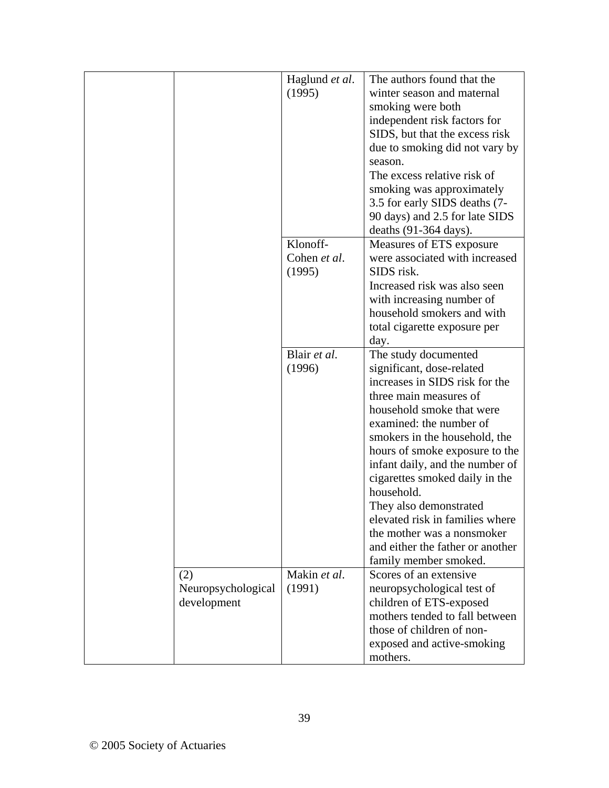|                                          | Haglund et al.<br>(1995)           | The authors found that the<br>winter season and maternal<br>smoking were both<br>independent risk factors for<br>SIDS, but that the excess risk<br>due to smoking did not vary by<br>season.<br>The excess relative risk of<br>smoking was approximately<br>3.5 for early SIDS deaths (7-<br>90 days) and 2.5 for late SIDS<br>deaths $(91-364 \text{ days})$ .                                                                                                                     |
|------------------------------------------|------------------------------------|-------------------------------------------------------------------------------------------------------------------------------------------------------------------------------------------------------------------------------------------------------------------------------------------------------------------------------------------------------------------------------------------------------------------------------------------------------------------------------------|
|                                          | Klonoff-<br>Cohen et al.<br>(1995) | Measures of ETS exposure<br>were associated with increased<br>SIDS risk.<br>Increased risk was also seen<br>with increasing number of<br>household smokers and with<br>total cigarette exposure per<br>day.                                                                                                                                                                                                                                                                         |
|                                          | Blair et al.<br>(1996)             | The study documented<br>significant, dose-related<br>increases in SIDS risk for the<br>three main measures of<br>household smoke that were<br>examined: the number of<br>smokers in the household, the<br>hours of smoke exposure to the<br>infant daily, and the number of<br>cigarettes smoked daily in the<br>household.<br>They also demonstrated<br>elevated risk in families where<br>the mother was a nonsmoker<br>and either the father or another<br>family member smoked. |
| (2)<br>Neuropsychological<br>development | Makin et al.<br>(1991)             | Scores of an extensive<br>neuropsychological test of<br>children of ETS-exposed<br>mothers tended to fall between<br>those of children of non-<br>exposed and active-smoking<br>mothers.                                                                                                                                                                                                                                                                                            |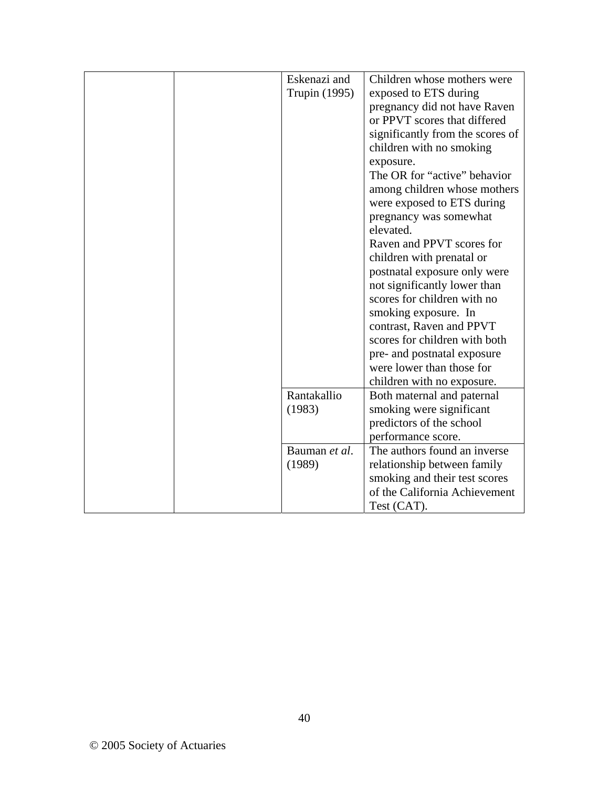|  | Eskenazi and<br>Trupin (1995) | Children whose mothers were<br>exposed to ETS during<br>pregnancy did not have Raven<br>or PPVT scores that differed<br>significantly from the scores of<br>children with no smoking<br>exposure.<br>The OR for "active" behavior<br>among children whose mothers<br>were exposed to ETS during<br>pregnancy was somewhat<br>elevated.<br>Raven and PPVT scores for<br>children with prenatal or<br>postnatal exposure only were<br>not significantly lower than<br>scores for children with no<br>smoking exposure. In |
|--|-------------------------------|-------------------------------------------------------------------------------------------------------------------------------------------------------------------------------------------------------------------------------------------------------------------------------------------------------------------------------------------------------------------------------------------------------------------------------------------------------------------------------------------------------------------------|
|  |                               | pre- and postnatal exposure<br>were lower than those for<br>children with no exposure.                                                                                                                                                                                                                                                                                                                                                                                                                                  |
|  | Rantakallio<br>(1983)         | Both maternal and paternal<br>smoking were significant<br>predictors of the school<br>performance score.                                                                                                                                                                                                                                                                                                                                                                                                                |
|  | Bauman et al.<br>(1989)       | The authors found an inverse<br>relationship between family<br>smoking and their test scores<br>of the California Achievement<br>Test (CAT).                                                                                                                                                                                                                                                                                                                                                                            |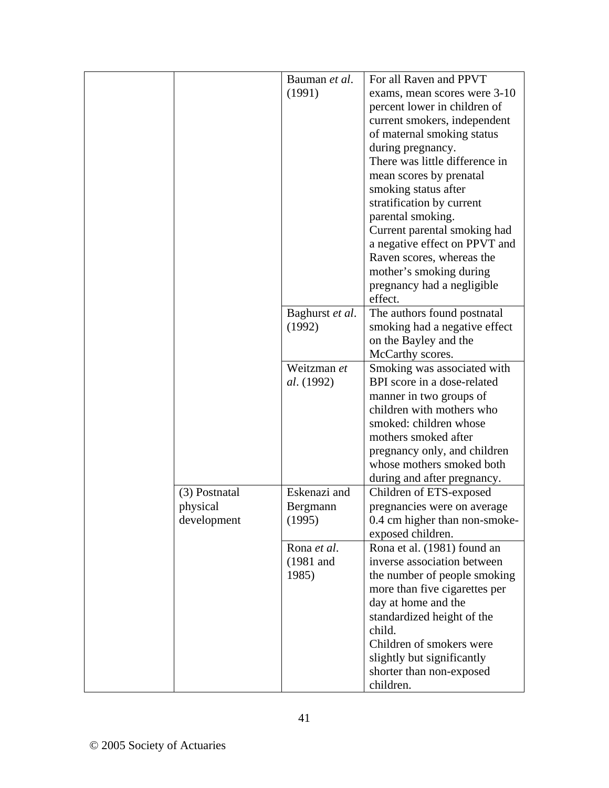|               | Bauman et al.     | For all Raven and PPVT         |
|---------------|-------------------|--------------------------------|
|               | (1991)            | exams, mean scores were 3-10   |
|               |                   | percent lower in children of   |
|               |                   | current smokers, independent   |
|               |                   | of maternal smoking status     |
|               |                   | during pregnancy.              |
|               |                   | There was little difference in |
|               |                   | mean scores by prenatal        |
|               |                   | smoking status after           |
|               |                   | stratification by current      |
|               |                   | parental smoking.              |
|               |                   | Current parental smoking had   |
|               |                   | a negative effect on PPVT and  |
|               |                   | Raven scores, whereas the      |
|               |                   | mother's smoking during        |
|               |                   | pregnancy had a negligible     |
|               |                   | effect.                        |
|               | Baghurst et al.   | The authors found postnatal    |
|               | (1992)            | smoking had a negative effect  |
|               |                   | on the Bayley and the          |
|               |                   | McCarthy scores.               |
|               | Weitzman et       | Smoking was associated with    |
|               | <i>al.</i> (1992) | BPI score in a dose-related    |
|               |                   | manner in two groups of        |
|               |                   | children with mothers who      |
|               |                   | smoked: children whose         |
|               |                   | mothers smoked after           |
|               |                   | pregnancy only, and children   |
|               |                   | whose mothers smoked both      |
|               |                   | during and after pregnancy.    |
| (3) Postnatal | Eskenazi and      | Children of ETS-exposed        |
| physical      | Bergmann          | pregnancies were on average    |
| development   | (1995)            | 0.4 cm higher than non-smoke-  |
|               |                   | exposed children.              |
|               | Rona et al.       | Rona et al. (1981) found an    |
|               | $(1981$ and       | inverse association between    |
|               | 1985)             | the number of people smoking   |
|               |                   | more than five cigarettes per  |
|               |                   | day at home and the            |
|               |                   | standardized height of the     |
|               |                   | child.                         |
|               |                   | Children of smokers were       |
|               |                   | slightly but significantly     |
|               |                   | shorter than non-exposed       |
|               |                   | children.                      |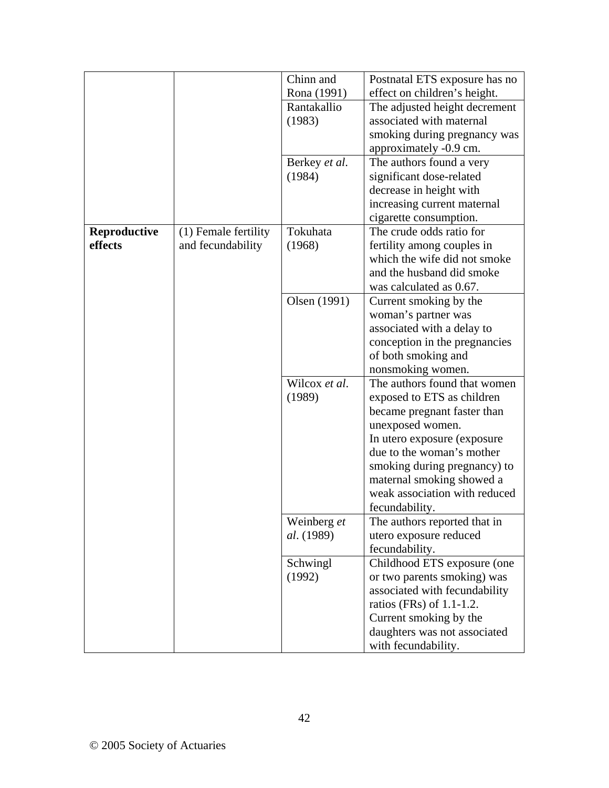|                         |                                           | Chinn and                                       | Postnatal ETS exposure has no                                                                                                                                                                                                                                                             |
|-------------------------|-------------------------------------------|-------------------------------------------------|-------------------------------------------------------------------------------------------------------------------------------------------------------------------------------------------------------------------------------------------------------------------------------------------|
|                         |                                           | Rona (1991)                                     | effect on children's height.                                                                                                                                                                                                                                                              |
|                         |                                           | Rantakallio<br>(1983)                           | The adjusted height decrement<br>associated with maternal<br>smoking during pregnancy was                                                                                                                                                                                                 |
|                         |                                           | Berkey et al.<br>(1984)                         | approximately -0.9 cm.<br>The authors found a very<br>significant dose-related<br>decrease in height with<br>increasing current maternal<br>cigarette consumption.                                                                                                                        |
| Reproductive<br>effects | (1) Female fertility<br>and fecundability | Tokuhata<br>(1968)                              | The crude odds ratio for<br>fertility among couples in<br>which the wife did not smoke<br>and the husband did smoke<br>was calculated as 0.67.                                                                                                                                            |
|                         |                                           | Olsen (1991)                                    | Current smoking by the<br>woman's partner was<br>associated with a delay to<br>conception in the pregnancies<br>of both smoking and<br>nonsmoking women.                                                                                                                                  |
|                         |                                           | Wilcox et al.<br>(1989)                         | The authors found that women<br>exposed to ETS as children<br>became pregnant faster than<br>unexposed women.<br>In utero exposure (exposure<br>due to the woman's mother<br>smoking during pregnancy) to<br>maternal smoking showed a<br>weak association with reduced<br>fecundability. |
|                         |                                           | Weinberg et<br>al. (1989)<br>Schwingl<br>(1992) | The authors reported that in<br>utero exposure reduced<br>fecundability.<br>Childhood ETS exposure (one<br>or two parents smoking) was<br>associated with fecundability<br>ratios (FRs) of $1.1-1.2$ .<br>Current smoking by the<br>daughters was not associated<br>with fecundability.   |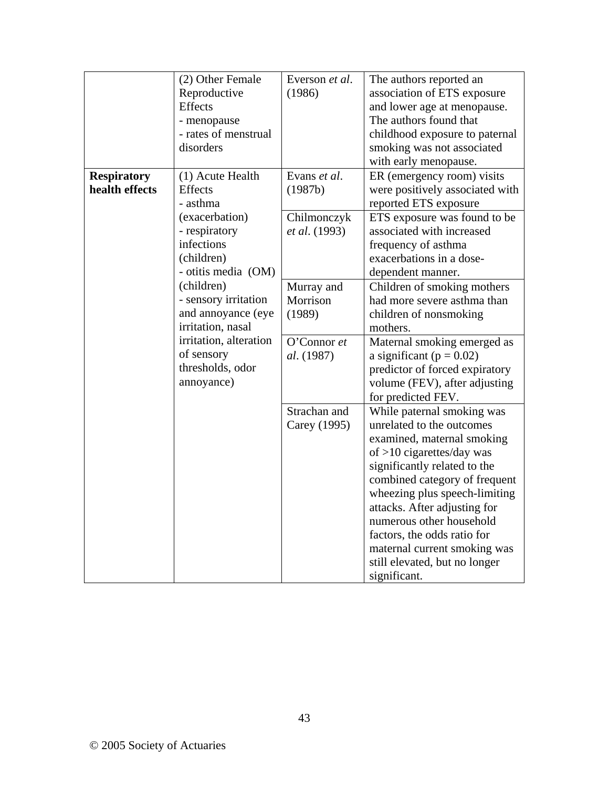|                    | (2) Other Female                            | Everson et al. | The authors reported an                                        |
|--------------------|---------------------------------------------|----------------|----------------------------------------------------------------|
|                    | Reproductive<br>Effects                     | (1986)         | association of ETS exposure<br>and lower age at menopause.     |
|                    | - menopause                                 |                | The authors found that                                         |
|                    | - rates of menstrual                        |                | childhood exposure to paternal                                 |
|                    | disorders                                   |                | smoking was not associated                                     |
|                    |                                             |                | with early menopause.                                          |
| <b>Respiratory</b> | (1) Acute Health                            | Evans et al.   | ER (emergency room) visits                                     |
| health effects     | Effects                                     | (1987b)        | were positively associated with                                |
|                    | - asthma                                    |                | reported ETS exposure                                          |
|                    | (exacerbation)                              | Chilmonczyk    | ETS exposure was found to be                                   |
|                    | - respiratory                               | et al. (1993)  | associated with increased                                      |
|                    | infections                                  |                | frequency of asthma                                            |
|                    | (children)                                  |                | exacerbations in a dose-                                       |
|                    | - otitis media (OM)                         |                | dependent manner.                                              |
|                    | (children)                                  | Murray and     | Children of smoking mothers                                    |
|                    | - sensory irritation                        | Morrison       | had more severe asthma than                                    |
|                    | and annoyance (eye                          | (1989)         | children of nonsmoking                                         |
|                    | irritation, nasal<br>irritation, alteration |                | mothers.                                                       |
|                    | of sensory                                  | O'Connor et    | Maternal smoking emerged as                                    |
|                    | thresholds, odor                            | al. (1987)     | a significant ( $p = 0.02$ )<br>predictor of forced expiratory |
|                    | annoyance)                                  |                | volume (FEV), after adjusting                                  |
|                    |                                             |                | for predicted FEV.                                             |
|                    |                                             | Strachan and   | While paternal smoking was                                     |
|                    |                                             | Carey (1995)   | unrelated to the outcomes                                      |
|                    |                                             |                | examined, maternal smoking                                     |
|                    |                                             |                | of $>10$ cigarettes/day was                                    |
|                    |                                             |                | significantly related to the                                   |
|                    |                                             |                | combined category of frequent                                  |
|                    |                                             |                | wheezing plus speech-limiting                                  |
|                    |                                             |                | attacks. After adjusting for                                   |
|                    |                                             |                | numerous other household                                       |
|                    |                                             |                | factors, the odds ratio for                                    |
|                    |                                             |                | maternal current smoking was                                   |
|                    |                                             |                | still elevated, but no longer                                  |
|                    |                                             |                | significant.                                                   |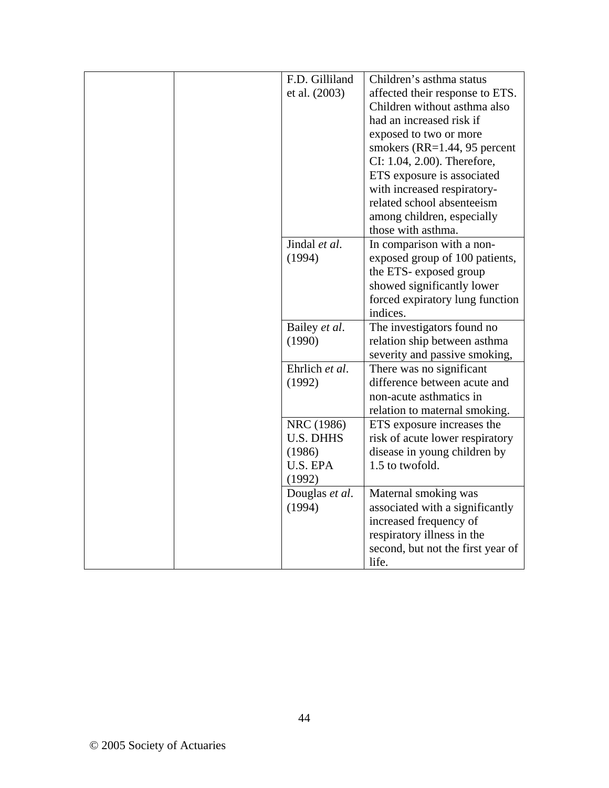| F.D. Gilliland   | Children's asthma status                   |
|------------------|--------------------------------------------|
| et al. (2003)    | affected their response to ETS.            |
|                  | Children without asthma also               |
|                  | had an increased risk if                   |
|                  | exposed to two or more                     |
|                  | smokers $(RR=1.44, 95$ percent             |
|                  | CI: 1.04, 2.00). Therefore,                |
|                  | ETS exposure is associated                 |
|                  | with increased respiratory-                |
|                  | related school absenteeism                 |
|                  | among children, especially                 |
|                  | those with asthma.                         |
| Jindal et al.    | In comparison with a non-                  |
| (1994)           | exposed group of 100 patients,             |
|                  | the ETS- exposed group                     |
|                  | showed significantly lower                 |
|                  | forced expiratory lung function            |
|                  | indices.                                   |
|                  |                                            |
| Bailey et al.    | The investigators found no                 |
| (1990)           | relation ship between asthma               |
|                  | severity and passive smoking,              |
| Ehrlich et al.   | There was no significant                   |
| (1992)           | difference between acute and               |
|                  | non-acute asthmatics in                    |
|                  | relation to maternal smoking.              |
| NRC (1986)       | ETS exposure increases the                 |
| <b>U.S. DHHS</b> | risk of acute lower respiratory            |
| (1986)           | disease in young children by               |
| U.S. EPA         | 1.5 to twofold.                            |
| (1992)           |                                            |
| Douglas et al.   | Maternal smoking was                       |
| (1994)           | associated with a significantly            |
|                  | increased frequency of                     |
|                  | respiratory illness in the                 |
|                  | second, but not the first year of<br>life. |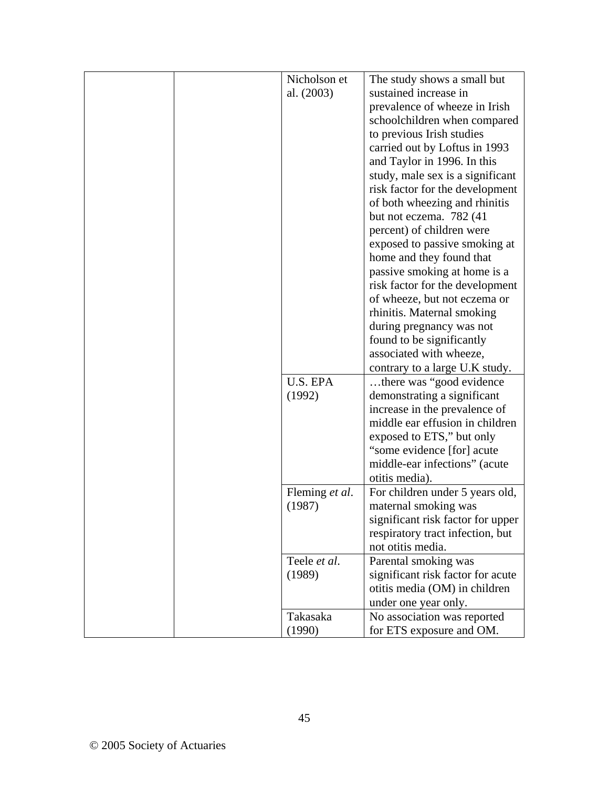| Nicholson et   | The study shows a small but       |
|----------------|-----------------------------------|
| al. (2003)     | sustained increase in             |
|                | prevalence of wheeze in Irish     |
|                | schoolchildren when compared      |
|                | to previous Irish studies         |
|                | carried out by Loftus in 1993     |
|                | and Taylor in 1996. In this       |
|                | study, male sex is a significant  |
|                | risk factor for the development   |
|                | of both wheezing and rhinitis     |
|                | but not eczema. 782 (41)          |
|                | percent) of children were         |
|                | exposed to passive smoking at     |
|                | home and they found that          |
|                | passive smoking at home is a      |
|                | risk factor for the development   |
|                | of wheeze, but not eczema or      |
|                | rhinitis. Maternal smoking        |
|                | during pregnancy was not          |
|                | found to be significantly         |
|                | associated with wheeze,           |
|                | contrary to a large U.K study.    |
| U.S. EPA       | there was "good evidence"         |
| (1992)         | demonstrating a significant       |
|                | increase in the prevalence of     |
|                | middle ear effusion in children   |
|                | exposed to ETS," but only         |
|                | "some evidence [for] acute        |
|                | middle-ear infections" (acute     |
|                | otitis media).                    |
| Fleming et al. | For children under 5 years old,   |
| (1987)         | maternal smoking was              |
|                | significant risk factor for upper |
|                | respiratory tract infection, but  |
|                | not otitis media.                 |
| Teele et al.   | Parental smoking was              |
| (1989)         | significant risk factor for acute |
|                | otitis media (OM) in children     |
|                | under one year only.              |
| Takasaka       | No association was reported       |
| (1990)         | for ETS exposure and OM.          |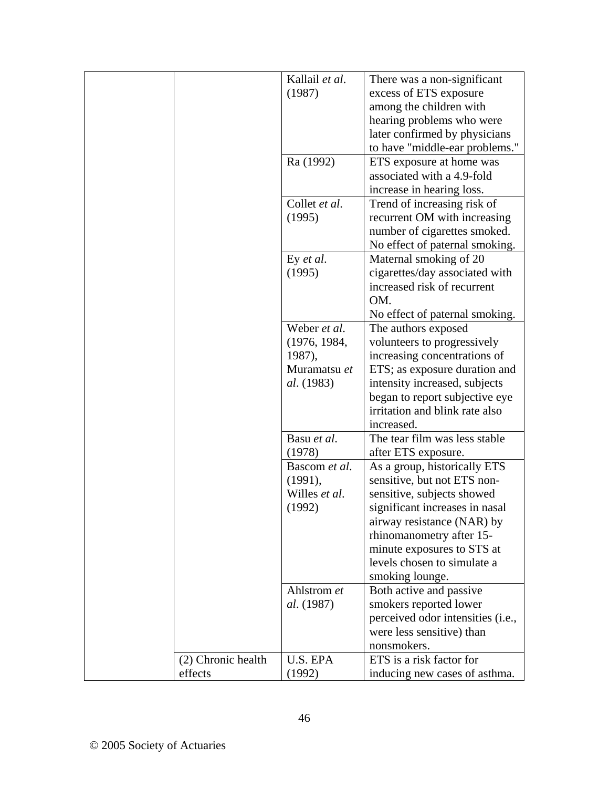|                    | Kallail et al.    | There was a non-significant       |
|--------------------|-------------------|-----------------------------------|
|                    | (1987)            | excess of ETS exposure            |
|                    |                   | among the children with           |
|                    |                   | hearing problems who were         |
|                    |                   | later confirmed by physicians     |
|                    |                   | to have "middle-ear problems."    |
|                    | Ra (1992)         | ETS exposure at home was          |
|                    |                   | associated with a 4.9-fold        |
|                    |                   | increase in hearing loss.         |
|                    | Collet et al.     | Trend of increasing risk of       |
|                    | (1995)            | recurrent OM with increasing      |
|                    |                   | number of cigarettes smoked.      |
|                    |                   | No effect of paternal smoking.    |
|                    | Ey et al.         | Maternal smoking of 20            |
|                    | (1995)            | cigarettes/day associated with    |
|                    |                   | increased risk of recurrent       |
|                    |                   | OM.                               |
|                    |                   | No effect of paternal smoking.    |
|                    | Weber et al.      | The authors exposed               |
|                    | (1976, 1984,      | volunteers to progressively       |
|                    | 1987),            | increasing concentrations of      |
|                    | Muramatsu et      | ETS; as exposure duration and     |
|                    | <i>al.</i> (1983) | intensity increased, subjects     |
|                    |                   | began to report subjective eye    |
|                    |                   | irritation and blink rate also    |
|                    |                   | increased.                        |
|                    | Basu et al.       | The tear film was less stable     |
|                    | (1978)            | after ETS exposure.               |
|                    | Bascom et al.     | As a group, historically ETS      |
|                    | (1991),           | sensitive, but not ETS non-       |
|                    | Willes et al.     | sensitive, subjects showed        |
|                    | (1992)            | significant increases in nasal    |
|                    |                   | airway resistance (NAR) by        |
|                    |                   | rhinomanometry after 15-          |
|                    |                   | minute exposures to STS at        |
|                    |                   | levels chosen to simulate a       |
|                    |                   | smoking lounge.                   |
|                    | Ahlstrom et       | Both active and passive           |
|                    | <i>al.</i> (1987) | smokers reported lower            |
|                    |                   | perceived odor intensities (i.e., |
|                    |                   | were less sensitive) than         |
|                    |                   | nonsmokers.                       |
| (2) Chronic health | U.S. EPA          | ETS is a risk factor for          |
| effects            | (1992)            | inducing new cases of asthma.     |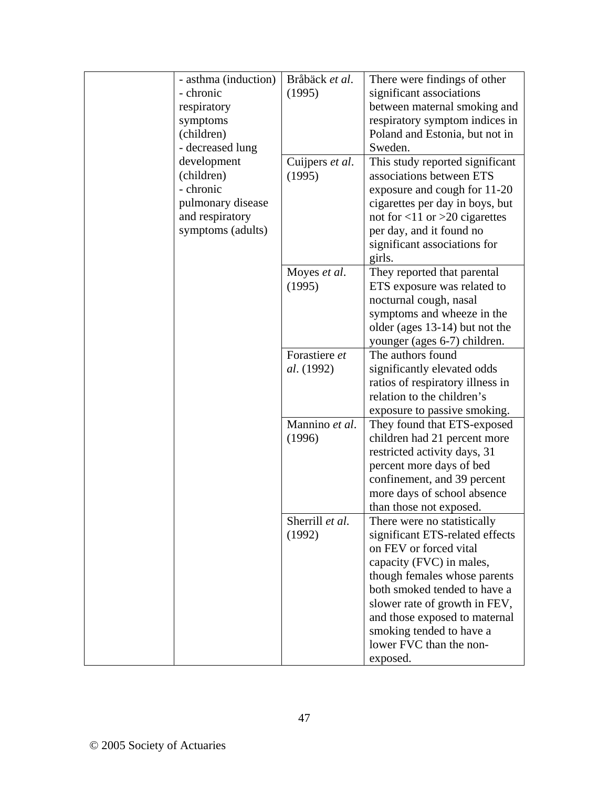| - asthma (induction) | Bråbäck et al.  | There were findings of other        |
|----------------------|-----------------|-------------------------------------|
| - chronic            | (1995)          | significant associations            |
| respiratory          |                 | between maternal smoking and        |
| symptoms             |                 | respiratory symptom indices in      |
| (children)           |                 | Poland and Estonia, but not in      |
| - decreased lung     |                 | Sweden.                             |
| development          | Cuijpers et al. | This study reported significant     |
| (children)           | (1995)          | associations between ETS            |
| - chronic            |                 | exposure and cough for 11-20        |
| pulmonary disease    |                 | cigarettes per day in boys, but     |
| and respiratory      |                 | not for $<$ 11 or $>$ 20 cigarettes |
| symptoms (adults)    |                 | per day, and it found no            |
|                      |                 | significant associations for        |
|                      |                 | girls.                              |
|                      | Moyes et al.    | They reported that parental         |
|                      | (1995)          | ETS exposure was related to         |
|                      |                 | nocturnal cough, nasal              |
|                      |                 | symptoms and wheeze in the          |
|                      |                 | older (ages 13-14) but not the      |
|                      |                 | younger (ages 6-7) children.        |
|                      | Forastiere et   | The authors found                   |
|                      | al. (1992)      | significantly elevated odds         |
|                      |                 | ratios of respiratory illness in    |
|                      |                 | relation to the children's          |
|                      |                 |                                     |
|                      |                 | exposure to passive smoking.        |
|                      | Mannino et al.  | They found that ETS-exposed         |
|                      | (1996)          | children had 21 percent more        |
|                      |                 | restricted activity days, 31        |
|                      |                 | percent more days of bed            |
|                      |                 | confinement, and 39 percent         |
|                      |                 | more days of school absence         |
|                      |                 | than those not exposed.             |
|                      | Sherrill et al. | There were no statistically         |
|                      | (1992)          | significant ETS-related effects     |
|                      |                 | on FEV or forced vital              |
|                      |                 | capacity (FVC) in males,            |
|                      |                 | though females whose parents        |
|                      |                 | both smoked tended to have a        |
|                      |                 | slower rate of growth in FEV,       |
|                      |                 | and those exposed to maternal       |
|                      |                 | smoking tended to have a            |
|                      |                 | lower FVC than the non-             |
|                      |                 | exposed.                            |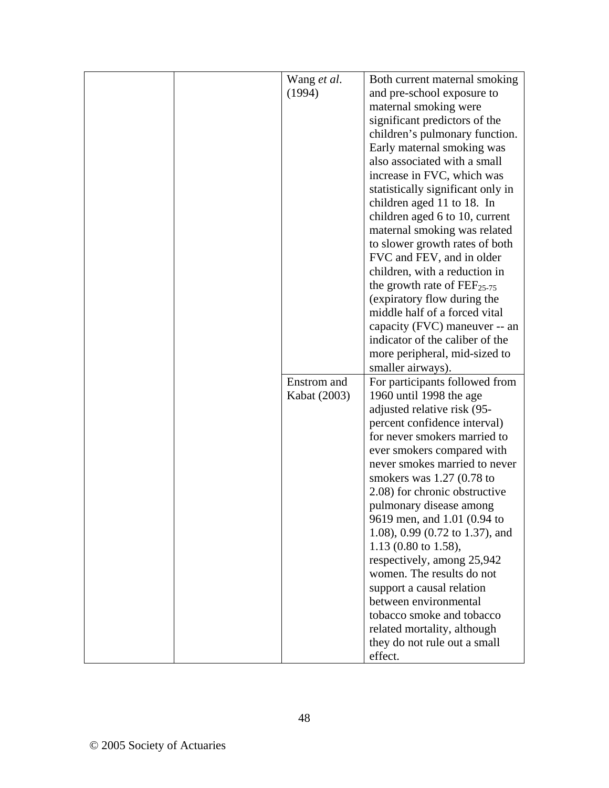| Wang et al.  | Both current maternal smoking                               |
|--------------|-------------------------------------------------------------|
| (1994)       | and pre-school exposure to                                  |
|              | maternal smoking were                                       |
|              | significant predictors of the                               |
|              | children's pulmonary function.                              |
|              | Early maternal smoking was                                  |
|              | also associated with a small                                |
|              | increase in FVC, which was                                  |
|              | statistically significant only in                           |
|              | children aged 11 to 18. In                                  |
|              | children aged 6 to 10, current                              |
|              | maternal smoking was related                                |
|              | to slower growth rates of both                              |
|              | FVC and FEV, and in older                                   |
|              | children, with a reduction in                               |
|              | the growth rate of $\text{FEF}_{25-75}$                     |
|              | (expiratory flow during the                                 |
|              | middle half of a forced vital                               |
|              | capacity (FVC) maneuver -- an                               |
|              | indicator of the caliber of the                             |
|              | more peripheral, mid-sized to                               |
|              | smaller airways).                                           |
| Enstrom and  | For participants followed from                              |
| Kabat (2003) | 1960 until 1998 the age                                     |
|              | adjusted relative risk (95-                                 |
|              | percent confidence interval)                                |
|              | for never smokers married to                                |
|              | ever smokers compared with                                  |
|              | never smokes married to never                               |
|              | smokers was $1.27$ (0.78 to                                 |
|              | 2.08) for chronic obstructive                               |
|              | pulmonary disease among                                     |
|              | 9619 men, and 1.01 (0.94 to                                 |
|              | 1.08), 0.99 (0.72 to 1.37), and                             |
|              |                                                             |
|              |                                                             |
|              | 1.13 (0.80 to 1.58),                                        |
|              | respectively, among 25,942                                  |
|              | women. The results do not                                   |
|              | support a causal relation                                   |
|              | between environmental                                       |
|              | tobacco smoke and tobacco                                   |
|              | related mortality, although<br>they do not rule out a small |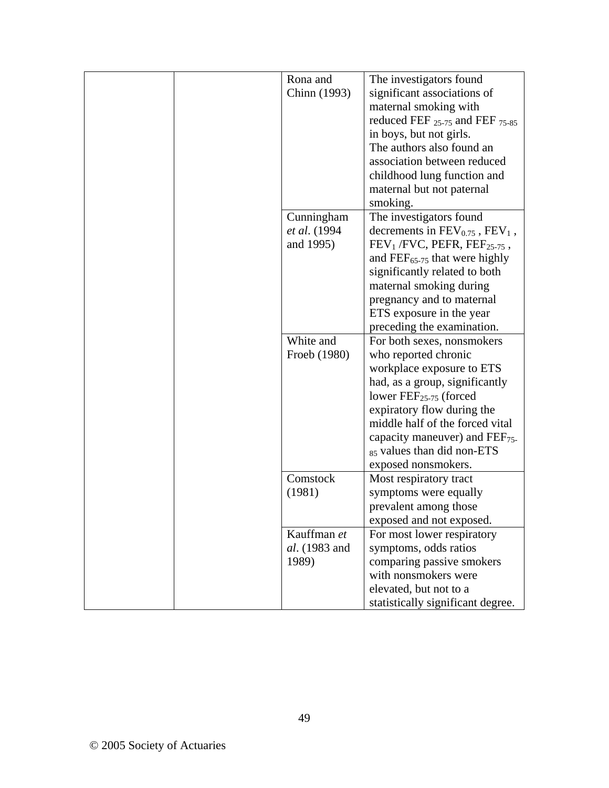|  | Rona and      | The investigators found                   |
|--|---------------|-------------------------------------------|
|  | Chinn (1993)  | significant associations of               |
|  |               | maternal smoking with                     |
|  |               | reduced FEF $_{25-75}$ and FEF $_{75-85}$ |
|  |               | in boys, but not girls.                   |
|  |               | The authors also found an                 |
|  |               | association between reduced               |
|  |               | childhood lung function and               |
|  |               | maternal but not paternal                 |
|  |               | smoking.                                  |
|  | Cunningham    | The investigators found                   |
|  | et al. (1994) | decrements in $FEV_{0.75}$ , $FEV_1$ ,    |
|  | and 1995)     | $FEV1 / FVC$ , PEFR, $FEF25-75$ ,         |
|  |               | and $\text{FEF}_{65-75}$ that were highly |
|  |               | significantly related to both             |
|  |               | maternal smoking during                   |
|  |               | pregnancy and to maternal                 |
|  |               | ETS exposure in the year                  |
|  |               | preceding the examination.                |
|  | White and     | For both sexes, nonsmokers                |
|  | Froeb (1980)  | who reported chronic                      |
|  |               | workplace exposure to ETS                 |
|  |               | had, as a group, significantly            |
|  |               | lower $\text{FEF}_{25-75}$ (forced        |
|  |               | expiratory flow during the                |
|  |               | middle half of the forced vital           |
|  |               | capacity maneuver) and $FEF_{75}$ .       |
|  |               | 85 values than did non-ETS                |
|  |               | exposed nonsmokers.                       |
|  | Comstock      | Most respiratory tract                    |
|  | (1981)        | symptoms were equally                     |
|  |               | prevalent among those                     |
|  |               | exposed and not exposed.                  |
|  | Kauffman et   | For most lower respiratory                |
|  | al. (1983 and | symptoms, odds ratios                     |
|  | 1989)         | comparing passive smokers                 |
|  |               | with nonsmokers were                      |
|  |               | elevated, but not to a                    |
|  |               | statistically significant degree.         |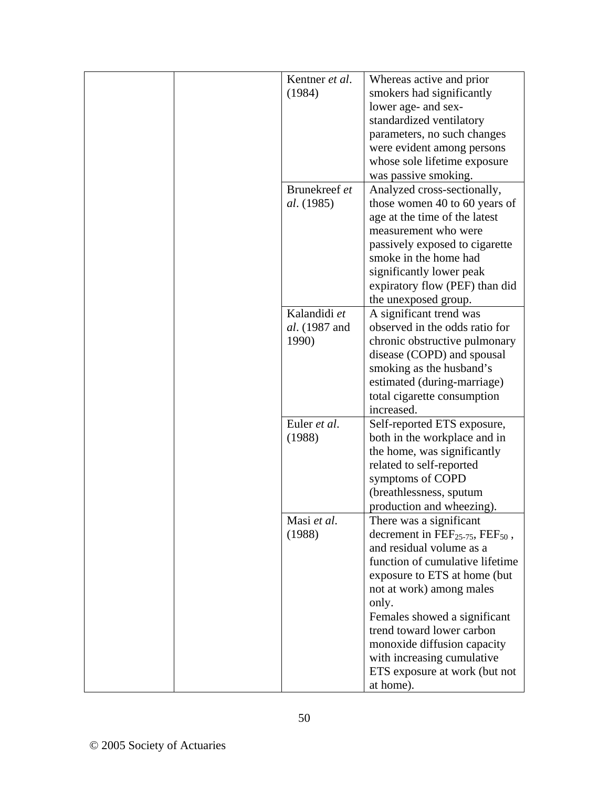| Kentner et al.    | Whereas active and prior                                |
|-------------------|---------------------------------------------------------|
| (1984)            | smokers had significantly                               |
|                   | lower age- and sex-                                     |
|                   | standardized ventilatory                                |
|                   | parameters, no such changes                             |
|                   | were evident among persons                              |
|                   | whose sole lifetime exposure                            |
|                   | was passive smoking.                                    |
| Brunekreef et     | Analyzed cross-sectionally,                             |
| <i>al.</i> (1985) | those women 40 to 60 years of                           |
|                   | age at the time of the latest                           |
|                   | measurement who were                                    |
|                   | passively exposed to cigarette                          |
|                   | smoke in the home had                                   |
|                   | significantly lower peak                                |
|                   | expiratory flow (PEF) than did                          |
|                   | the unexposed group.                                    |
| Kalandidi et      | A significant trend was                                 |
| al. (1987 and     | observed in the odds ratio for                          |
| 1990)             | chronic obstructive pulmonary                           |
|                   | disease (COPD) and spousal                              |
|                   | smoking as the husband's                                |
|                   | estimated (during-marriage)                             |
|                   | total cigarette consumption                             |
|                   | increased.                                              |
| Euler et al.      | Self-reported ETS exposure,                             |
| (1988)            | both in the workplace and in                            |
|                   | the home, was significantly                             |
|                   | related to self-reported                                |
|                   | symptoms of COPD                                        |
|                   | (breathlessness, sputum)                                |
|                   | production and wheezing).                               |
| Masi et al.       | There was a significant                                 |
| (1988)            | decrement in $\text{FEF}_{25-75}$ , $\text{FEF}_{50}$ , |
|                   | and residual volume as a                                |
|                   | function of cumulative lifetime                         |
|                   | exposure to ETS at home (but                            |
|                   | not at work) among males                                |
|                   | only.                                                   |
|                   | Females showed a significant                            |
|                   | trend toward lower carbon                               |
|                   | monoxide diffusion capacity                             |
|                   | with increasing cumulative                              |
|                   | ETS exposure at work (but not                           |
|                   | at home).                                               |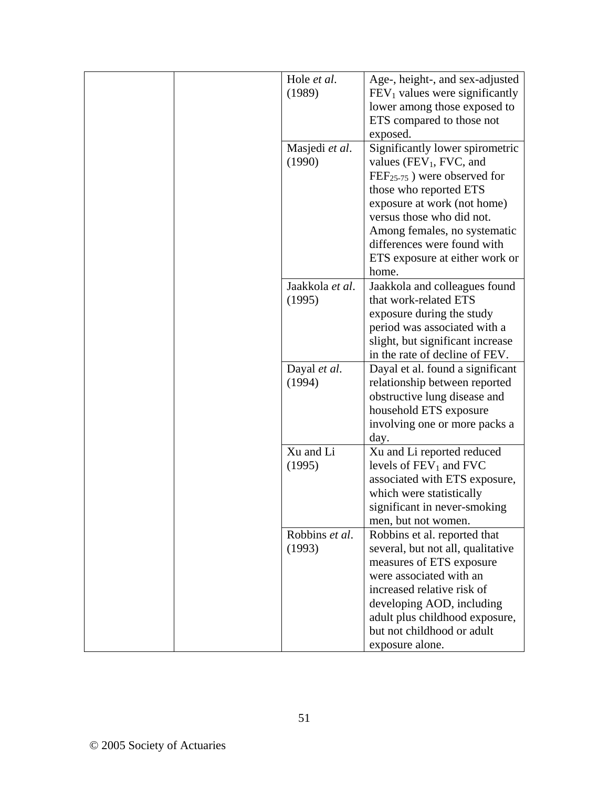| Hole et al.<br>(1989)     | Age-, height-, and sex-adjusted<br>$FEV1$ values were significantly<br>lower among those exposed to<br>ETS compared to those not                                                                                                                                                                       |
|---------------------------|--------------------------------------------------------------------------------------------------------------------------------------------------------------------------------------------------------------------------------------------------------------------------------------------------------|
| Masjedi et al.<br>(1990)  | exposed.<br>Significantly lower spirometric<br>values ( $FEV_1$ , FVC, and<br>$FEF_{25-75}$ ) were observed for<br>those who reported ETS<br>exposure at work (not home)<br>versus those who did not.<br>Among females, no systematic<br>differences were found with<br>ETS exposure at either work or |
| Jaakkola et al.<br>(1995) | home.<br>Jaakkola and colleagues found<br>that work-related ETS<br>exposure during the study<br>period was associated with a<br>slight, but significant increase<br>in the rate of decline of FEV.                                                                                                     |
| Dayal et al.<br>(1994)    | Dayal et al. found a significant<br>relationship between reported<br>obstructive lung disease and<br>household ETS exposure<br>involving one or more packs a<br>day.                                                                                                                                   |
| Xu and Li<br>(1995)       | Xu and Li reported reduced<br>levels of $FEV_1$ and $FVC$<br>associated with ETS exposure,<br>which were statistically<br>significant in never-smoking<br>men, but not women.                                                                                                                          |
| Robbins et al.<br>(1993)  | Robbins et al. reported that<br>several, but not all, qualitative<br>measures of ETS exposure<br>were associated with an<br>increased relative risk of<br>developing AOD, including<br>adult plus childhood exposure,<br>but not childhood or adult<br>exposure alone.                                 |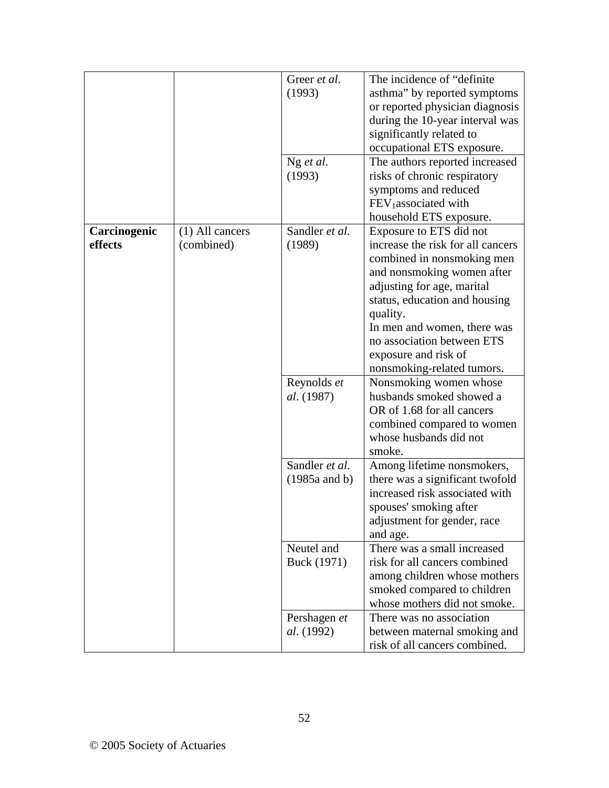|              |                   | Greer et al.      | The incidence of "definite"       |
|--------------|-------------------|-------------------|-----------------------------------|
|              |                   | (1993)            | asthma" by reported symptoms      |
|              |                   |                   | or reported physician diagnosis   |
|              |                   |                   | during the 10-year interval was   |
|              |                   |                   | significantly related to          |
|              |                   |                   | occupational ETS exposure.        |
|              |                   | Ng et al.         | The authors reported increased    |
|              |                   | (1993)            | risks of chronic respiratory      |
|              |                   |                   | symptoms and reduced              |
|              |                   |                   | FEV <sub>1</sub> associated with  |
|              |                   |                   | household ETS exposure.           |
| Carcinogenic | $(1)$ All cancers | Sandler et al.    | Exposure to ETS did not           |
| effects      | (combined)        | (1989)            | increase the risk for all cancers |
|              |                   |                   | combined in nonsmoking men        |
|              |                   |                   | and nonsmoking women after        |
|              |                   |                   | adjusting for age, marital        |
|              |                   |                   | status, education and housing     |
|              |                   |                   | quality.                          |
|              |                   |                   | In men and women, there was       |
|              |                   |                   | no association between ETS        |
|              |                   |                   | exposure and risk of              |
|              |                   |                   | nonsmoking-related tumors.        |
|              |                   | Reynolds et       | Nonsmoking women whose            |
|              |                   | al. (1987)        | husbands smoked showed a          |
|              |                   |                   | OR of 1.68 for all cancers        |
|              |                   |                   | combined compared to women        |
|              |                   |                   | whose husbands did not            |
|              |                   |                   | smoke.                            |
|              |                   | Sandler et al.    | Among lifetime nonsmokers,        |
|              |                   | $(1985a$ and b)   | there was a significant twofold   |
|              |                   |                   | increased risk associated with    |
|              |                   |                   | spouses' smoking after            |
|              |                   |                   | adjustment for gender, race       |
|              |                   |                   | and age.                          |
|              |                   | Neutel and        | There was a small increased       |
|              |                   | Buck (1971)       | risk for all cancers combined     |
|              |                   |                   | among children whose mothers      |
|              |                   |                   | smoked compared to children       |
|              |                   |                   | whose mothers did not smoke.      |
|              |                   |                   |                                   |
|              |                   | Pershagen et      | There was no association          |
|              |                   | <i>al.</i> (1992) | between maternal smoking and      |
|              |                   |                   | risk of all cancers combined.     |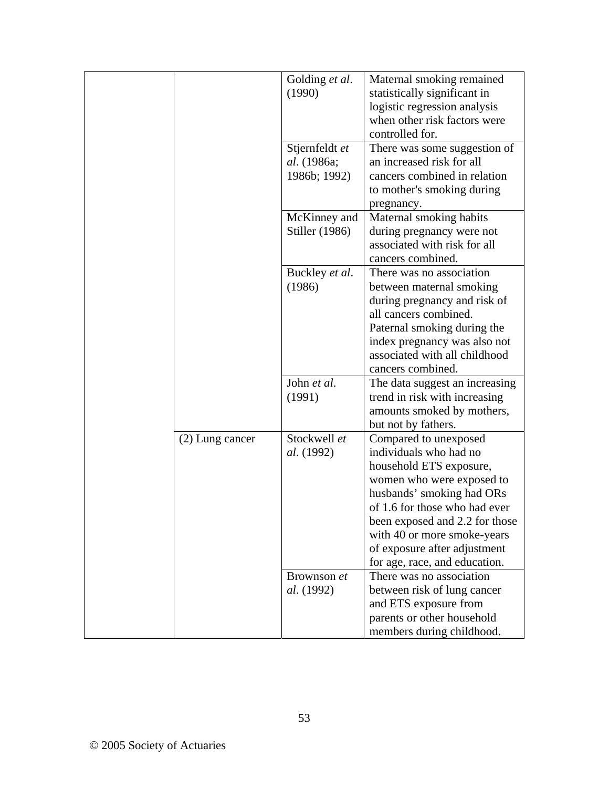|                 | Golding et al.<br>(1990)                      | Maternal smoking remained<br>statistically significant in<br>logistic regression analysis<br>when other risk factors were<br>controlled for.                                                                                                                                                            |
|-----------------|-----------------------------------------------|---------------------------------------------------------------------------------------------------------------------------------------------------------------------------------------------------------------------------------------------------------------------------------------------------------|
|                 | Stjernfeldt et<br>al. (1986a;<br>1986b; 1992) | There was some suggestion of<br>an increased risk for all<br>cancers combined in relation<br>to mother's smoking during<br>pregnancy.                                                                                                                                                                   |
|                 | McKinney and<br>Stiller (1986)                | Maternal smoking habits<br>during pregnancy were not<br>associated with risk for all<br>cancers combined.                                                                                                                                                                                               |
|                 | Buckley et al.<br>(1986)                      | There was no association<br>between maternal smoking<br>during pregnancy and risk of<br>all cancers combined.<br>Paternal smoking during the<br>index pregnancy was also not<br>associated with all childhood<br>cancers combined.                                                                      |
|                 | John et al.<br>(1991)                         | The data suggest an increasing<br>trend in risk with increasing<br>amounts smoked by mothers,<br>but not by fathers.                                                                                                                                                                                    |
| (2) Lung cancer | Stockwell et<br>al. (1992)                    | Compared to unexposed<br>individuals who had no<br>household ETS exposure,<br>women who were exposed to<br>husbands' smoking had ORs<br>of 1.6 for those who had ever<br>been exposed and 2.2 for those<br>with 40 or more smoke-years<br>of exposure after adjustment<br>for age, race, and education. |
|                 | Brownson et<br>al. (1992)                     | There was no association<br>between risk of lung cancer<br>and ETS exposure from<br>parents or other household<br>members during childhood.                                                                                                                                                             |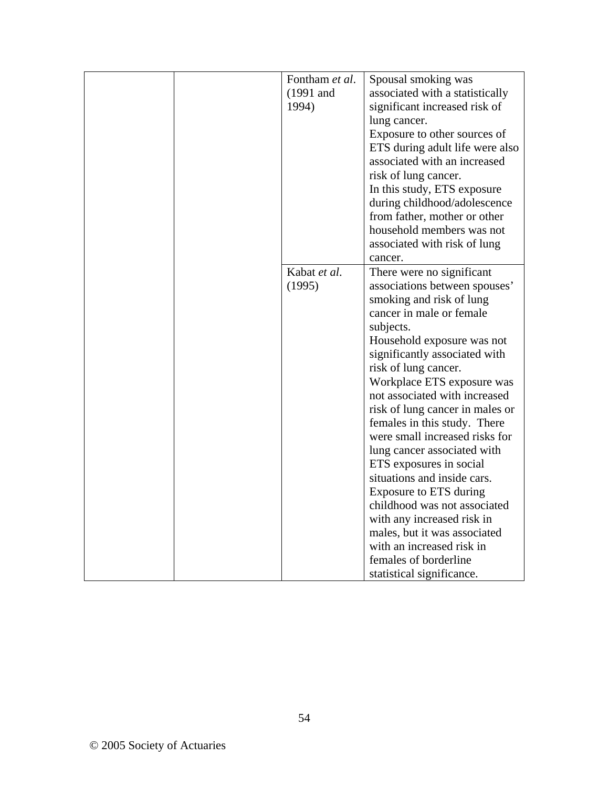|  | Fontham et al. | Spousal smoking was                                             |
|--|----------------|-----------------------------------------------------------------|
|  | (1991 and      | associated with a statistically                                 |
|  | 1994)          | significant increased risk of                                   |
|  |                | lung cancer.                                                    |
|  |                | Exposure to other sources of                                    |
|  |                |                                                                 |
|  |                | ETS during adult life were also<br>associated with an increased |
|  |                |                                                                 |
|  |                | risk of lung cancer.                                            |
|  |                | In this study, ETS exposure                                     |
|  |                | during childhood/adolescence                                    |
|  |                | from father, mother or other                                    |
|  |                | household members was not                                       |
|  |                | associated with risk of lung                                    |
|  |                | cancer.                                                         |
|  | Kabat et al.   | There were no significant                                       |
|  | (1995)         | associations between spouses'                                   |
|  |                | smoking and risk of lung                                        |
|  |                | cancer in male or female                                        |
|  |                | subjects.                                                       |
|  |                | Household exposure was not                                      |
|  |                | significantly associated with                                   |
|  |                | risk of lung cancer.                                            |
|  |                | Workplace ETS exposure was                                      |
|  |                | not associated with increased                                   |
|  |                | risk of lung cancer in males or                                 |
|  |                | females in this study. There                                    |
|  |                | were small increased risks for                                  |
|  |                | lung cancer associated with                                     |
|  |                | ETS exposures in social                                         |
|  |                | situations and inside cars.                                     |
|  |                | Exposure to ETS during                                          |
|  |                | childhood was not associated                                    |
|  |                | with any increased risk in                                      |
|  |                | males, but it was associated                                    |
|  |                | with an increased risk in                                       |
|  |                | females of borderline                                           |
|  |                | statistical significance.                                       |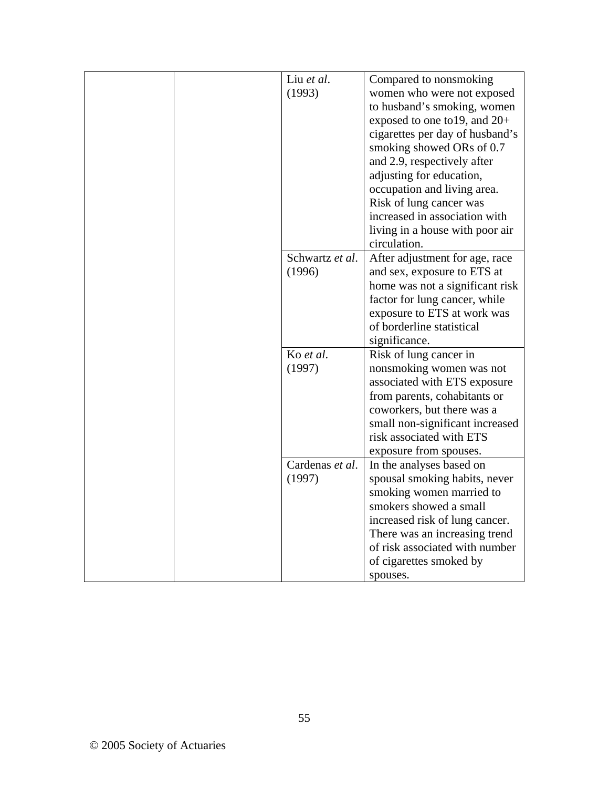| Liu et al.      | Compared to nonsmoking          |
|-----------------|---------------------------------|
| (1993)          | women who were not exposed      |
|                 | to husband's smoking, women     |
|                 | exposed to one to 19, and 20+   |
|                 | cigarettes per day of husband's |
|                 | smoking showed ORs of 0.7       |
|                 | and 2.9, respectively after     |
|                 | adjusting for education,        |
|                 | occupation and living area.     |
|                 | Risk of lung cancer was         |
|                 | increased in association with   |
|                 | living in a house with poor air |
|                 | circulation.                    |
| Schwartz et al. | After adjustment for age, race  |
| (1996)          | and sex, exposure to ETS at     |
|                 | home was not a significant risk |
|                 | factor for lung cancer, while   |
|                 | exposure to ETS at work was     |
|                 | of borderline statistical       |
|                 | significance.                   |
| Ko et al.       | Risk of lung cancer in          |
| (1997)          | nonsmoking women was not        |
|                 | associated with ETS exposure    |
|                 | from parents, cohabitants or    |
|                 | coworkers, but there was a      |
|                 | small non-significant increased |
|                 | risk associated with ETS        |
|                 | exposure from spouses.          |
| Cardenas et al. | In the analyses based on        |
| (1997)          | spousal smoking habits, never   |
|                 | smoking women married to        |
|                 | smokers showed a small          |
|                 | increased risk of lung cancer.  |
|                 | There was an increasing trend   |
|                 | of risk associated with number  |
|                 | of cigarettes smoked by         |
|                 | spouses.                        |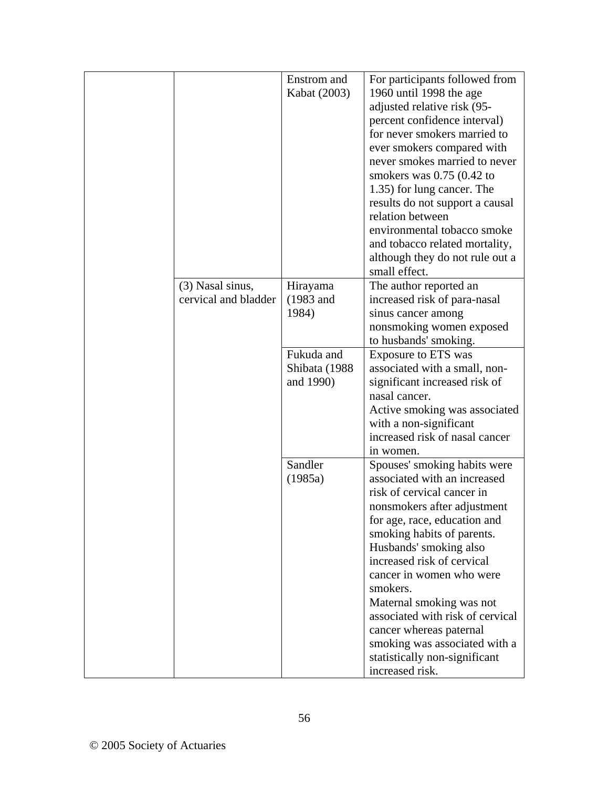|                      | Enstrom and   | For participants followed from                               |
|----------------------|---------------|--------------------------------------------------------------|
|                      | Kabat (2003)  | 1960 until 1998 the age                                      |
|                      |               | adjusted relative risk (95-                                  |
|                      |               | percent confidence interval)                                 |
|                      |               | for never smokers married to                                 |
|                      |               | ever smokers compared with                                   |
|                      |               | never smokes married to never                                |
|                      |               | smokers was $0.75$ (0.42 to                                  |
|                      |               | 1.35) for lung cancer. The                                   |
|                      |               | results do not support a causal                              |
|                      |               | relation between                                             |
|                      |               | environmental tobacco smoke                                  |
|                      |               | and tobacco related mortality,                               |
|                      |               | although they do not rule out a                              |
|                      |               | small effect.                                                |
| (3) Nasal sinus,     | Hirayama      | The author reported an                                       |
| cervical and bladder | $(1983$ and   | increased risk of para-nasal                                 |
|                      | 1984)         | sinus cancer among                                           |
|                      |               | nonsmoking women exposed                                     |
|                      |               | to husbands' smoking.                                        |
|                      | Fukuda and    | Exposure to ETS was                                          |
|                      | Shibata (1988 | associated with a small, non-                                |
|                      | and 1990)     | significant increased risk of                                |
|                      |               | nasal cancer.                                                |
|                      |               | Active smoking was associated                                |
|                      |               | with a non-significant                                       |
|                      |               | increased risk of nasal cancer                               |
|                      |               | in women.                                                    |
|                      | Sandler       | Spouses' smoking habits were                                 |
|                      | (1985a)       | associated with an increased                                 |
|                      |               | risk of cervical cancer in                                   |
|                      |               | nonsmokers after adjustment                                  |
|                      |               | for age, race, education and                                 |
|                      |               | smoking habits of parents.                                   |
|                      |               | Husbands' smoking also                                       |
|                      |               | increased risk of cervical                                   |
|                      |               | cancer in women who were                                     |
|                      |               | smokers.                                                     |
|                      |               |                                                              |
|                      |               | Maternal smoking was not<br>associated with risk of cervical |
|                      |               |                                                              |
|                      |               | cancer whereas paternal                                      |
|                      |               | smoking was associated with a                                |
|                      |               | statistically non-significant                                |
|                      |               | increased risk.                                              |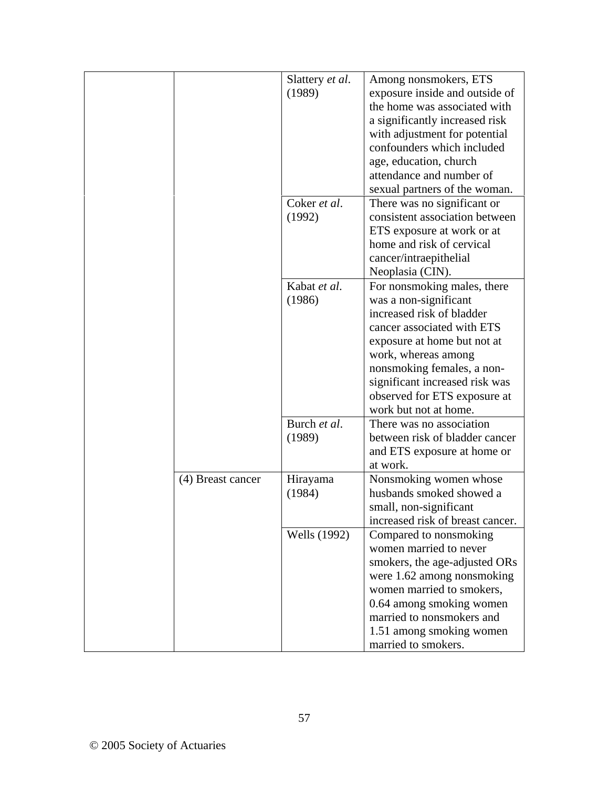|                   | Slattery et al. | Among nonsmokers, ETS            |
|-------------------|-----------------|----------------------------------|
|                   | (1989)          | exposure inside and outside of   |
|                   |                 | the home was associated with     |
|                   |                 | a significantly increased risk   |
|                   |                 | with adjustment for potential    |
|                   |                 | confounders which included       |
|                   |                 | age, education, church           |
|                   |                 | attendance and number of         |
|                   |                 |                                  |
|                   |                 | sexual partners of the woman.    |
|                   | Coker et al.    | There was no significant or      |
|                   | (1992)          | consistent association between   |
|                   |                 | ETS exposure at work or at       |
|                   |                 | home and risk of cervical        |
|                   |                 | cancer/intraepithelial           |
|                   |                 | Neoplasia (CIN).                 |
|                   | Kabat et al.    | For nonsmoking males, there      |
|                   | (1986)          | was a non-significant            |
|                   |                 | increased risk of bladder        |
|                   |                 | cancer associated with ETS       |
|                   |                 | exposure at home but not at      |
|                   |                 | work, whereas among              |
|                   |                 | nonsmoking females, a non-       |
|                   |                 | significant increased risk was   |
|                   |                 | observed for ETS exposure at     |
|                   |                 | work but not at home.            |
|                   | Burch et al.    | There was no association         |
|                   | (1989)          | between risk of bladder cancer   |
|                   |                 | and ETS exposure at home or      |
|                   |                 | at work.                         |
| (4) Breast cancer | Hirayama        | Nonsmoking women whose           |
|                   | (1984)          | husbands smoked showed a         |
|                   |                 | small, non-significant           |
|                   |                 | increased risk of breast cancer. |
|                   | Wells (1992)    | Compared to nonsmoking           |
|                   |                 | women married to never           |
|                   |                 |                                  |
|                   |                 | smokers, the age-adjusted ORs    |
|                   |                 | were 1.62 among nonsmoking       |
|                   |                 | women married to smokers,        |
|                   |                 | 0.64 among smoking women         |
|                   |                 | married to nonsmokers and        |
|                   |                 | 1.51 among smoking women         |
|                   |                 | married to smokers.              |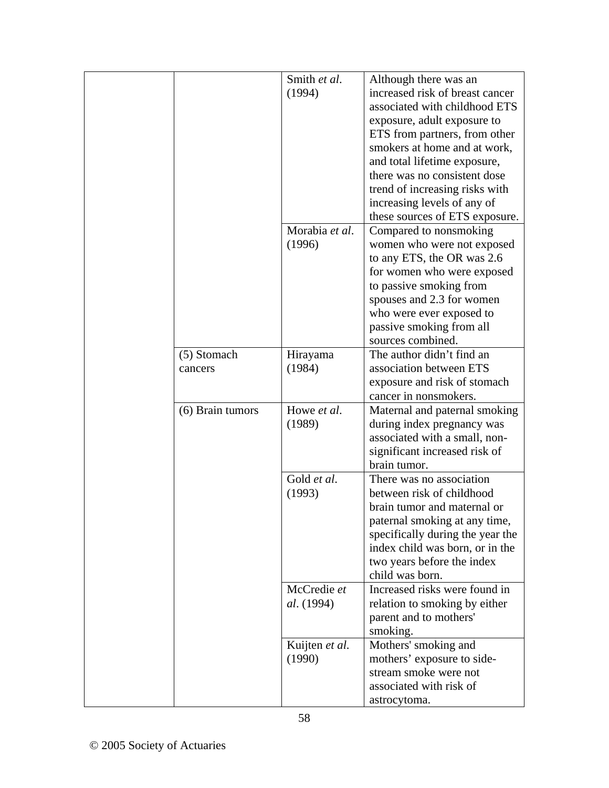|                        | Smith et al.<br>(1994)    | Although there was an<br>increased risk of breast cancer<br>associated with childhood ETS<br>exposure, adult exposure to<br>ETS from partners, from other                                                                                             |
|------------------------|---------------------------|-------------------------------------------------------------------------------------------------------------------------------------------------------------------------------------------------------------------------------------------------------|
|                        |                           | smokers at home and at work,<br>and total lifetime exposure,<br>there was no consistent dose<br>trend of increasing risks with<br>increasing levels of any of<br>these sources of ETS exposure.                                                       |
|                        | Morabia et al.<br>(1996)  | Compared to nonsmoking<br>women who were not exposed<br>to any ETS, the OR was 2.6<br>for women who were exposed<br>to passive smoking from<br>spouses and 2.3 for women<br>who were ever exposed to<br>passive smoking from all<br>sources combined. |
| (5) Stomach<br>cancers | Hirayama<br>(1984)        | The author didn't find an<br>association between ETS<br>exposure and risk of stomach<br>cancer in nonsmokers.                                                                                                                                         |
| (6) Brain tumors       | Howe et al.<br>(1989)     | Maternal and paternal smoking<br>during index pregnancy was<br>associated with a small, non-<br>significant increased risk of<br>brain tumor.                                                                                                         |
|                        | Gold et al.<br>(1993)     | There was no association<br>between risk of childhood<br>brain tumor and maternal or<br>paternal smoking at any time,<br>specifically during the year the<br>index child was born, or in the<br>two years before the index<br>child was born.         |
|                        | McCredie et<br>al. (1994) | Increased risks were found in<br>relation to smoking by either<br>parent and to mothers'<br>smoking.                                                                                                                                                  |
|                        | Kuijten et al.<br>(1990)  | Mothers' smoking and<br>mothers' exposure to side-<br>stream smoke were not<br>associated with risk of<br>astrocytoma.                                                                                                                                |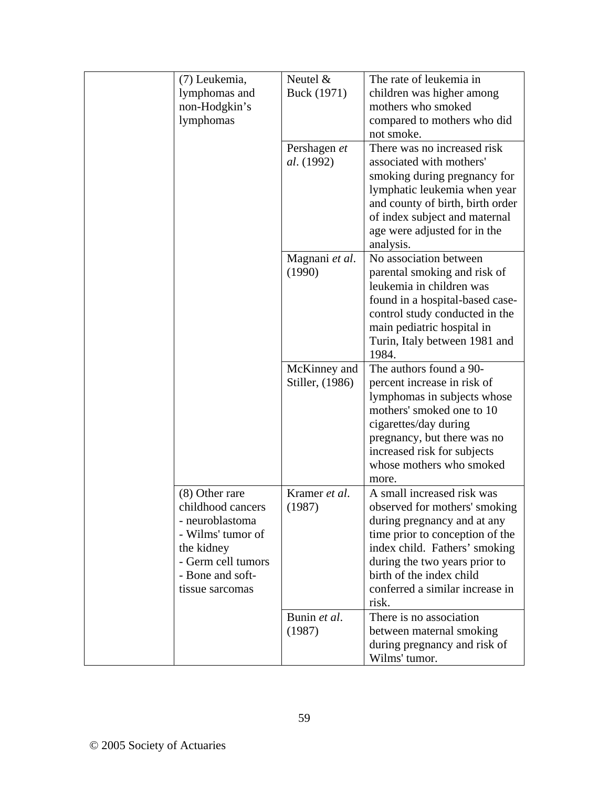| (7) Leukemia,      | Neutel $&$      | The rate of leukemia in                                          |
|--------------------|-----------------|------------------------------------------------------------------|
| lymphomas and      | Buck (1971)     | children was higher among                                        |
| non-Hodgkin's      |                 | mothers who smoked                                               |
| lymphomas          |                 | compared to mothers who did                                      |
|                    |                 | not smoke.                                                       |
|                    | Pershagen et    | There was no increased risk                                      |
|                    | al. (1992)      | associated with mothers'                                         |
|                    |                 | smoking during pregnancy for                                     |
|                    |                 | lymphatic leukemia when year<br>and county of birth, birth order |
|                    |                 | of index subject and maternal                                    |
|                    |                 | age were adjusted for in the                                     |
|                    |                 | analysis.                                                        |
|                    | Magnani et al.  | No association between                                           |
|                    | (1990)          | parental smoking and risk of                                     |
|                    |                 | leukemia in children was                                         |
|                    |                 | found in a hospital-based case-                                  |
|                    |                 | control study conducted in the                                   |
|                    |                 | main pediatric hospital in                                       |
|                    |                 | Turin, Italy between 1981 and                                    |
|                    |                 | 1984.                                                            |
|                    | McKinney and    | The authors found a 90-                                          |
|                    | Stiller, (1986) | percent increase in risk of                                      |
|                    |                 | lymphomas in subjects whose                                      |
|                    |                 | mothers' smoked one to 10                                        |
|                    |                 | cigarettes/day during<br>pregnancy, but there was no             |
|                    |                 | increased risk for subjects                                      |
|                    |                 | whose mothers who smoked                                         |
|                    |                 | more.                                                            |
| (8) Other rare     | Kramer et al.   | A small increased risk was                                       |
| childhood cancers  | (1987)          | observed for mothers' smoking                                    |
| - neuroblastoma    |                 | during pregnancy and at any                                      |
| - Wilms' tumor of  |                 | time prior to conception of the                                  |
| the kidney         |                 | index child. Fathers' smoking                                    |
| - Germ cell tumors |                 | during the two years prior to                                    |
| - Bone and soft-   |                 | birth of the index child                                         |
| tissue sarcomas    |                 | conferred a similar increase in                                  |
|                    |                 | risk.                                                            |
|                    | Bunin et al.    | There is no association                                          |
|                    | (1987)          | between maternal smoking                                         |
|                    |                 | during pregnancy and risk of<br>Wilms' tumor.                    |
|                    |                 |                                                                  |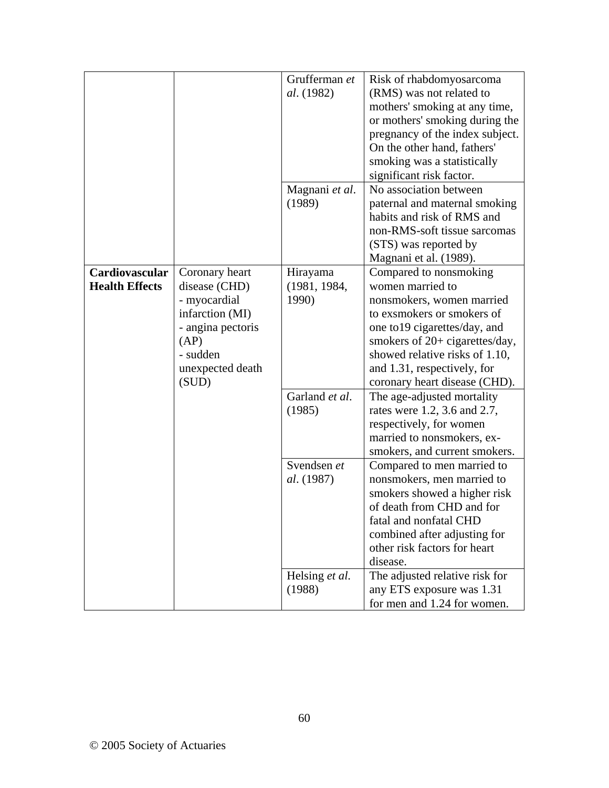|                       |                   | Grufferman et     | Risk of rhabdomyosarcoma        |
|-----------------------|-------------------|-------------------|---------------------------------|
|                       |                   | <i>al.</i> (1982) | (RMS) was not related to        |
|                       |                   |                   | mothers' smoking at any time,   |
|                       |                   |                   | or mothers' smoking during the  |
|                       |                   |                   | pregnancy of the index subject. |
|                       |                   |                   | On the other hand, fathers'     |
|                       |                   |                   | smoking was a statistically     |
|                       |                   |                   | significant risk factor.        |
|                       |                   | Magnani et al.    | No association between          |
|                       |                   | (1989)            | paternal and maternal smoking   |
|                       |                   |                   | habits and risk of RMS and      |
|                       |                   |                   | non-RMS-soft tissue sarcomas    |
|                       |                   |                   | (STS) was reported by           |
|                       |                   |                   | Magnani et al. (1989).          |
| Cardiovascular        | Coronary heart    | Hirayama          | Compared to nonsmoking          |
| <b>Health Effects</b> | disease (CHD)     | (1981, 1984,      | women married to                |
|                       | - myocardial      | 1990)             | nonsmokers, women married       |
|                       | infarction (MI)   |                   | to exsmokers or smokers of      |
|                       | - angina pectoris |                   | one to 19 cigarettes/day, and   |
|                       | (AP)              |                   | smokers of 20+ cigarettes/day,  |
|                       | - sudden          |                   | showed relative risks of 1.10,  |
|                       | unexpected death  |                   | and 1.31, respectively, for     |
|                       | (SUD)             |                   | coronary heart disease (CHD).   |
|                       |                   | Garland et al.    | The age-adjusted mortality      |
|                       |                   | (1985)            | rates were 1.2, 3.6 and 2.7,    |
|                       |                   |                   | respectively, for women         |
|                       |                   |                   | married to nonsmokers, ex-      |
|                       |                   |                   | smokers, and current smokers.   |
|                       |                   | Svendsen et       | Compared to men married to      |
|                       |                   | al. (1987)        | nonsmokers, men married to      |
|                       |                   |                   | smokers showed a higher risk    |
|                       |                   |                   | of death from CHD and for       |
|                       |                   |                   | fatal and nonfatal CHD          |
|                       |                   |                   | combined after adjusting for    |
|                       |                   |                   | other risk factors for heart    |
|                       |                   |                   | disease.                        |
|                       |                   | Helsing et al.    | The adjusted relative risk for  |
|                       |                   | (1988)            | any ETS exposure was 1.31       |
|                       |                   |                   | for men and 1.24 for women.     |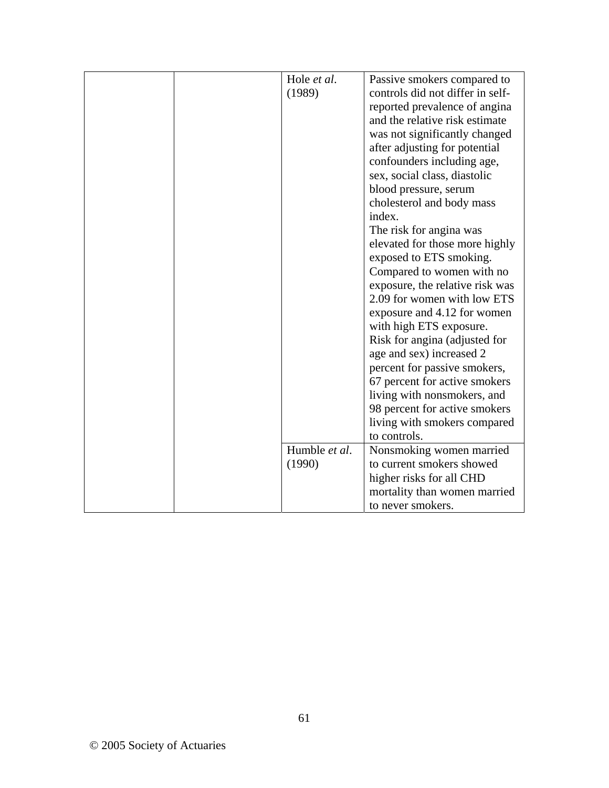| Hole et al.<br>(1989)   | Passive smokers compared to<br>controls did not differ in self-<br>reported prevalence of angina<br>and the relative risk estimate<br>was not significantly changed<br>after adjusting for potential<br>confounders including age,<br>sex, social class, diastolic<br>blood pressure, serum<br>cholesterol and body mass<br>index.<br>The risk for angina was<br>elevated for those more highly<br>exposed to ETS smoking.<br>Compared to women with no<br>exposure, the relative risk was<br>2.09 for women with low ETS<br>exposure and 4.12 for women<br>with high ETS exposure.<br>Risk for angina (adjusted for<br>age and sex) increased 2<br>percent for passive smokers,<br>67 percent for active smokers<br>living with nonsmokers, and<br>98 percent for active smokers<br>living with smokers compared<br>to controls. |
|-------------------------|-----------------------------------------------------------------------------------------------------------------------------------------------------------------------------------------------------------------------------------------------------------------------------------------------------------------------------------------------------------------------------------------------------------------------------------------------------------------------------------------------------------------------------------------------------------------------------------------------------------------------------------------------------------------------------------------------------------------------------------------------------------------------------------------------------------------------------------|
| Humble et al.<br>(1990) | Nonsmoking women married<br>to current smokers showed<br>higher risks for all CHD<br>mortality than women married<br>to never smokers.                                                                                                                                                                                                                                                                                                                                                                                                                                                                                                                                                                                                                                                                                            |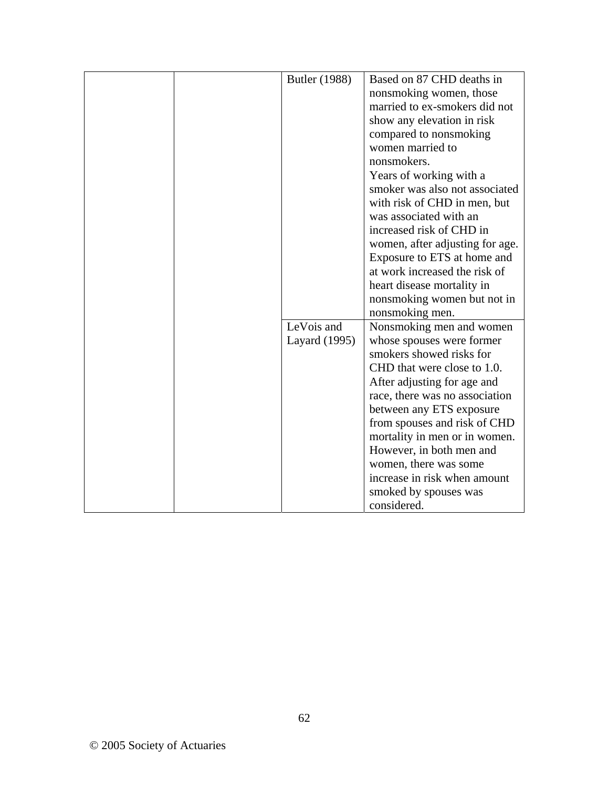| Butler (1988) | Based on 87 CHD deaths in       |
|---------------|---------------------------------|
|               | nonsmoking women, those         |
|               | married to ex-smokers did not   |
|               | show any elevation in risk      |
|               | compared to nonsmoking          |
|               | women married to                |
|               |                                 |
|               | nonsmokers.                     |
|               | Years of working with a         |
|               | smoker was also not associated  |
|               | with risk of CHD in men, but    |
|               | was associated with an          |
|               | increased risk of CHD in        |
|               | women, after adjusting for age. |
|               | Exposure to ETS at home and     |
|               | at work increased the risk of   |
|               | heart disease mortality in      |
|               | nonsmoking women but not in     |
|               | nonsmoking men.                 |
| LeVois and    | Nonsmoking men and women        |
| Layard (1995) | whose spouses were former       |
|               | smokers showed risks for        |
|               | CHD that were close to 1.0.     |
|               | After adjusting for age and     |
|               | race, there was no association  |
|               | between any ETS exposure        |
|               | from spouses and risk of CHD    |
|               | mortality in men or in women.   |
|               | However, in both men and        |
|               | women, there was some           |
|               | increase in risk when amount    |
|               | smoked by spouses was           |
|               | considered.                     |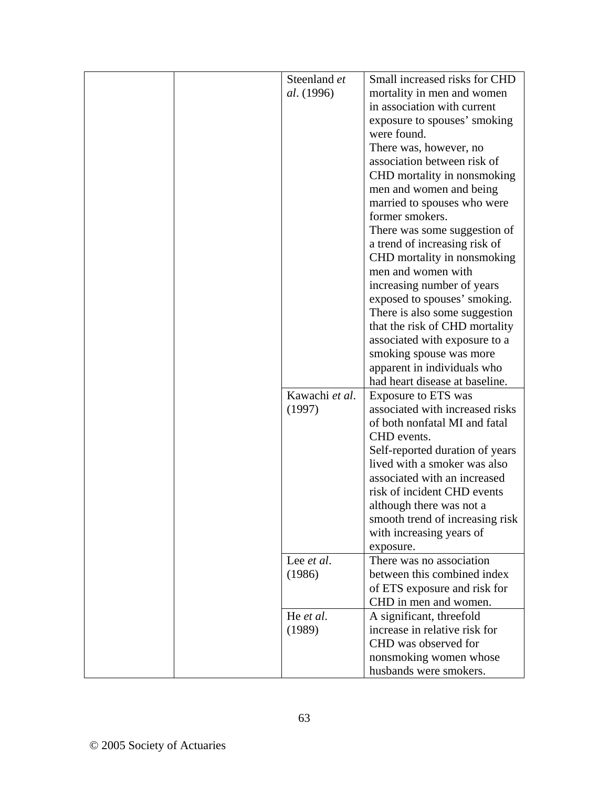| Steenland et       | Small increased risks for CHD   |
|--------------------|---------------------------------|
| al. (1996)         | mortality in men and women      |
|                    | in association with current     |
|                    | exposure to spouses' smoking    |
|                    | were found.                     |
|                    | There was, however, no          |
|                    | association between risk of     |
|                    | CHD mortality in nonsmoking     |
|                    | men and women and being         |
|                    | married to spouses who were     |
|                    | former smokers.                 |
|                    | There was some suggestion of    |
|                    | a trend of increasing risk of   |
|                    | CHD mortality in nonsmoking     |
|                    | men and women with              |
|                    | increasing number of years      |
|                    | exposed to spouses' smoking.    |
|                    | There is also some suggestion   |
|                    | that the risk of CHD mortality  |
|                    | associated with exposure to a   |
|                    | smoking spouse was more         |
|                    | apparent in individuals who     |
|                    | had heart disease at baseline.  |
| Kawachi et al.     | Exposure to ETS was             |
| (1997)             | associated with increased risks |
|                    | of both nonfatal MI and fatal   |
|                    | CHD events.                     |
|                    | Self-reported duration of years |
|                    | lived with a smoker was also    |
|                    | associated with an increased    |
|                    | risk of incident CHD events     |
|                    |                                 |
|                    | although there was not a        |
|                    | smooth trend of increasing risk |
|                    | with increasing years of        |
|                    | exposure.                       |
| Lee <i>et al</i> . | There was no association        |
| (1986)             | between this combined index     |
|                    | of ETS exposure and risk for    |
|                    | CHD in men and women.           |
| He et al.          | A significant, threefold        |
| (1989)             | increase in relative risk for   |
|                    | CHD was observed for            |
|                    | nonsmoking women whose          |
|                    | husbands were smokers.          |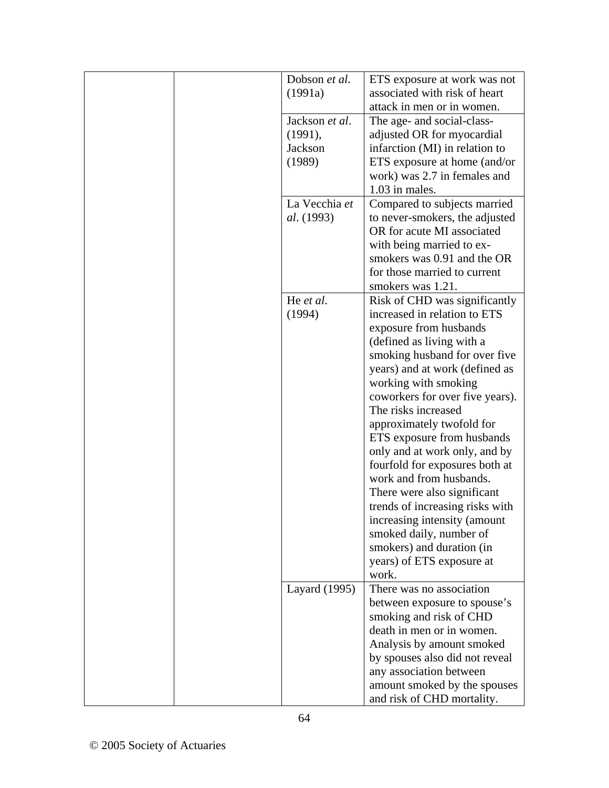| Dobson et al.     | ETS exposure at work was not                            |
|-------------------|---------------------------------------------------------|
| (1991a)           | associated with risk of heart                           |
|                   | attack in men or in women.                              |
| Jackson et al.    | The age- and social-class-                              |
| (1991),           | adjusted OR for myocardial                              |
| Jackson           | infarction (MI) in relation to                          |
| (1989)            | ETS exposure at home (and/or                            |
|                   | work) was 2.7 in females and                            |
|                   | 1.03 in males.                                          |
| La Vecchia et     | Compared to subjects married                            |
| <i>al.</i> (1993) | to never-smokers, the adjusted                          |
|                   | OR for acute MI associated                              |
|                   | with being married to ex-                               |
|                   | smokers was 0.91 and the OR                             |
|                   | for those married to current                            |
|                   | smokers was 1.21.                                       |
| He et al.         | Risk of CHD was significantly                           |
| (1994)            | increased in relation to ETS                            |
|                   | exposure from husbands                                  |
|                   | (defined as living with a                               |
|                   | smoking husband for over five                           |
|                   | years) and at work (defined as                          |
|                   | working with smoking                                    |
|                   | coworkers for over five years).<br>The risks increased  |
|                   |                                                         |
|                   | approximately twofold for<br>ETS exposure from husbands |
|                   | only and at work only, and by                           |
|                   | fourfold for exposures both at                          |
|                   | work and from husbands.                                 |
|                   | There were also significant                             |
|                   | trends of increasing risks with                         |
|                   | increasing intensity (amount                            |
|                   | smoked daily, number of                                 |
|                   | smokers) and duration (in                               |
|                   | years) of ETS exposure at                               |
|                   | work.                                                   |
| Layard (1995)     | There was no association                                |
|                   | between exposure to spouse's                            |
|                   | smoking and risk of CHD                                 |
|                   | death in men or in women.                               |
|                   | Analysis by amount smoked                               |
|                   | by spouses also did not reveal                          |
|                   | any association between                                 |
|                   | amount smoked by the spouses                            |
|                   | and risk of CHD mortality.                              |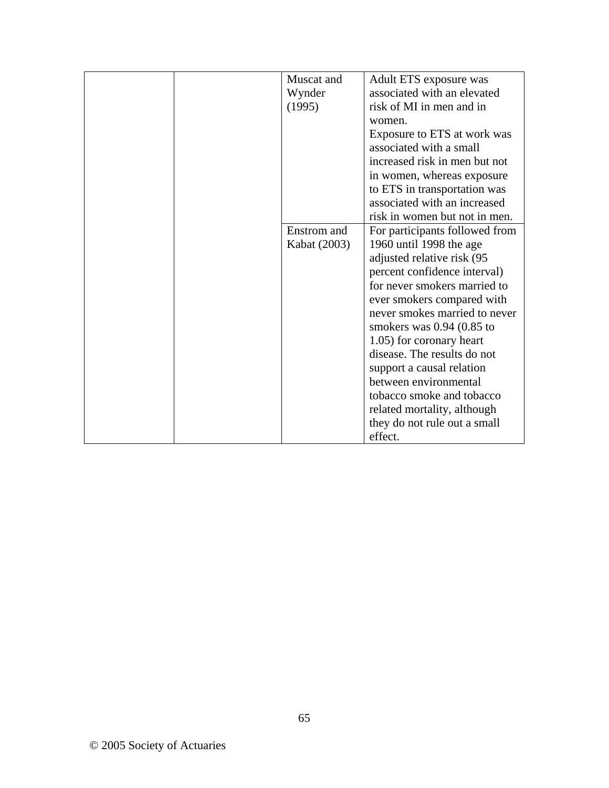| Muscat and   | Adult ETS exposure was         |
|--------------|--------------------------------|
| Wynder       | associated with an elevated    |
| (1995)       | risk of MI in men and in       |
|              | women.                         |
|              | Exposure to ETS at work was    |
|              | associated with a small        |
|              | increased risk in men but not  |
|              | in women, whereas exposure     |
|              | to ETS in transportation was   |
|              | associated with an increased   |
|              | risk in women but not in men.  |
| Enstrom and  | For participants followed from |
| Kabat (2003) | 1960 until 1998 the age        |
|              | adjusted relative risk (95     |
|              | percent confidence interval)   |
|              | for never smokers married to   |
|              | ever smokers compared with     |
|              | never smokes married to never  |
|              | smokers was $0.94$ $(0.85$ to  |
|              | 1.05) for coronary heart       |
|              | disease. The results do not    |
|              | support a causal relation      |
|              | between environmental          |
|              | tobacco smoke and tobacco      |
|              | related mortality, although    |
|              | they do not rule out a small   |
|              | effect.                        |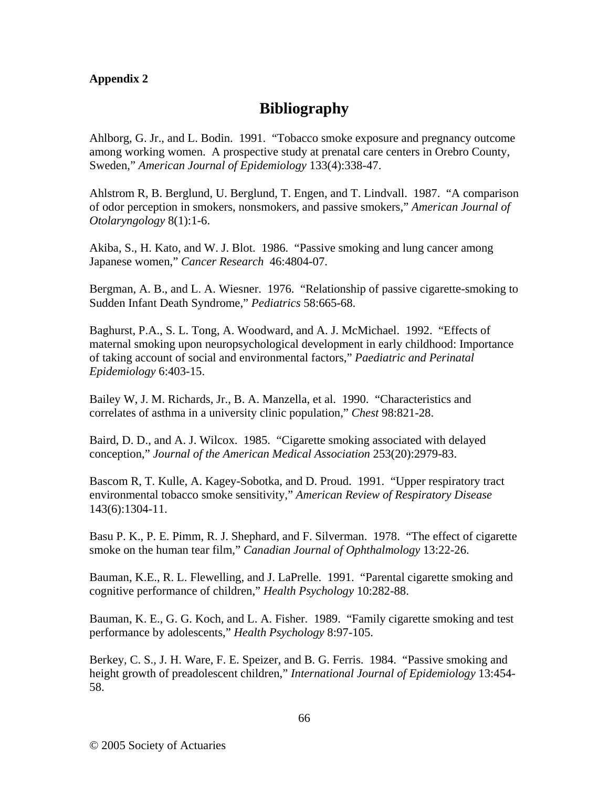## **Appendix 2**

## **Bibliography**

Ahlborg, G. Jr., and L. Bodin. 1991. "Tobacco smoke exposure and pregnancy outcome among working women. A prospective study at prenatal care centers in Orebro County, Sweden," *American Journal of Epidemiology* 133(4):338-47.

Ahlstrom R, B. Berglund, U. Berglund, T. Engen, and T. Lindvall. 1987. "A comparison of odor perception in smokers, nonsmokers, and passive smokers," *American Journal of Otolaryngology* 8(1):1-6.

Akiba, S., H. Kato, and W. J. Blot. 1986. "Passive smoking and lung cancer among Japanese women," *Cancer Research* 46:4804-07.

Bergman, A. B., and L. A. Wiesner. 1976. "Relationship of passive cigarette-smoking to Sudden Infant Death Syndrome," *Pediatrics* 58:665-68.

Baghurst, P.A., S. L. Tong, A. Woodward, and A. J. McMichael. 1992. "Effects of maternal smoking upon neuropsychological development in early childhood: Importance of taking account of social and environmental factors," *Paediatric and Perinatal Epidemiology* 6:403-15.

Bailey W, J. M. Richards, Jr., B. A. Manzella, et al. 1990. "Characteristics and correlates of asthma in a university clinic population," *Chest* 98:821-28.

Baird, D. D., and A. J. Wilcox. 1985. "Cigarette smoking associated with delayed conception," *Journal of the American Medical Association* 253(20):2979-83.

Bascom R, T. Kulle, A. Kagey-Sobotka, and D. Proud. 1991. "Upper respiratory tract environmental tobacco smoke sensitivity," *American Review of Respiratory Disease* 143(6):1304-11.

Basu P. K., P. E. Pimm, R. J. Shephard, and F. Silverman. 1978. "The effect of cigarette smoke on the human tear film," *Canadian Journal of Ophthalmology* 13:22-26.

Bauman, K.E., R. L. Flewelling, and J. LaPrelle. 1991. "Parental cigarette smoking and cognitive performance of children," *Health Psychology* 10:282-88.

Bauman, K. E., G. G. Koch, and L. A. Fisher. 1989. "Family cigarette smoking and test performance by adolescents," *Health Psychology* 8:97-105.

Berkey, C. S., J. H. Ware, F. E. Speizer, and B. G. Ferris. 1984. "Passive smoking and height growth of preadolescent children," *International Journal of Epidemiology* 13:454- 58.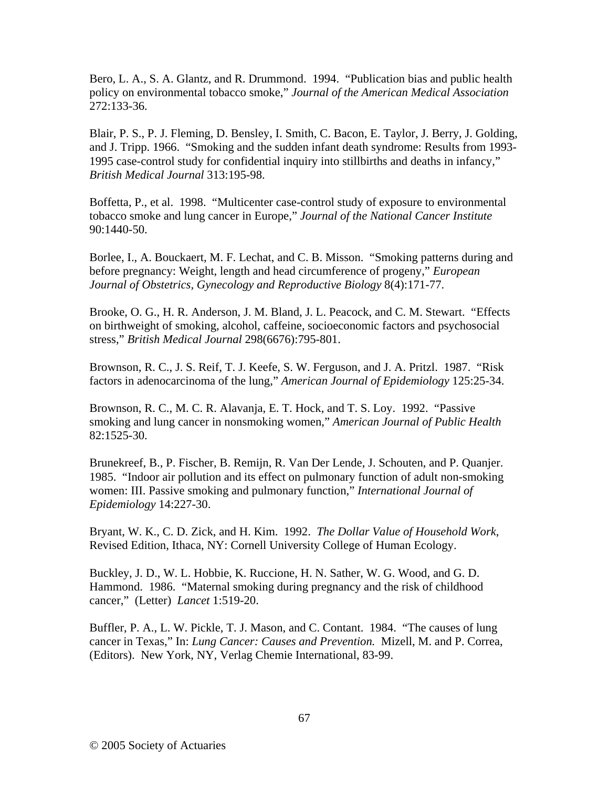Bero, L. A., S. A. Glantz, and R. Drummond. 1994. "Publication bias and public health policy on environmental tobacco smoke," *Journal of the American Medical Association* 272:133-36.

Blair, P. S., P. J. Fleming, D. Bensley, I. Smith, C. Bacon, E. Taylor, J. Berry, J. Golding, and J. Tripp. 1966. "Smoking and the sudden infant death syndrome: Results from 1993- 1995 case-control study for confidential inquiry into stillbirths and deaths in infancy," *British Medical Journal* 313:195-98.

Boffetta, P., et al. 1998. "Multicenter case-control study of exposure to environmental tobacco smoke and lung cancer in Europe," *Journal of the National Cancer Institute*  90:1440-50.

Borlee, I., A. Bouckaert, M. F. Lechat, and C. B. Misson. "Smoking patterns during and before pregnancy: Weight, length and head circumference of progeny," *European Journal of Obstetrics, Gynecology and Reproductive Biology* 8(4):171-77.

Brooke, O. G., H. R. Anderson, J. M. Bland, J. L. Peacock, and C. M. Stewart. "Effects on birthweight of smoking, alcohol, caffeine, socioeconomic factors and psychosocial stress," *British Medical Journal* 298(6676):795-801.

Brownson, R. C., J. S. Reif, T. J. Keefe, S. W. Ferguson, and J. A. Pritzl. 1987. "Risk factors in adenocarcinoma of the lung," *American Journal of Epidemiology* 125:25-34.

Brownson, R. C., M. C. R. Alavanja, E. T. Hock, and T. S. Loy. 1992. "Passive smoking and lung cancer in nonsmoking women," *American Journal of Public Health* 82:1525-30.

Brunekreef, B., P. Fischer, B. Remijn, R. Van Der Lende, J. Schouten, and P. Quanjer. 1985. "Indoor air pollution and its effect on pulmonary function of adult non-smoking women: III. Passive smoking and pulmonary function," *International Journal of Epidemiology* 14:227-30.

Bryant, W. K., C. D. Zick, and H. Kim. 1992. *The Dollar Value of Household Work*, Revised Edition, Ithaca, NY: Cornell University College of Human Ecology.

Buckley, J. D., W. L. Hobbie, K. Ruccione, H. N. Sather, W. G. Wood, and G. D. Hammond. 1986. "Maternal smoking during pregnancy and the risk of childhood cancer," (Letter) *Lancet* 1:519-20.

Buffler, P. A., L. W. Pickle, T. J. Mason, and C. Contant. 1984. "The causes of lung cancer in Texas," In: *Lung Cancer: Causes and Prevention.* Mizell, M. and P. Correa, (Editors). New York, NY, Verlag Chemie International, 83-99.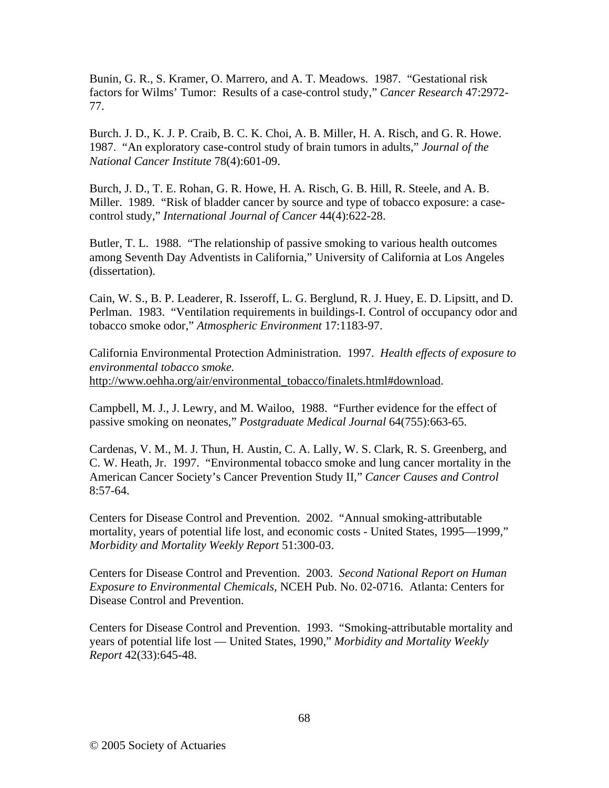Bunin, G. R., S. Kramer, O. Marrero, and A. T. Meadows. 1987. "Gestational risk factors for Wilms' Tumor: Results of a case-control study," *Cancer Research* 47:2972- 77.

Burch. J. D., K. J. P. Craib, B. C. K. Choi, A. B. Miller, H. A. Risch, and G. R. Howe. 1987. "An exploratory case-control study of brain tumors in adults," *Journal of the National Cancer Institute* 78(4):601-09.

Burch, J. D., T. E. Rohan, G. R. Howe, H. A. Risch, G. B. Hill, R. Steele, and A. B. Miller. 1989. "Risk of bladder cancer by source and type of tobacco exposure: a casecontrol study," *International Journal of Cancer* 44(4):622-28.

Butler, T. L. 1988. "The relationship of passive smoking to various health outcomes among Seventh Day Adventists in California," University of California at Los Angeles (dissertation).

Cain, W. S., B. P. Leaderer, R. Isseroff, L. G. Berglund, R. J. Huey, E. D. Lipsitt, and D. Perlman. 1983. "Ventilation requirements in buildings-I. Control of occupancy odor and tobacco smoke odor," *Atmospheric Environment* 17:1183-97.

California Environmental Protection Administration. 1997. *Health effects of exposure to environmental tobacco smoke.* http://www.oehha.org/air/environmental\_tobacco/finalets.html#download.

Campbell, M. J., J. Lewry, and M. Wailoo, 1988. "Further evidence for the effect of passive smoking on neonates," *Postgraduate Medical Journal* 64(755):663-65.

Cardenas, V. M., M. J. Thun, H. Austin, C. A. Lally, W. S. Clark, R. S. Greenberg, and C. W. Heath, Jr. 1997. "Environmental tobacco smoke and lung cancer mortality in the American Cancer Society's Cancer Prevention Study II," *Cancer Causes and Control* 8:57-64.

Centers for Disease Control and Prevention. 2002. "Annual smoking-attributable mortality, years of potential life lost, and economic costs - United States, 1995—1999," *Morbidity and Mortality Weekly Report* 51:300-03.

Centers for Disease Control and Prevention. 2003. *Second National Report on Human Exposure to Environmental Chemicals,* NCEH Pub. No. 02-0716. Atlanta: Centers for Disease Control and Prevention.

Centers for Disease Control and Prevention. 1993. "Smoking-attributable mortality and years of potential life lost — United States, 1990," *Morbidity and Mortality Weekly Report* 42(33):645-48.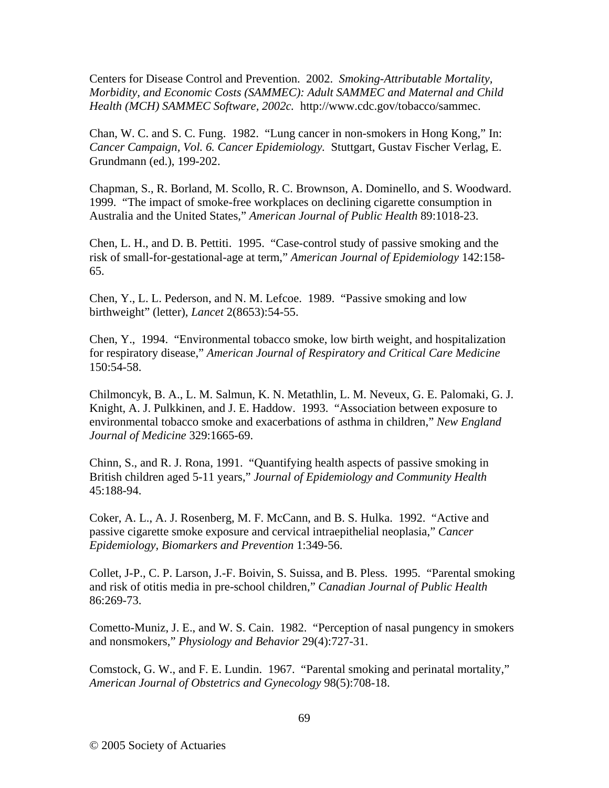Centers for Disease Control and Prevention. 2002. *Smoking-Attributable Mortality, Morbidity, and Economic Costs (SAMMEC): Adult SAMMEC and Maternal and Child Health (MCH) SAMMEC Software, 2002c.* http://www.cdc.gov/tobacco/sammec.

Chan, W. C. and S. C. Fung. 1982. "Lung cancer in non-smokers in Hong Kong," In: *Cancer Campaign, Vol. 6. Cancer Epidemiology.* Stuttgart, Gustav Fischer Verlag, E. Grundmann (ed.), 199-202.

Chapman, S., R. Borland, M. Scollo, R. C. Brownson, A. Dominello, and S. Woodward. 1999. "The impact of smoke-free workplaces on declining cigarette consumption in Australia and the United States," *American Journal of Public Health* 89:1018-23.

Chen, L. H., and D. B. Pettiti. 1995. "Case-control study of passive smoking and the risk of small-for-gestational-age at term," *American Journal of Epidemiology* 142:158- 65.

Chen, Y., L. L. Pederson, and N. M. Lefcoe. 1989. "Passive smoking and low birthweight" (letter), *Lancet* 2(8653):54-55.

Chen, Y., 1994. "Environmental tobacco smoke, low birth weight, and hospitalization for respiratory disease," *American Journal of Respiratory and Critical Care Medicine* 150:54-58.

Chilmoncyk, B. A., L. M. Salmun, K. N. Metathlin, L. M. Neveux, G. E. Palomaki, G. J. Knight, A. J. Pulkkinen, and J. E. Haddow. 1993. "Association between exposure to environmental tobacco smoke and exacerbations of asthma in children," *New England Journal of Medicine* 329:1665-69.

Chinn, S., and R. J. Rona, 1991. "Quantifying health aspects of passive smoking in British children aged 5-11 years," *Journal of Epidemiology and Community Health* 45:188-94.

Coker, A. L., A. J. Rosenberg, M. F. McCann, and B. S. Hulka. 1992. "Active and passive cigarette smoke exposure and cervical intraepithelial neoplasia," *Cancer Epidemiology, Biomarkers and Prevention* 1:349-56.

Collet, J-P., C. P. Larson, J.-F. Boivin, S. Suissa, and B. Pless. 1995. "Parental smoking and risk of otitis media in pre-school children," *Canadian Journal of Public Health* 86:269-73.

Cometto-Muniz, J. E., and W. S. Cain. 1982. "Perception of nasal pungency in smokers and nonsmokers," *Physiology and Behavior* 29(4):727-31.

Comstock, G. W., and F. E. Lundin. 1967. "Parental smoking and perinatal mortality," *American Journal of Obstetrics and Gynecology* 98(5):708-18.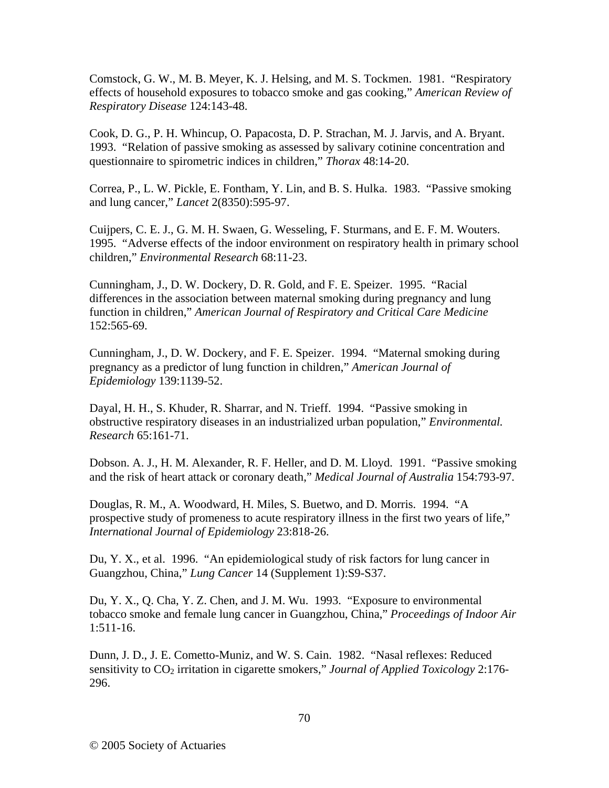Comstock, G. W., M. B. Meyer, K. J. Helsing, and M. S. Tockmen. 1981. "Respiratory effects of household exposures to tobacco smoke and gas cooking," *American Review of Respiratory Disease* 124:143-48.

Cook, D. G., P. H. Whincup, O. Papacosta, D. P. Strachan, M. J. Jarvis, and A. Bryant. 1993. "Relation of passive smoking as assessed by salivary cotinine concentration and questionnaire to spirometric indices in children," *Thorax* 48:14-20.

Correa, P., L. W. Pickle, E. Fontham, Y. Lin, and B. S. Hulka. 1983. "Passive smoking and lung cancer," *Lancet* 2(8350):595-97.

Cuijpers, C. E. J., G. M. H. Swaen, G. Wesseling, F. Sturmans, and E. F. M. Wouters. 1995. "Adverse effects of the indoor environment on respiratory health in primary school children," *Environmental Research* 68:11-23.

Cunningham, J., D. W. Dockery, D. R. Gold, and F. E. Speizer. 1995. "Racial differences in the association between maternal smoking during pregnancy and lung function in children," *American Journal of Respiratory and Critical Care Medicine* 152:565-69.

Cunningham, J., D. W. Dockery, and F. E. Speizer. 1994. "Maternal smoking during pregnancy as a predictor of lung function in children," *American Journal of Epidemiology* 139:1139-52.

Dayal, H. H., S. Khuder, R. Sharrar, and N. Trieff. 1994. "Passive smoking in obstructive respiratory diseases in an industrialized urban population," *Environmental. Research* 65:161-71.

Dobson. A. J., H. M. Alexander, R. F. Heller, and D. M. Lloyd. 1991. "Passive smoking and the risk of heart attack or coronary death," *Medical Journal of Australia* 154:793-97.

Douglas, R. M., A. Woodward, H. Miles, S. Buetwo, and D. Morris. 1994. "A prospective study of promeness to acute respiratory illness in the first two years of life," *International Journal of Epidemiology* 23:818-26.

Du, Y. X., et al. 1996. "An epidemiological study of risk factors for lung cancer in Guangzhou, China," *Lung Cancer* 14 (Supplement 1):S9-S37.

Du, Y. X., Q. Cha, Y. Z. Chen, and J. M. Wu. 1993. "Exposure to environmental tobacco smoke and female lung cancer in Guangzhou, China," *Proceedings of Indoor Air* 1:511-16.

Dunn, J. D., J. E. Cometto-Muniz, and W. S. Cain. 1982. "Nasal reflexes: Reduced sensitivity to CO<sub>2</sub> irritation in cigarette smokers," *Journal of Applied Toxicology* 2:176-296.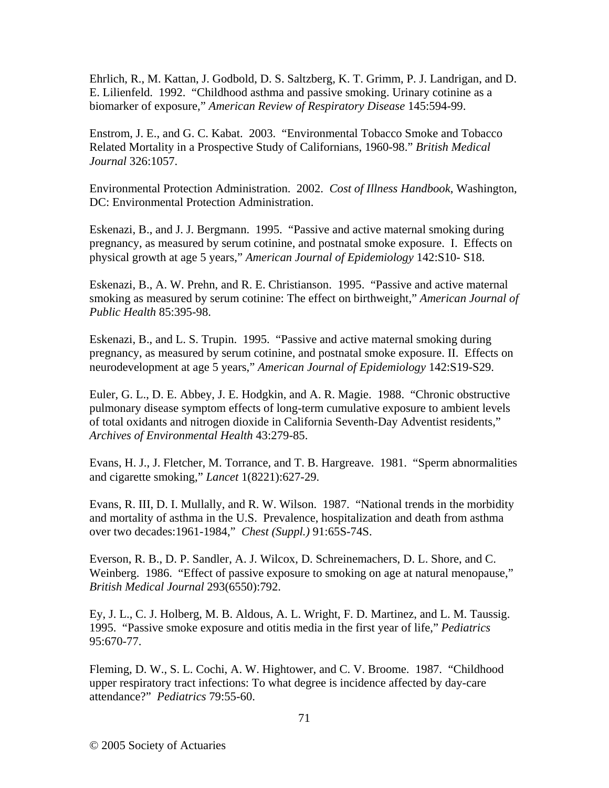Ehrlich, R., M. Kattan, J. Godbold, D. S. Saltzberg, K. T. Grimm, P. J. Landrigan, and D. E. Lilienfeld. 1992. "Childhood asthma and passive smoking. Urinary cotinine as a biomarker of exposure," *American Review of Respiratory Disease* 145:594-99.

Enstrom, J. E., and G. C. Kabat. 2003. "Environmental Tobacco Smoke and Tobacco Related Mortality in a Prospective Study of Californians, 1960-98." *British Medical Journal* 326:1057.

Environmental Protection Administration. 2002. *Cost of Illness Handbook*, Washington, DC: Environmental Protection Administration.

Eskenazi, B., and J. J. Bergmann. 1995. "Passive and active maternal smoking during pregnancy, as measured by serum cotinine, and postnatal smoke exposure. I. Effects on physical growth at age 5 years," *American Journal of Epidemiology* 142:S10- S18.

Eskenazi, B., A. W. Prehn, and R. E. Christianson. 1995. "Passive and active maternal smoking as measured by serum cotinine: The effect on birthweight," *American Journal of Public Health* 85:395-98.

Eskenazi, B., and L. S. Trupin. 1995. "Passive and active maternal smoking during pregnancy, as measured by serum cotinine, and postnatal smoke exposure. II. Effects on neurodevelopment at age 5 years," *American Journal of Epidemiology* 142:S19-S29.

Euler, G. L., D. E. Abbey, J. E. Hodgkin, and A. R. Magie. 1988. "Chronic obstructive pulmonary disease symptom effects of long-term cumulative exposure to ambient levels of total oxidants and nitrogen dioxide in California Seventh-Day Adventist residents," *Archives of Environmental Health* 43:279-85.

Evans, H. J., J. Fletcher, M. Torrance, and T. B. Hargreave. 1981. "Sperm abnormalities and cigarette smoking," *Lancet* 1(8221):627-29.

Evans, R. III, D. I. Mullally, and R. W. Wilson. 1987. "National trends in the morbidity and mortality of asthma in the U.S. Prevalence, hospitalization and death from asthma over two decades:1961-1984," *Chest (Suppl.)* 91:65S-74S.

Everson, R. B., D. P. Sandler, A. J. Wilcox, D. Schreinemachers, D. L. Shore, and C. Weinberg. 1986. "Effect of passive exposure to smoking on age at natural menopause," *British Medical Journal* 293(6550):792.

Ey, J. L., C. J. Holberg, M. B. Aldous, A. L. Wright, F. D. Martinez, and L. M. Taussig. 1995. "Passive smoke exposure and otitis media in the first year of life," *Pediatrics* 95:670-77.

Fleming, D. W., S. L. Cochi, A. W. Hightower, and C. V. Broome. 1987. "Childhood upper respiratory tract infections: To what degree is incidence affected by day-care attendance?" *Pediatrics* 79:55-60.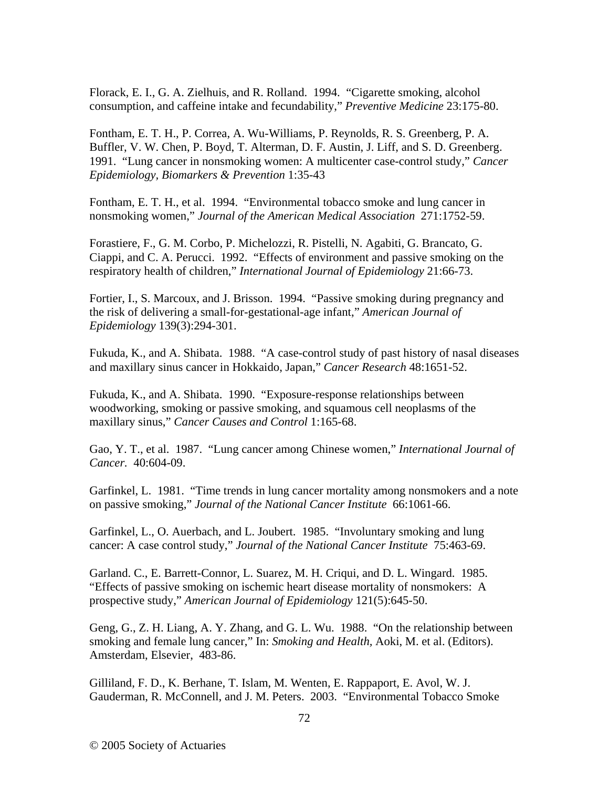Florack, E. I., G. A. Zielhuis, and R. Rolland. 1994. "Cigarette smoking, alcohol consumption, and caffeine intake and fecundability," *Preventive Medicine* 23:175-80.

Fontham, E. T. H., P. Correa, A. Wu-Williams, P. Reynolds, R. S. Greenberg, P. A. Buffler, V. W. Chen, P. Boyd, T. Alterman, D. F. Austin, J. Liff, and S. D. Greenberg. 1991. "Lung cancer in nonsmoking women: A multicenter case-control study," *Cancer Epidemiology, Biomarkers & Prevention* 1:35-43

Fontham, E. T. H., et al. 1994. "Environmental tobacco smoke and lung cancer in nonsmoking women," *Journal of the American Medical Association* 271:1752-59.

Forastiere, F., G. M. Corbo, P. Michelozzi, R. Pistelli, N. Agabiti, G. Brancato, G. Ciappi, and C. A. Perucci. 1992. "Effects of environment and passive smoking on the respiratory health of children," *International Journal of Epidemiology* 21:66-73.

Fortier, I., S. Marcoux, and J. Brisson. 1994. "Passive smoking during pregnancy and the risk of delivering a small-for-gestational-age infant," *American Journal of Epidemiology* 139(3):294-301.

Fukuda, K., and A. Shibata. 1988. "A case-control study of past history of nasal diseases and maxillary sinus cancer in Hokkaido, Japan," *Cancer Research* 48:1651-52.

Fukuda, K., and A. Shibata. 1990. "Exposure-response relationships between woodworking, smoking or passive smoking, and squamous cell neoplasms of the maxillary sinus," *Cancer Causes and Control* 1:165-68.

Gao, Y. T., et al. 1987. "Lung cancer among Chinese women," *International Journal of Cancer.* 40:604-09.

Garfinkel, L. 1981. "Time trends in lung cancer mortality among nonsmokers and a note on passive smoking," *Journal of the National Cancer Institute* 66:1061-66.

Garfinkel, L., O. Auerbach, and L. Joubert. 1985. "Involuntary smoking and lung cancer: A case control study," *Journal of the National Cancer Institute* 75:463-69.

Garland. C., E. Barrett-Connor, L. Suarez, M. H. Criqui, and D. L. Wingard. 1985. "Effects of passive smoking on ischemic heart disease mortality of nonsmokers: A prospective study," *American Journal of Epidemiology* 121(5):645-50.

Geng, G., Z. H. Liang, A. Y. Zhang, and G. L. Wu. 1988. "On the relationship between smoking and female lung cancer," In: *Smoking and Health,* Aoki, M. et al. (Editors). Amsterdam, Elsevier, 483-86.

Gilliland, F. D., K. Berhane, T. Islam, M. Wenten, E. Rappaport, E. Avol, W. J. Gauderman, R. McConnell, and J. M. Peters. 2003. "Environmental Tobacco Smoke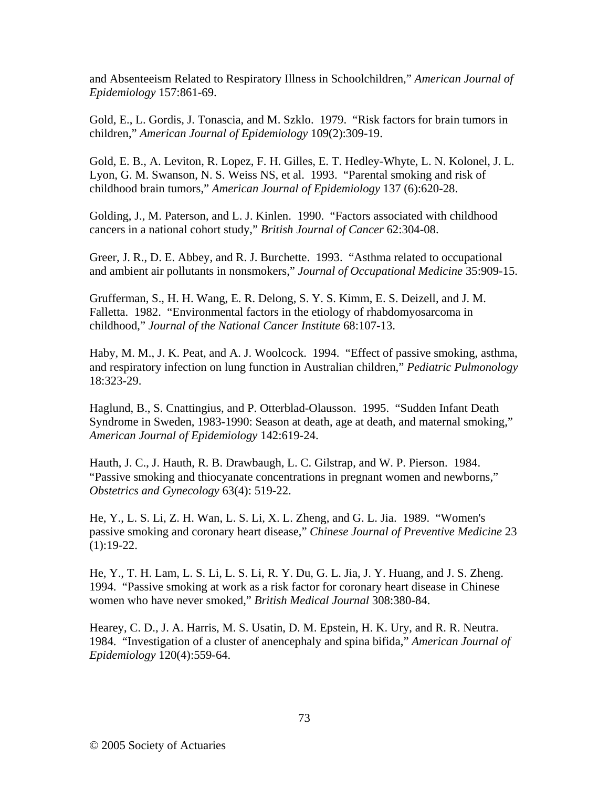and Absenteeism Related to Respiratory Illness in Schoolchildren," *American Journal of Epidemiology* 157:861-69.

Gold, E., L. Gordis, J. Tonascia, and M. Szklo. 1979. "Risk factors for brain tumors in children," *American Journal of Epidemiology* 109(2):309-19.

Gold, E. B., A. Leviton, R. Lopez, F. H. Gilles, E. T. Hedley-Whyte, L. N. Kolonel, J. L. Lyon, G. M. Swanson, N. S. Weiss NS, et al. 1993. "Parental smoking and risk of childhood brain tumors," *American Journal of Epidemiology* 137 (6):620-28.

Golding, J., M. Paterson, and L. J. Kinlen. 1990. "Factors associated with childhood cancers in a national cohort study," *British Journal of Cancer* 62:304-08.

Greer, J. R., D. E. Abbey, and R. J. Burchette. 1993. "Asthma related to occupational and ambient air pollutants in nonsmokers," *Journal of Occupational Medicine* 35:909-15.

Grufferman, S., H. H. Wang, E. R. Delong, S. Y. S. Kimm, E. S. Deizell, and J. M. Falletta. 1982. "Environmental factors in the etiology of rhabdomyosarcoma in childhood," *Journal of the National Cancer Institute* 68:107-13.

Haby, M. M., J. K. Peat, and A. J. Woolcock. 1994. "Effect of passive smoking, asthma, and respiratory infection on lung function in Australian children," *Pediatric Pulmonology* 18:323-29.

Haglund, B., S. Cnattingius, and P. Otterblad-Olausson. 1995. "Sudden Infant Death Syndrome in Sweden, 1983-1990: Season at death, age at death, and maternal smoking," *American Journal of Epidemiology* 142:619-24.

Hauth, J. C., J. Hauth, R. B. Drawbaugh, L. C. Gilstrap, and W. P. Pierson. 1984. "Passive smoking and thiocyanate concentrations in pregnant women and newborns," *Obstetrics and Gynecology* 63(4): 519-22.

He, Y., L. S. Li, Z. H. Wan, L. S. Li, X. L. Zheng, and G. L. Jia. 1989. "Women's passive smoking and coronary heart disease," *Chinese Journal of Preventive Medicine* 23  $(1):19-22.$ 

He, Y., T. H. Lam, L. S. Li, L. S. Li, R. Y. Du, G. L. Jia, J. Y. Huang, and J. S. Zheng. 1994. "Passive smoking at work as a risk factor for coronary heart disease in Chinese women who have never smoked," *British Medical Journal* 308:380-84.

Hearey, C. D., J. A. Harris, M. S. Usatin, D. M. Epstein, H. K. Ury, and R. R. Neutra. 1984. "Investigation of a cluster of anencephaly and spina bifida," *American Journal of Epidemiology* 120(4):559-64.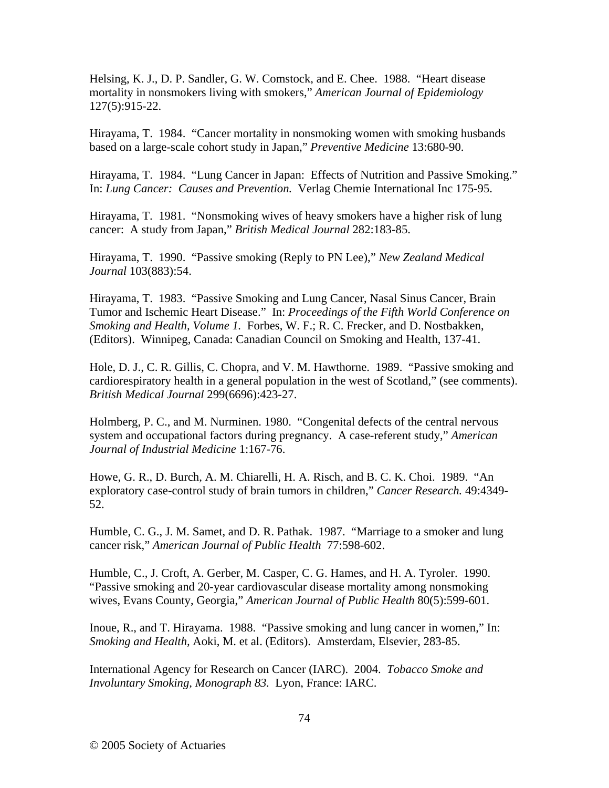Helsing, K. J., D. P. Sandler, G. W. Comstock, and E. Chee. 1988. "Heart disease mortality in nonsmokers living with smokers," *American Journal of Epidemiology* 127(5):915-22.

Hirayama, T. 1984. "Cancer mortality in nonsmoking women with smoking husbands based on a large-scale cohort study in Japan," *Preventive Medicine* 13:680-90.

Hirayama, T. 1984. "Lung Cancer in Japan: Effects of Nutrition and Passive Smoking." In: *Lung Cancer: Causes and Prevention.* Verlag Chemie International Inc 175-95.

Hirayama, T. 1981. "Nonsmoking wives of heavy smokers have a higher risk of lung cancer: A study from Japan," *British Medical Journal* 282:183-85.

Hirayama, T. 1990. "Passive smoking (Reply to PN Lee)," *New Zealand Medical Journal* 103(883):54.

Hirayama, T. 1983. "Passive Smoking and Lung Cancer, Nasal Sinus Cancer, Brain Tumor and Ischemic Heart Disease." In: *Proceedings of the Fifth World Conference on Smoking and Health, Volume 1.* Forbes, W. F.; R. C. Frecker, and D. Nostbakken, (Editors). Winnipeg, Canada: Canadian Council on Smoking and Health, 137-41.

Hole, D. J., C. R. Gillis, C. Chopra, and V. M. Hawthorne. 1989. "Passive smoking and cardiorespiratory health in a general population in the west of Scotland," (see comments). *British Medical Journal* 299(6696):423-27.

Holmberg, P. C., and M. Nurminen. 1980. "Congenital defects of the central nervous system and occupational factors during pregnancy. A case-referent study," *American Journal of Industrial Medicine* 1:167-76.

Howe, G. R., D. Burch, A. M. Chiarelli, H. A. Risch, and B. C. K. Choi. 1989. "An exploratory case-control study of brain tumors in children," *Cancer Research.* 49:4349- 52.

Humble, C. G., J. M. Samet, and D. R. Pathak. 1987. "Marriage to a smoker and lung cancer risk," *American Journal of Public Health* 77:598-602.

Humble, C., J. Croft, A. Gerber, M. Casper, C. G. Hames, and H. A. Tyroler. 1990. "Passive smoking and 20-year cardiovascular disease mortality among nonsmoking wives, Evans County, Georgia," *American Journal of Public Health* 80(5):599-601.

Inoue, R., and T. Hirayama. 1988. "Passive smoking and lung cancer in women," In: *Smoking and Health,* Aoki, M. et al. (Editors). Amsterdam, Elsevier, 283-85.

International Agency for Research on Cancer (IARC). 2004. *Tobacco Smoke and Involuntary Smoking, Monograph 83.* Lyon, France: IARC.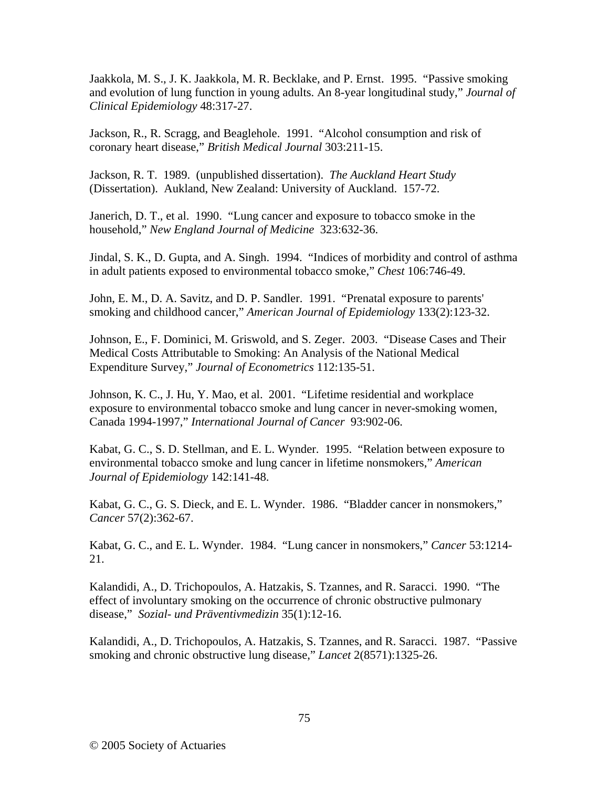Jaakkola, M. S., J. K. Jaakkola, M. R. Becklake, and P. Ernst. 1995. "Passive smoking and evolution of lung function in young adults. An 8-year longitudinal study," *Journal of Clinical Epidemiology* 48:317-27.

Jackson, R., R. Scragg, and Beaglehole. 1991. "Alcohol consumption and risk of coronary heart disease," *British Medical Journal* 303:211-15.

Jackson, R. T. 1989. (unpublished dissertation). *The Auckland Heart Study* (Dissertation). Aukland, New Zealand: University of Auckland. 157-72.

Janerich, D. T., et al. 1990. "Lung cancer and exposure to tobacco smoke in the household," *New England Journal of Medicine* 323:632-36.

Jindal, S. K., D. Gupta, and A. Singh. 1994. "Indices of morbidity and control of asthma in adult patients exposed to environmental tobacco smoke," *Chest* 106:746-49.

John, E. M., D. A. Savitz, and D. P. Sandler. 1991. "Prenatal exposure to parents' smoking and childhood cancer," *American Journal of Epidemiology* 133(2):123-32.

Johnson, E., F. Dominici, M. Griswold, and S. Zeger. 2003. "Disease Cases and Their Medical Costs Attributable to Smoking: An Analysis of the National Medical Expenditure Survey," *Journal of Econometrics* 112:135-51.

Johnson, K. C., J. Hu, Y. Mao, et al. 2001. "Lifetime residential and workplace exposure to environmental tobacco smoke and lung cancer in never-smoking women, Canada 1994-1997," *International Journal of Cancer* 93:902-06.

Kabat, G. C., S. D. Stellman, and E. L. Wynder. 1995. "Relation between exposure to environmental tobacco smoke and lung cancer in lifetime nonsmokers," *American Journal of Epidemiology* 142:141-48.

Kabat, G. C., G. S. Dieck, and E. L. Wynder. 1986. "Bladder cancer in nonsmokers," *Cancer* 57(2):362-67.

Kabat, G. C., and E. L. Wynder. 1984. "Lung cancer in nonsmokers," *Cancer* 53:1214- 21.

Kalandidi, A., D. Trichopoulos, A. Hatzakis, S. Tzannes, and R. Saracci. 1990. "The effect of involuntary smoking on the occurrence of chronic obstructive pulmonary disease," *Sozial- und Präventivmedizin* 35(1):12-16.

Kalandidi, A., D. Trichopoulos, A. Hatzakis, S. Tzannes, and R. Saracci. 1987. "Passive smoking and chronic obstructive lung disease," *Lancet* 2(8571):1325-26.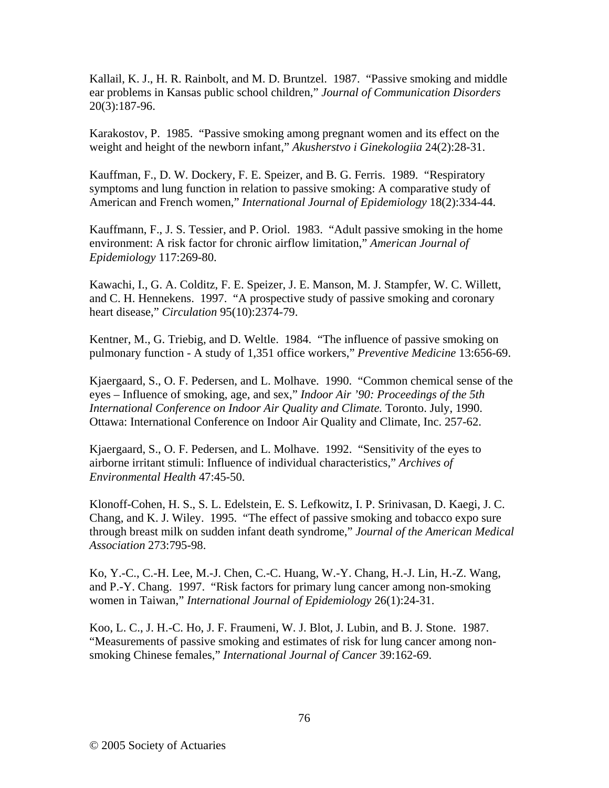Kallail, K. J., H. R. Rainbolt, and M. D. Bruntzel. 1987. "Passive smoking and middle ear problems in Kansas public school children," *Journal of Communication Disorders* 20(3):187-96.

Karakostov, P. 1985. "Passive smoking among pregnant women and its effect on the weight and height of the newborn infant," *Akusherstvo i Ginekologiia* 24(2):28-31.

Kauffman, F., D. W. Dockery, F. E. Speizer, and B. G. Ferris. 1989. "Respiratory symptoms and lung function in relation to passive smoking: A comparative study of American and French women," *International Journal of Epidemiology* 18(2):334-44.

Kauffmann, F., J. S. Tessier, and P. Oriol. 1983. "Adult passive smoking in the home environment: A risk factor for chronic airflow limitation," *American Journal of Epidemiology* 117:269-80.

Kawachi, I., G. A. Colditz, F. E. Speizer, J. E. Manson, M. J. Stampfer, W. C. Willett, and C. H. Hennekens. 1997. "A prospective study of passive smoking and coronary heart disease," *Circulation* 95(10):2374-79.

Kentner, M., G. Triebig, and D. Weltle. 1984. "The influence of passive smoking on pulmonary function - A study of 1,351 office workers," *Preventive Medicine* 13:656-69.

Kjaergaard, S., O. F. Pedersen, and L. Molhave. 1990. "Common chemical sense of the eyes – Influence of smoking, age, and sex," *Indoor Air '90: Proceedings of the 5th International Conference on Indoor Air Quality and Climate.* Toronto. July, 1990. Ottawa: International Conference on Indoor Air Quality and Climate, Inc. 257-62.

Kjaergaard, S., O. F. Pedersen, and L. Molhave. 1992. "Sensitivity of the eyes to airborne irritant stimuli: Influence of individual characteristics," *Archives of Environmental Health* 47:45-50.

Klonoff-Cohen, H. S., S. L. Edelstein, E. S. Lefkowitz, I. P. Srinivasan, D. Kaegi, J. C. Chang, and K. J. Wiley. 1995. "The effect of passive smoking and tobacco expo sure through breast milk on sudden infant death syndrome," *Journal of the American Medical Association* 273:795-98.

Ko, Y.-C., C.-H. Lee, M.-J. Chen, C.-C. Huang, W.-Y. Chang, H.-J. Lin, H.-Z. Wang, and P.-Y. Chang. 1997. "Risk factors for primary lung cancer among non-smoking women in Taiwan," *International Journal of Epidemiology* 26(1):24-31.

Koo, L. C., J. H.-C. Ho, J. F. Fraumeni, W. J. Blot, J. Lubin, and B. J. Stone. 1987. "Measurements of passive smoking and estimates of risk for lung cancer among nonsmoking Chinese females," *International Journal of Cancer* 39:162-69.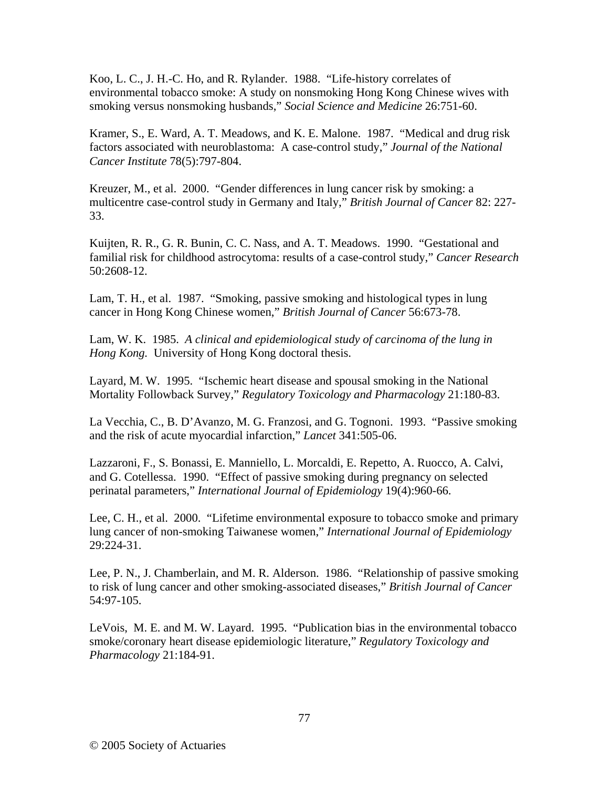Koo, L. C., J. H.-C. Ho, and R. Rylander. 1988. "Life-history correlates of environmental tobacco smoke: A study on nonsmoking Hong Kong Chinese wives with smoking versus nonsmoking husbands," *Social Science and Medicine* 26:751-60.

Kramer, S., E. Ward, A. T. Meadows, and K. E. Malone. 1987. "Medical and drug risk factors associated with neuroblastoma: A case-control study," *Journal of the National Cancer Institute* 78(5):797-804.

Kreuzer, M., et al. 2000. "Gender differences in lung cancer risk by smoking: a multicentre case-control study in Germany and Italy," *British Journal of Cancer* 82: 227- 33.

Kuijten, R. R., G. R. Bunin, C. C. Nass, and A. T. Meadows. 1990. "Gestational and familial risk for childhood astrocytoma: results of a case-control study," *Cancer Research* 50:2608-12.

Lam, T. H., et al. 1987. "Smoking, passive smoking and histological types in lung cancer in Hong Kong Chinese women," *British Journal of Cancer* 56:673-78.

Lam, W. K. 1985. *A clinical and epidemiological study of carcinoma of the lung in Hong Kong.* University of Hong Kong doctoral thesis.

Layard, M. W. 1995. "Ischemic heart disease and spousal smoking in the National Mortality Followback Survey," *Regulatory Toxicology and Pharmacology* 21:180-83.

La Vecchia, C., B. D'Avanzo, M. G. Franzosi, and G. Tognoni. 1993. "Passive smoking and the risk of acute myocardial infarction," *Lancet* 341:505-06.

Lazzaroni, F., S. Bonassi, E. Manniello, L. Morcaldi, E. Repetto, A. Ruocco, A. Calvi, and G. Cotellessa. 1990. "Effect of passive smoking during pregnancy on selected perinatal parameters," *International Journal of Epidemiology* 19(4):960-66.

Lee, C. H., et al. 2000. "Lifetime environmental exposure to tobacco smoke and primary lung cancer of non-smoking Taiwanese women," *International Journal of Epidemiology* 29:224-31.

Lee, P. N., J. Chamberlain, and M. R. Alderson. 1986. "Relationship of passive smoking to risk of lung cancer and other smoking-associated diseases," *British Journal of Cancer* 54:97-105.

LeVois, M. E. and M. W. Layard. 1995. "Publication bias in the environmental tobacco smoke/coronary heart disease epidemiologic literature," *Regulatory Toxicology and Pharmacology* 21:184-91.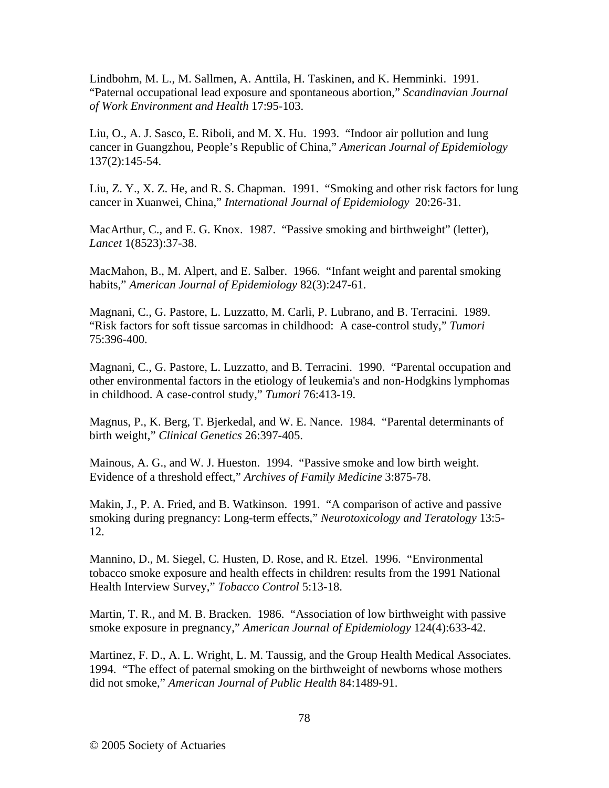Lindbohm, M. L., M. Sallmen, A. Anttila, H. Taskinen, and K. Hemminki. 1991. "Paternal occupational lead exposure and spontaneous abortion," *Scandinavian Journal of Work Environment and Health* 17:95-103.

Liu, O., A. J. Sasco, E. Riboli, and M. X. Hu. 1993. "Indoor air pollution and lung cancer in Guangzhou, People's Republic of China," *American Journal of Epidemiology* 137(2):145-54.

Liu, Z. Y., X. Z. He, and R. S. Chapman. 1991. "Smoking and other risk factors for lung cancer in Xuanwei, China," *International Journal of Epidemiology* 20:26-31.

MacArthur, C., and E. G. Knox. 1987. "Passive smoking and birthweight" (letter), *Lancet* 1(8523):37-38.

MacMahon, B., M. Alpert, and E. Salber. 1966. "Infant weight and parental smoking habits," *American Journal of Epidemiology* 82(3):247-61.

Magnani, C., G. Pastore, L. Luzzatto, M. Carli, P. Lubrano, and B. Terracini. 1989. "Risk factors for soft tissue sarcomas in childhood: A case-control study," *Tumori* 75:396-400.

Magnani, C., G. Pastore, L. Luzzatto, and B. Terracini. 1990. "Parental occupation and other environmental factors in the etiology of leukemia's and non-Hodgkins lymphomas in childhood. A case-control study," *Tumori* 76:413-19.

Magnus, P., K. Berg, T. Bjerkedal, and W. E. Nance. 1984. "Parental determinants of birth weight," *Clinical Genetics* 26:397-405.

Mainous, A. G., and W. J. Hueston. 1994. "Passive smoke and low birth weight. Evidence of a threshold effect," *Archives of Family Medicine* 3:875-78.

Makin, J., P. A. Fried, and B. Watkinson. 1991. "A comparison of active and passive smoking during pregnancy: Long-term effects," *Neurotoxicology and Teratology* 13:5- 12.

Mannino, D., M. Siegel, C. Husten, D. Rose, and R. Etzel. 1996. "Environmental tobacco smoke exposure and health effects in children: results from the 1991 National Health Interview Survey," *Tobacco Control* 5:13-18.

Martin, T. R., and M. B. Bracken. 1986. "Association of low birthweight with passive smoke exposure in pregnancy," *American Journal of Epidemiology* 124(4):633-42.

Martinez, F. D., A. L. Wright, L. M. Taussig, and the Group Health Medical Associates. 1994. "The effect of paternal smoking on the birthweight of newborns whose mothers did not smoke," *American Journal of Public Health* 84:1489-91.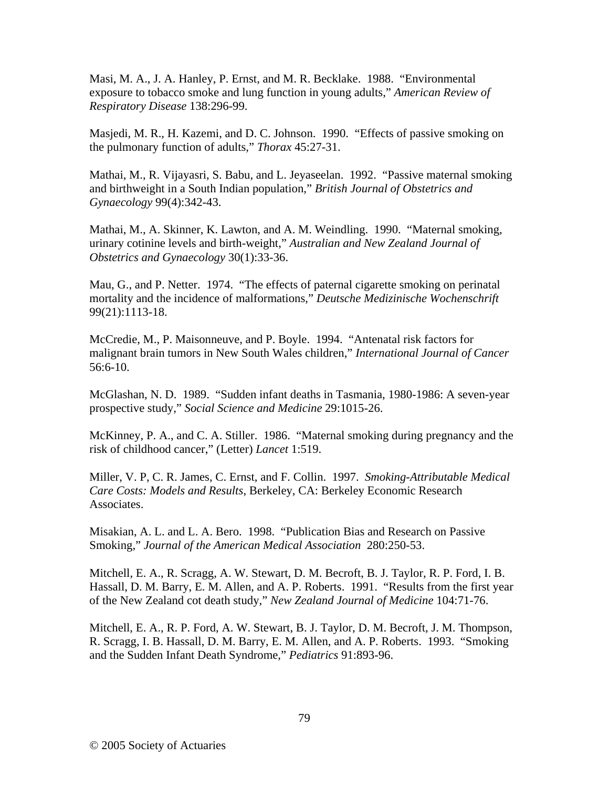Masi, M. A., J. A. Hanley, P. Ernst, and M. R. Becklake. 1988. "Environmental exposure to tobacco smoke and lung function in young adults," *American Review of Respiratory Disease* 138:296-99.

Masjedi, M. R., H. Kazemi, and D. C. Johnson. 1990. "Effects of passive smoking on the pulmonary function of adults," *Thorax* 45:27-31.

Mathai, M., R. Vijayasri, S. Babu, and L. Jeyaseelan. 1992. "Passive maternal smoking and birthweight in a South Indian population," *British Journal of Obstetrics and Gynaecology* 99(4):342-43.

Mathai, M., A. Skinner, K. Lawton, and A. M. Weindling. 1990. "Maternal smoking, urinary cotinine levels and birth-weight," *Australian and New Zealand Journal of Obstetrics and Gynaecology* 30(1):33-36.

Mau, G., and P. Netter. 1974. "The effects of paternal cigarette smoking on perinatal mortality and the incidence of malformations," *Deutsche Medizinische Wochenschrift* 99(21):1113-18.

McCredie, M., P. Maisonneuve, and P. Boyle. 1994. "Antenatal risk factors for malignant brain tumors in New South Wales children," *International Journal of Cancer* 56:6-10.

McGlashan, N. D. 1989. "Sudden infant deaths in Tasmania, 1980-1986: A seven-year prospective study," *Social Science and Medicine* 29:1015-26.

McKinney, P. A., and C. A. Stiller. 1986. "Maternal smoking during pregnancy and the risk of childhood cancer," (Letter) *Lancet* 1:519.

Miller, V. P, C. R. James, C. Ernst, and F. Collin. 1997. *Smoking-Attributable Medical Care Costs: Models and Results*, Berkeley, CA: Berkeley Economic Research Associates.

Misakian, A. L. and L. A. Bero. 1998. "Publication Bias and Research on Passive Smoking," *Journal of the American Medical Association* 280:250-53.

Mitchell, E. A., R. Scragg, A. W. Stewart, D. M. Becroft, B. J. Taylor, R. P. Ford, I. B. Hassall, D. M. Barry, E. M. Allen, and A. P. Roberts. 1991. "Results from the first year of the New Zealand cot death study," *New Zealand Journal of Medicine* 104:71-76.

Mitchell, E. A., R. P. Ford, A. W. Stewart, B. J. Taylor, D. M. Becroft, J. M. Thompson, R. Scragg, I. B. Hassall, D. M. Barry, E. M. Allen, and A. P. Roberts. 1993. "Smoking and the Sudden Infant Death Syndrome," *Pediatrics* 91:893-96.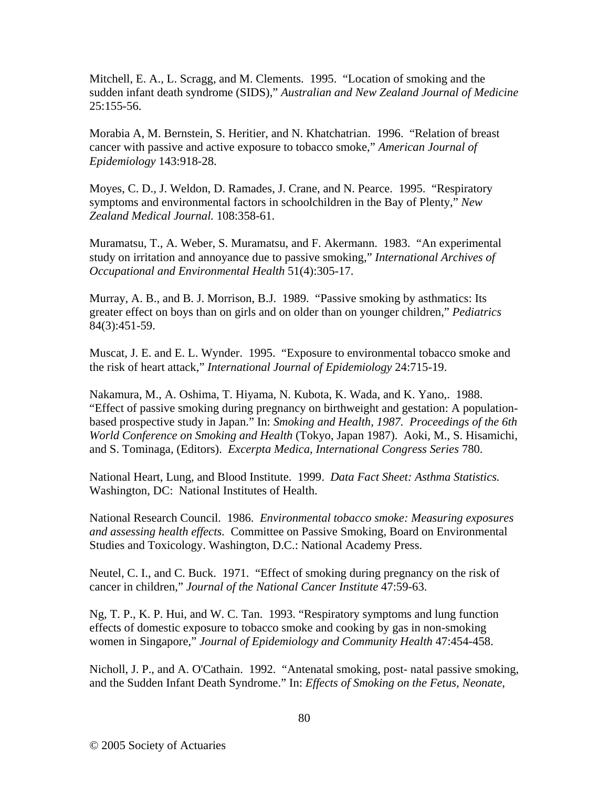Mitchell, E. A., L. Scragg, and M. Clements. 1995. "Location of smoking and the sudden infant death syndrome (SIDS)," *Australian and New Zealand Journal of Medicine* 25:155-56.

Morabia A, M. Bernstein, S. Heritier, and N. Khatchatrian. 1996. "Relation of breast cancer with passive and active exposure to tobacco smoke," *American Journal of Epidemiology* 143:918-28.

Moyes, C. D., J. Weldon, D. Ramades, J. Crane, and N. Pearce. 1995. "Respiratory symptoms and environmental factors in schoolchildren in the Bay of Plenty," *New Zealand Medical Journal.* 108:358-61.

Muramatsu, T., A. Weber, S. Muramatsu, and F. Akermann. 1983. "An experimental study on irritation and annoyance due to passive smoking," *International Archives of Occupational and Environmental Health* 51(4):305-17.

Murray, A. B., and B. J. Morrison, B.J. 1989. "Passive smoking by asthmatics: Its greater effect on boys than on girls and on older than on younger children," *Pediatrics* 84(3):451-59.

Muscat, J. E. and E. L. Wynder. 1995. "Exposure to environmental tobacco smoke and the risk of heart attack," *International Journal of Epidemiology* 24:715-19.

Nakamura, M., A. Oshima, T. Hiyama, N. Kubota, K. Wada, and K. Yano,. 1988. "Effect of passive smoking during pregnancy on birthweight and gestation: A populationbased prospective study in Japan." In: *Smoking and Health, 1987. Proceedings of the 6th World Conference on Smoking and Health* (Tokyo, Japan 1987). Aoki, M., S. Hisamichi, and S. Tominaga, (Editors). *Excerpta Medica, International Congress Series* 780.

National Heart, Lung, and Blood Institute. 1999. *Data Fact Sheet: Asthma Statistics.* Washington, DC: National Institutes of Health.

National Research Council. 1986. *Environmental tobacco smoke: Measuring exposures and assessing health effects.* Committee on Passive Smoking, Board on Environmental Studies and Toxicology. Washington, D.C.: National Academy Press.

Neutel, C. I., and C. Buck. 1971. "Effect of smoking during pregnancy on the risk of cancer in children," *Journal of the National Cancer Institute* 47:59-63.

Ng, T. P., K. P. Hui, and W. C. Tan. 1993. "Respiratory symptoms and lung function effects of domestic exposure to tobacco smoke and cooking by gas in non-smoking women in Singapore," *Journal of Epidemiology and Community Health* 47:454-458.

Nicholl, J. P., and A. O'Cathain. 1992. "Antenatal smoking, post- natal passive smoking, and the Sudden Infant Death Syndrome." In: *Effects of Smoking on the Fetus, Neonate,*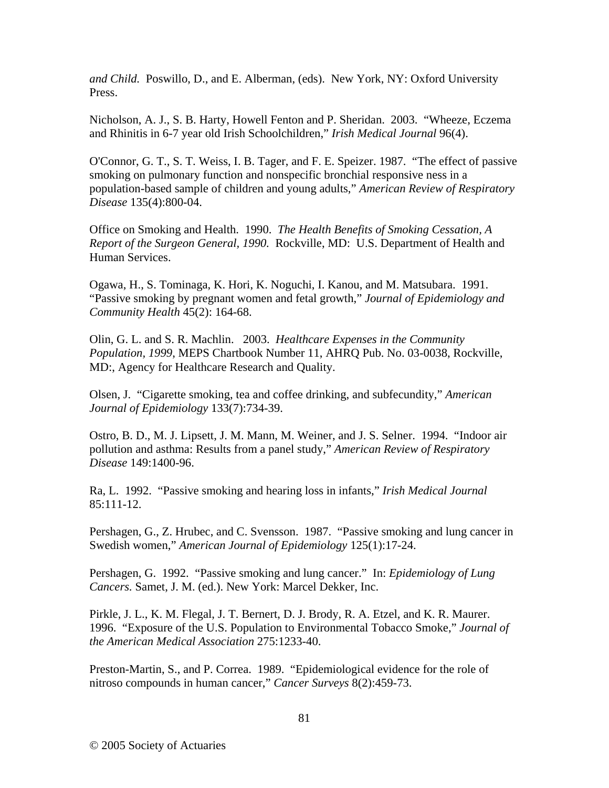*and Child.* Poswillo, D., and E. Alberman, (eds). New York, NY: Oxford University Press.

Nicholson, A. J., S. B. Harty, Howell Fenton and P. Sheridan. 2003. "Wheeze, Eczema and Rhinitis in 6-7 year old Irish Schoolchildren," *Irish Medical Journal* 96(4).

O'Connor, G. T., S. T. Weiss, I. B. Tager, and F. E. Speizer. 1987. "The effect of passive smoking on pulmonary function and nonspecific bronchial responsive ness in a population-based sample of children and young adults," *American Review of Respiratory Disease* 135(4):800-04.

Office on Smoking and Health. 1990. *The Health Benefits of Smoking Cessation, A Report of the Surgeon General, 1990.* Rockville, MD: U.S. Department of Health and Human Services.

Ogawa, H., S. Tominaga, K. Hori, K. Noguchi, I. Kanou, and M. Matsubara. 1991. "Passive smoking by pregnant women and fetal growth," *Journal of Epidemiology and Community Health* 45(2): 164-68.

Olin, G. L. and S. R. Machlin. 2003. *Healthcare Expenses in the Community Population, 1999*, MEPS Chartbook Number 11, AHRQ Pub. No. 03-0038, Rockville, MD:, Agency for Healthcare Research and Quality.

Olsen, J. "Cigarette smoking, tea and coffee drinking, and subfecundity," *American Journal of Epidemiology* 133(7):734-39.

Ostro, B. D., M. J. Lipsett, J. M. Mann, M. Weiner, and J. S. Selner. 1994. "Indoor air pollution and asthma: Results from a panel study," *American Review of Respiratory Disease* 149:1400-96.

Ra, L. 1992. "Passive smoking and hearing loss in infants," *Irish Medical Journal* 85:111-12.

Pershagen, G., Z. Hrubec, and C. Svensson. 1987. "Passive smoking and lung cancer in Swedish women," *American Journal of Epidemiology* 125(1):17-24.

Pershagen, G. 1992. "Passive smoking and lung cancer." In: *Epidemiology of Lung Cancers.* Samet, J. M. (ed.). New York: Marcel Dekker, Inc.

Pirkle, J. L., K. M. Flegal, J. T. Bernert, D. J. Brody, R. A. Etzel, and K. R. Maurer. 1996. "Exposure of the U.S. Population to Environmental Tobacco Smoke," *Journal of the American Medical Association* 275:1233-40.

Preston-Martin, S., and P. Correa. 1989. "Epidemiological evidence for the role of nitroso compounds in human cancer," *Cancer Surveys* 8(2):459-73.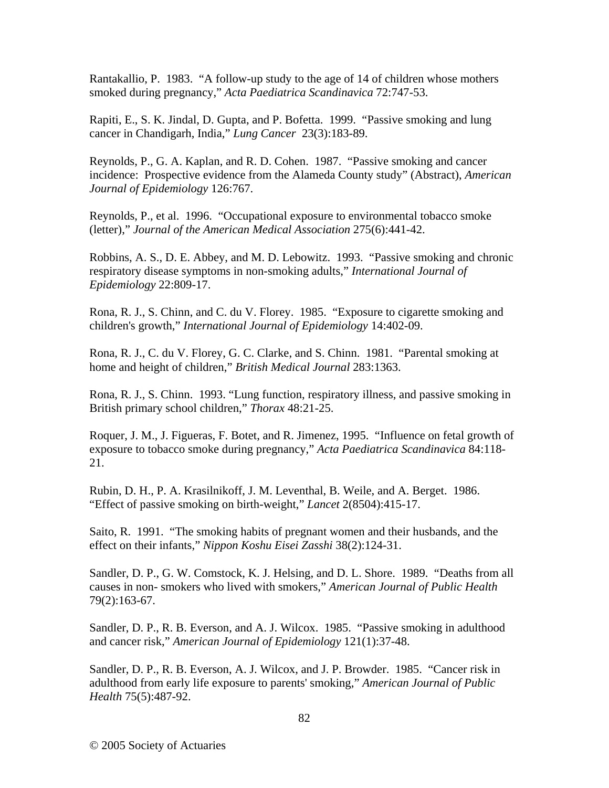Rantakallio, P. 1983. "A follow-up study to the age of 14 of children whose mothers smoked during pregnancy," *Acta Paediatrica Scandinavica* 72:747-53.

Rapiti, E., S. K. Jindal, D. Gupta, and P. Bofetta. 1999. "Passive smoking and lung cancer in Chandigarh, India," *Lung Cancer* 23(3):183-89.

Reynolds, P., G. A. Kaplan, and R. D. Cohen. 1987. "Passive smoking and cancer incidence: Prospective evidence from the Alameda County study" (Abstract), *American Journal of Epidemiology* 126:767.

Reynolds, P., et al. 1996. "Occupational exposure to environmental tobacco smoke (letter)," *Journal of the American Medical Association* 275(6):441-42.

Robbins, A. S., D. E. Abbey, and M. D. Lebowitz. 1993. "Passive smoking and chronic respiratory disease symptoms in non-smoking adults," *International Journal of Epidemiology* 22:809-17.

Rona, R. J., S. Chinn, and C. du V. Florey. 1985. "Exposure to cigarette smoking and children's growth," *International Journal of Epidemiology* 14:402-09.

Rona, R. J., C. du V. Florey, G. C. Clarke, and S. Chinn. 1981. "Parental smoking at home and height of children," *British Medical Journal* 283:1363.

Rona, R. J., S. Chinn. 1993. "Lung function, respiratory illness, and passive smoking in British primary school children," *Thorax* 48:21-25.

Roquer, J. M., J. Figueras, F. Botet, and R. Jimenez, 1995. "Influence on fetal growth of exposure to tobacco smoke during pregnancy," *Acta Paediatrica Scandinavica* 84:118- 21.

Rubin, D. H., P. A. Krasilnikoff, J. M. Leventhal, B. Weile, and A. Berget. 1986. "Effect of passive smoking on birth-weight," *Lancet* 2(8504):415-17.

Saito, R. 1991. "The smoking habits of pregnant women and their husbands, and the effect on their infants," *Nippon Koshu Eisei Zasshi* 38(2):124-31.

Sandler, D. P., G. W. Comstock, K. J. Helsing, and D. L. Shore. 1989. "Deaths from all causes in non- smokers who lived with smokers," *American Journal of Public Health* 79(2):163-67.

Sandler, D. P., R. B. Everson, and A. J. Wilcox. 1985. "Passive smoking in adulthood and cancer risk," *American Journal of Epidemiology* 121(1):37-48.

Sandler, D. P., R. B. Everson, A. J. Wilcox, and J. P. Browder. 1985. "Cancer risk in adulthood from early life exposure to parents' smoking," *American Journal of Public Health* 75(5):487-92.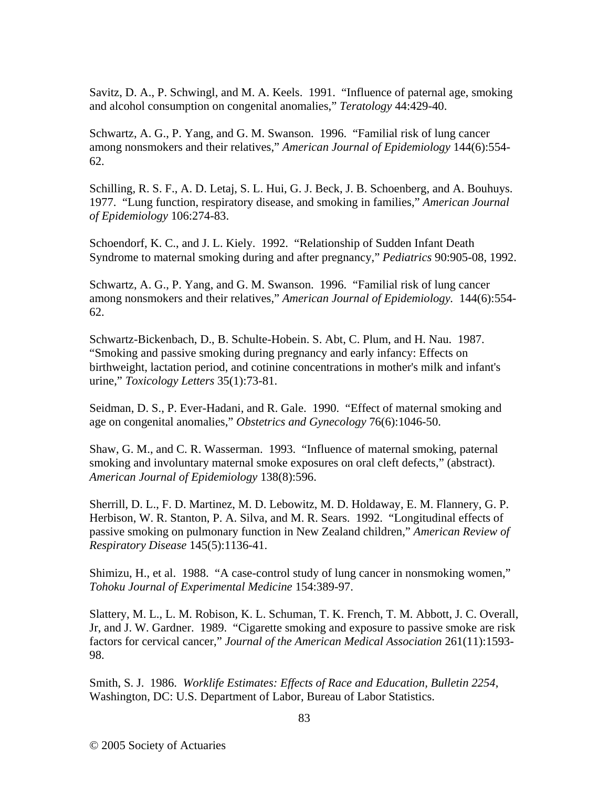Savitz, D. A., P. Schwingl, and M. A. Keels. 1991. "Influence of paternal age, smoking and alcohol consumption on congenital anomalies," *Teratology* 44:429-40.

Schwartz, A. G., P. Yang, and G. M. Swanson. 1996. "Familial risk of lung cancer among nonsmokers and their relatives," *American Journal of Epidemiology* 144(6):554- 62.

Schilling, R. S. F., A. D. Letaj, S. L. Hui, G. J. Beck, J. B. Schoenberg, and A. Bouhuys. 1977. "Lung function, respiratory disease, and smoking in families," *American Journal of Epidemiology* 106:274-83.

Schoendorf, K. C., and J. L. Kiely. 1992. "Relationship of Sudden Infant Death Syndrome to maternal smoking during and after pregnancy," *Pediatrics* 90:905-08, 1992.

Schwartz, A. G., P. Yang, and G. M. Swanson. 1996. "Familial risk of lung cancer among nonsmokers and their relatives," *American Journal of Epidemiology.* 144(6):554- 62.

Schwartz-Bickenbach, D., B. Schulte-Hobein. S. Abt, C. Plum, and H. Nau. 1987. "Smoking and passive smoking during pregnancy and early infancy: Effects on birthweight, lactation period, and cotinine concentrations in mother's milk and infant's urine," *Toxicology Letters* 35(1):73-81.

Seidman, D. S., P. Ever-Hadani, and R. Gale. 1990. "Effect of maternal smoking and age on congenital anomalies," *Obstetrics and Gynecology* 76(6):1046-50.

Shaw, G. M., and C. R. Wasserman. 1993. "Influence of maternal smoking, paternal smoking and involuntary maternal smoke exposures on oral cleft defects," (abstract). *American Journal of Epidemiology* 138(8):596.

Sherrill, D. L., F. D. Martinez, M. D. Lebowitz, M. D. Holdaway, E. M. Flannery, G. P. Herbison, W. R. Stanton, P. A. Silva, and M. R. Sears. 1992. "Longitudinal effects of passive smoking on pulmonary function in New Zealand children," *American Review of Respiratory Disease* 145(5):1136-41.

Shimizu, H., et al. 1988. "A case-control study of lung cancer in nonsmoking women," *Tohoku Journal of Experimental Medicine* 154:389-97.

Slattery, M. L., L. M. Robison, K. L. Schuman, T. K. French, T. M. Abbott, J. C. Overall, Jr, and J. W. Gardner. 1989. "Cigarette smoking and exposure to passive smoke are risk factors for cervical cancer," *Journal of the American Medical Association* 261(11):1593- 98.

Smith, S. J. 1986. *Worklife Estimates: Effects of Race and Education, Bulletin 2254*, Washington, DC: U.S. Department of Labor, Bureau of Labor Statistics.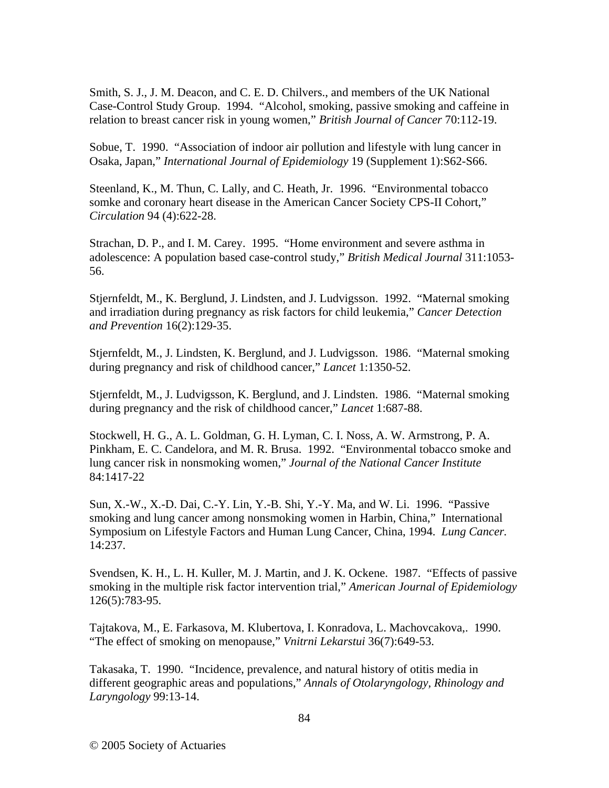Smith, S. J., J. M. Deacon, and C. E. D. Chilvers., and members of the UK National Case-Control Study Group. 1994. "Alcohol, smoking, passive smoking and caffeine in relation to breast cancer risk in young women," *British Journal of Cancer* 70:112-19.

Sobue, T. 1990. "Association of indoor air pollution and lifestyle with lung cancer in Osaka, Japan," *International Journal of Epidemiology* 19 (Supplement 1):S62-S66.

Steenland, K., M. Thun, C. Lally, and C. Heath, Jr. 1996. "Environmental tobacco somke and coronary heart disease in the American Cancer Society CPS-II Cohort," *Circulation* 94 (4):622-28.

Strachan, D. P., and I. M. Carey. 1995. "Home environment and severe asthma in adolescence: A population based case-control study," *British Medical Journal* 311:1053- 56.

Stjernfeldt, M., K. Berglund, J. Lindsten, and J. Ludvigsson. 1992. "Maternal smoking and irradiation during pregnancy as risk factors for child leukemia," *Cancer Detection and Prevention* 16(2):129-35.

Stjernfeldt, M., J. Lindsten, K. Berglund, and J. Ludvigsson. 1986. "Maternal smoking during pregnancy and risk of childhood cancer," *Lancet* 1:1350-52.

Stjernfeldt, M., J. Ludvigsson, K. Berglund, and J. Lindsten. 1986. "Maternal smoking during pregnancy and the risk of childhood cancer," *Lancet* 1:687-88.

Stockwell, H. G., A. L. Goldman, G. H. Lyman, C. I. Noss, A. W. Armstrong, P. A. Pinkham, E. C. Candelora, and M. R. Brusa. 1992. "Environmental tobacco smoke and lung cancer risk in nonsmoking women," *Journal of the National Cancer Institute* 84:1417-22

Sun, X.-W., X.-D. Dai, C.-Y. Lin, Y.-B. Shi, Y.-Y. Ma, and W. Li. 1996. "Passive smoking and lung cancer among nonsmoking women in Harbin, China," International Symposium on Lifestyle Factors and Human Lung Cancer, China, 1994. *Lung Cancer.* 14:237.

Svendsen, K. H., L. H. Kuller, M. J. Martin, and J. K. Ockene. 1987. "Effects of passive smoking in the multiple risk factor intervention trial," *American Journal of Epidemiology* 126(5):783-95.

Tajtakova, M., E. Farkasova, M. Klubertova, I. Konradova, L. Machovcakova,. 1990. "The effect of smoking on menopause," *Vnitrni Lekarstui* 36(7):649-53.

Takasaka, T. 1990. "Incidence, prevalence, and natural history of otitis media in different geographic areas and populations," *Annals of Otolaryngology, Rhinology and Laryngology* 99:13-14.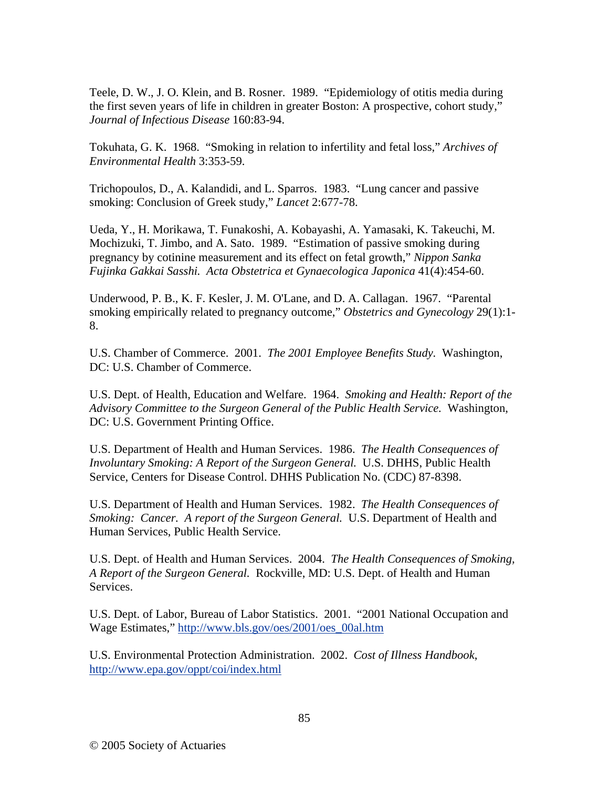Teele, D. W., J. O. Klein, and B. Rosner. 1989. "Epidemiology of otitis media during the first seven years of life in children in greater Boston: A prospective, cohort study," *Journal of Infectious Disease* 160:83-94.

Tokuhata, G. K. 1968. "Smoking in relation to infertility and fetal loss," *Archives of Environmental Health* 3:353-59.

Trichopoulos, D., A. Kalandidi, and L. Sparros. 1983. "Lung cancer and passive smoking: Conclusion of Greek study," *Lancet* 2:677-78.

Ueda, Y., H. Morikawa, T. Funakoshi, A. Kobayashi, A. Yamasaki, K. Takeuchi, M. Mochizuki, T. Jimbo, and A. Sato. 1989. "Estimation of passive smoking during pregnancy by cotinine measurement and its effect on fetal growth," *Nippon Sanka Fujinka Gakkai Sasshi. Acta Obstetrica et Gynaecologica Japonica* 41(4):454-60.

Underwood, P. B., K. F. Kesler, J. M. O'Lane, and D. A. Callagan. 1967. "Parental smoking empirically related to pregnancy outcome," *Obstetrics and Gynecology* 29(1):1- 8.

U.S. Chamber of Commerce. 2001. *The 2001 Employee Benefits Study.* Washington, DC: U.S. Chamber of Commerce.

U.S. Dept. of Health, Education and Welfare. 1964. *Smoking and Health: Report of the Advisory Committee to the Surgeon General of the Public Health Service.* Washington, DC: U.S. Government Printing Office.

U.S. Department of Health and Human Services. 1986. *The Health Consequences of Involuntary Smoking: A Report of the Surgeon General.* U.S. DHHS, Public Health Service, Centers for Disease Control. DHHS Publication No. (CDC) 87-8398.

U.S. Department of Health and Human Services. 1982. *The Health Consequences of Smoking: Cancer. A report of the Surgeon General.* U.S. Department of Health and Human Services, Public Health Service.

U.S. Dept. of Health and Human Services. 2004. *The Health Consequences of Smoking, A Report of the Surgeon General.* Rockville, MD: U.S. Dept. of Health and Human Services.

U.S. Dept. of Labor, Bureau of Labor Statistics. 2001. "2001 National Occupation and Wage Estimates," http://www.bls.gov/oes/2001/oes\_00al.htm

U.S. Environmental Protection Administration. 2002. *Cost of Illness Handbook*, http://www.epa.gov/oppt/coi/index.html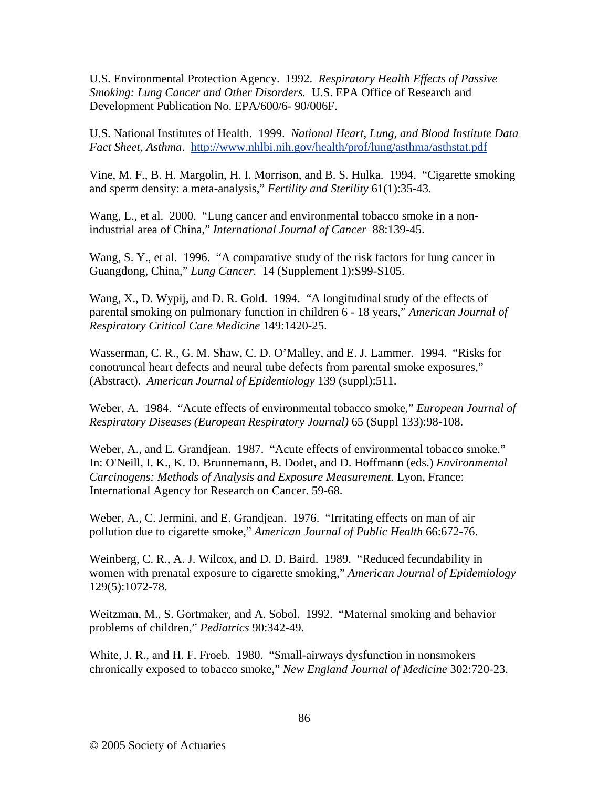U.S. Environmental Protection Agency. 1992. *Respiratory Health Effects of Passive Smoking: Lung Cancer and Other Disorders.* U.S. EPA Office of Research and Development Publication No. EPA/600/6- 90/006F.

U.S. National Institutes of Health. 1999. *National Heart, Lung, and Blood Institute Data Fact Sheet, Asthma*. http://www.nhlbi.nih.gov/health/prof/lung/asthma/asthstat.pdf

Vine, M. F., B. H. Margolin, H. I. Morrison, and B. S. Hulka. 1994. "Cigarette smoking and sperm density: a meta-analysis," *Fertility and Sterility* 61(1):35-43.

Wang, L., et al. 2000. "Lung cancer and environmental tobacco smoke in a nonindustrial area of China," *International Journal of Cancer* 88:139-45.

Wang, S. Y., et al. 1996. "A comparative study of the risk factors for lung cancer in Guangdong, China," *Lung Cancer.* 14 (Supplement 1):S99-S105.

Wang, X., D. Wypij, and D. R. Gold. 1994. "A longitudinal study of the effects of parental smoking on pulmonary function in children 6 - 18 years," *American Journal of Respiratory Critical Care Medicine* 149:1420-25.

Wasserman, C. R., G. M. Shaw, C. D. O'Malley, and E. J. Lammer. 1994. "Risks for conotruncal heart defects and neural tube defects from parental smoke exposures," (Abstract). *American Journal of Epidemiology* 139 (suppl):511.

Weber, A. 1984. "Acute effects of environmental tobacco smoke," *European Journal of Respiratory Diseases (European Respiratory Journal)* 65 (Suppl 133):98-108.

Weber, A., and E. Grandjean. 1987. "Acute effects of environmental tobacco smoke." In: O'Neill, I. K., K. D. Brunnemann, B. Dodet, and D. Hoffmann (eds.) *Environmental Carcinogens: Methods of Analysis and Exposure Measurement.* Lyon, France: International Agency for Research on Cancer. 59-68.

Weber, A., C. Jermini, and E. Grandjean. 1976. "Irritating effects on man of air pollution due to cigarette smoke," *American Journal of Public Health* 66:672-76.

Weinberg, C. R., A. J. Wilcox, and D. D. Baird. 1989. "Reduced fecundability in women with prenatal exposure to cigarette smoking," *American Journal of Epidemiology* 129(5):1072-78.

Weitzman, M., S. Gortmaker, and A. Sobol. 1992. "Maternal smoking and behavior problems of children," *Pediatrics* 90:342-49.

White, J. R., and H. F. Froeb. 1980. "Small-airways dysfunction in nonsmokers chronically exposed to tobacco smoke," *New England Journal of Medicine* 302:720-23.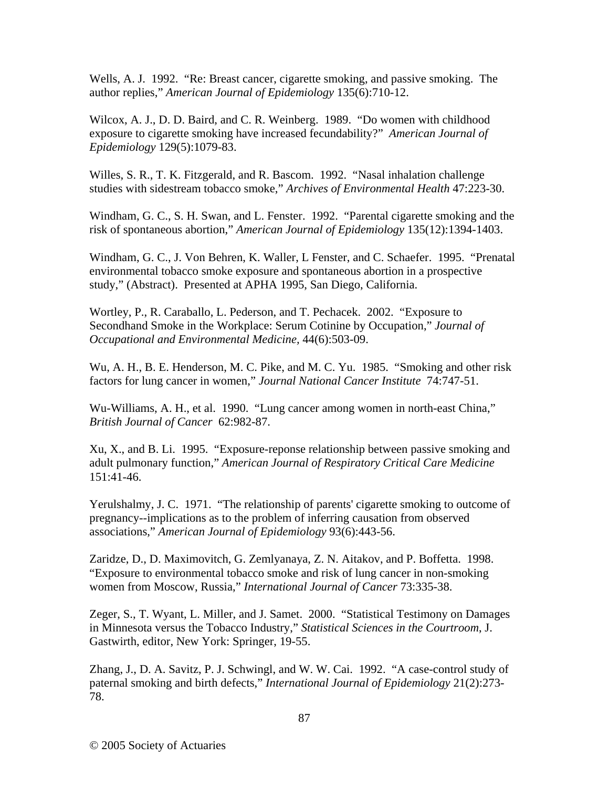Wells, A. J. 1992. "Re: Breast cancer, cigarette smoking, and passive smoking. The author replies," *American Journal of Epidemiology* 135(6):710-12.

Wilcox, A. J., D. D. Baird, and C. R. Weinberg. 1989. "Do women with childhood exposure to cigarette smoking have increased fecundability?" *American Journal of Epidemiology* 129(5):1079-83.

Willes, S. R., T. K. Fitzgerald, and R. Bascom. 1992. "Nasal inhalation challenge studies with sidestream tobacco smoke," *Archives of Environmental Health* 47:223-30.

Windham, G. C., S. H. Swan, and L. Fenster. 1992. "Parental cigarette smoking and the risk of spontaneous abortion," *American Journal of Epidemiology* 135(12):1394-1403.

Windham, G. C., J. Von Behren, K. Waller, L Fenster, and C. Schaefer. 1995. "Prenatal environmental tobacco smoke exposure and spontaneous abortion in a prospective study," (Abstract). Presented at APHA 1995, San Diego, California.

Wortley, P., R. Caraballo, L. Pederson, and T. Pechacek. 2002. "Exposure to Secondhand Smoke in the Workplace: Serum Cotinine by Occupation," *Journal of Occupational and Environmental Medicine,* 44(6):503-09.

Wu, A. H., B. E. Henderson, M. C. Pike, and M. C. Yu. 1985. "Smoking and other risk factors for lung cancer in women," *Journal National Cancer Institute* 74:747-51.

Wu-Williams, A. H., et al. 1990. "Lung cancer among women in north-east China," *British Journal of Cancer* 62:982-87.

Xu, X., and B. Li. 1995. "Exposure-reponse relationship between passive smoking and adult pulmonary function," *American Journal of Respiratory Critical Care Medicine* 151:41-46.

Yerulshalmy, J. C. 1971. "The relationship of parents' cigarette smoking to outcome of pregnancy--implications as to the problem of inferring causation from observed associations," *American Journal of Epidemiology* 93(6):443-56.

Zaridze, D., D. Maximovitch, G. Zemlyanaya, Z. N. Aitakov, and P. Boffetta. 1998. "Exposure to environmental tobacco smoke and risk of lung cancer in non-smoking women from Moscow, Russia," *International Journal of Cancer* 73:335-38.

Zeger, S., T. Wyant, L. Miller, and J. Samet. 2000. "Statistical Testimony on Damages in Minnesota versus the Tobacco Industry," *Statistical Sciences in the Courtroom*, J. Gastwirth, editor, New York: Springer, 19-55.

Zhang, J., D. A. Savitz, P. J. Schwingl, and W. W. Cai. 1992. "A case-control study of paternal smoking and birth defects," *International Journal of Epidemiology* 21(2):273- 78.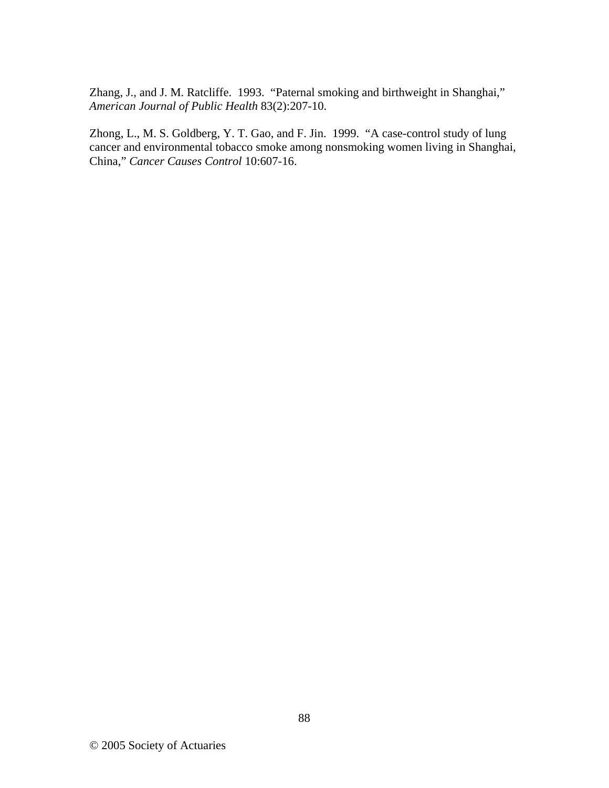Zhang, J., and J. M. Ratcliffe. 1993. "Paternal smoking and birthweight in Shanghai," *American Journal of Public Health* 83(2):207-10.

Zhong, L., M. S. Goldberg, Y. T. Gao, and F. Jin. 1999. "A case-control study of lung cancer and environmental tobacco smoke among nonsmoking women living in Shanghai, China," *Cancer Causes Control* 10:607-16.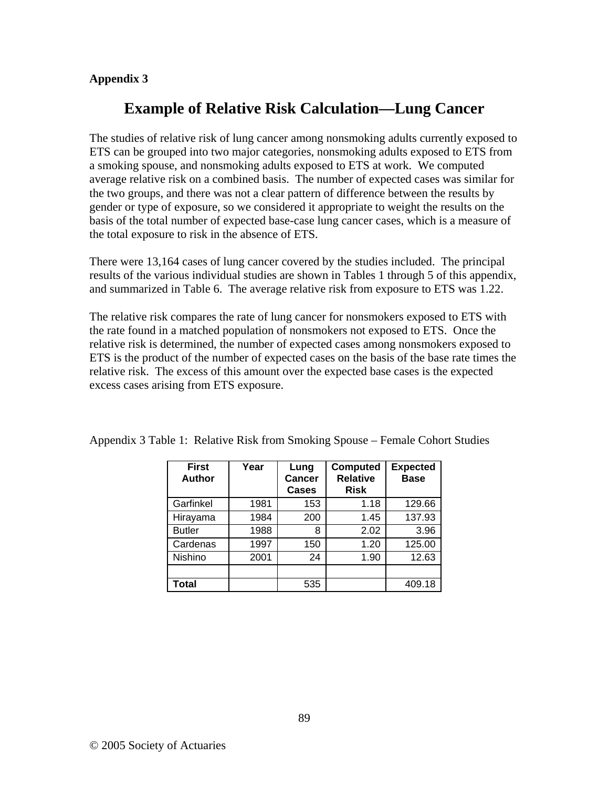## **Appendix 3**

# **Example of Relative Risk Calculation—Lung Cancer**

The studies of relative risk of lung cancer among nonsmoking adults currently exposed to ETS can be grouped into two major categories, nonsmoking adults exposed to ETS from a smoking spouse, and nonsmoking adults exposed to ETS at work. We computed average relative risk on a combined basis. The number of expected cases was similar for the two groups, and there was not a clear pattern of difference between the results by gender or type of exposure, so we considered it appropriate to weight the results on the basis of the total number of expected base-case lung cancer cases, which is a measure of the total exposure to risk in the absence of ETS.

There were 13,164 cases of lung cancer covered by the studies included. The principal results of the various individual studies are shown in Tables 1 through 5 of this appendix, and summarized in Table 6. The average relative risk from exposure to ETS was 1.22.

The relative risk compares the rate of lung cancer for nonsmokers exposed to ETS with the rate found in a matched population of nonsmokers not exposed to ETS. Once the relative risk is determined, the number of expected cases among nonsmokers exposed to ETS is the product of the number of expected cases on the basis of the base rate times the relative risk. The excess of this amount over the expected base cases is the expected excess cases arising from ETS exposure.

| <b>First</b><br><b>Author</b> | Year | Lung<br><b>Cancer</b><br><b>Cases</b> | <b>Computed</b><br><b>Relative</b><br><b>Risk</b> | <b>Expected</b><br><b>Base</b> |
|-------------------------------|------|---------------------------------------|---------------------------------------------------|--------------------------------|
| Garfinkel                     | 1981 | 153                                   | 1.18                                              | 129.66                         |
| Hirayama                      | 1984 | 200                                   | 1.45                                              | 137.93                         |
| <b>Butler</b>                 | 1988 | 8                                     | 2.02                                              | 3.96                           |
| Cardenas                      | 1997 | 150                                   | 1.20                                              | 125.00                         |
| Nishino                       | 2001 | 24                                    | 1.90                                              | 12.63                          |
|                               |      |                                       |                                                   |                                |
| Total                         |      | 535                                   |                                                   | 409.18                         |

Appendix 3 Table 1: Relative Risk from Smoking Spouse – Female Cohort Studies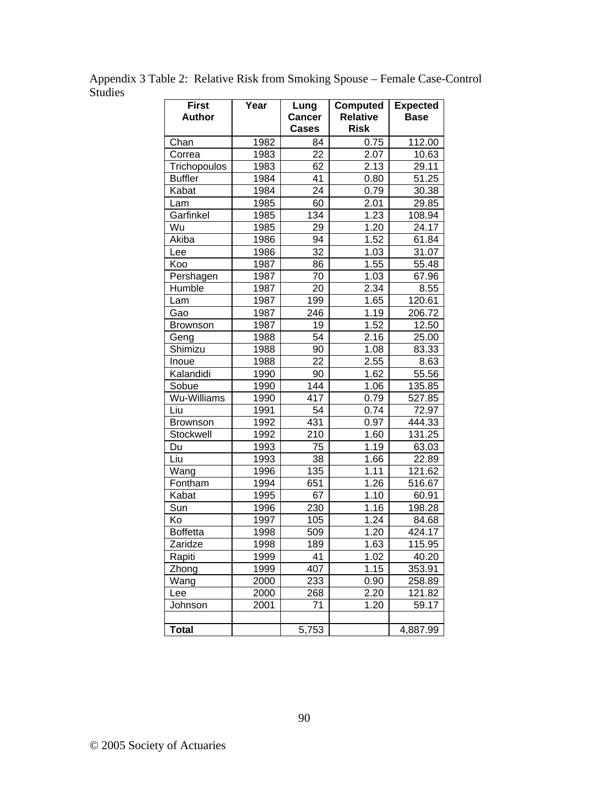| <b>First</b><br><b>Author</b> | Year | Lung<br><b>Cancer</b><br><b>Cases</b> | <b>Computed</b><br><b>Relative</b><br><b>Risk</b> | <b>Expected</b><br><b>Base</b> |
|-------------------------------|------|---------------------------------------|---------------------------------------------------|--------------------------------|
| Chan                          | 1982 | 84                                    | 0.75                                              | 112.00                         |
| Correa                        | 1983 | 22                                    | 2.07                                              | 10.63                          |
| Trichopoulos                  | 1983 | 62                                    | 2.13                                              | 29.11                          |
| <b>Buffler</b>                | 1984 | 41                                    | 0.80                                              | 51.25                          |
| Kabat                         | 1984 | 24                                    | 0.79                                              | 30.38                          |
| Lam                           | 1985 | 60                                    | 2.01                                              | 29.85                          |
| Garfinkel                     | 1985 | 134                                   | 1.23                                              | 108.94                         |
| Wu                            | 1985 | 29                                    | 1.20                                              | 24.17                          |
| Akiba                         | 1986 | 94                                    | 1.52                                              | 61.84                          |
| Lee                           | 1986 | 32                                    | 1.03                                              | 31.07                          |
| Koo                           | 1987 | 86                                    | 1.55                                              | 55.48                          |
| Pershagen                     | 1987 | 70                                    | 1.03                                              | 67.96                          |
| Humble                        | 1987 | 20                                    | 2.34                                              | 8.55                           |
| Lam                           | 1987 | 199                                   | 1.65                                              | 120.61                         |
| Gao                           | 1987 | 246                                   | 1.19                                              | 206.72                         |
| Brownson                      | 1987 | 19                                    | 1.52                                              | 12.50                          |
| Geng                          | 1988 | 54                                    | 2.16                                              | 25.00                          |
| Shimizu                       | 1988 | 90                                    | 1.08                                              | 83.33                          |
| Inoue                         | 1988 | $\overline{22}$                       | 2.55                                              | 8.63                           |
| Kalandidi                     | 1990 | 90                                    | 1.62                                              | 55.56                          |
| Sobue                         | 1990 | 144                                   | 1.06                                              | 135.85                         |
| Wu-Williams                   | 1990 | 417                                   | 0.79                                              | 527.85                         |
| Liu                           | 1991 | 54                                    | 0.74                                              | 72.97                          |
| <b>Brownson</b>               | 1992 | 431                                   | 0.97                                              | 444.33                         |
| Stockwell                     | 1992 | 210                                   | 1.60                                              | 131.25                         |
| Du                            | 1993 | 75                                    | 1.19                                              | 63.03                          |
| Liu                           | 1993 | 38                                    | 1.66                                              | 22.89                          |
| Wang                          | 1996 | 135                                   | 1.11                                              | 121.62                         |
| Fontham                       | 1994 | 651                                   | 1.26                                              | 516.67                         |
| Kabat                         | 1995 | 67                                    | 1.10                                              | 60.91                          |
| Sun                           | 1996 | 230                                   | 1.16                                              | 198.28                         |
| Ko                            | 1997 | 105                                   | 1.24                                              | 84.68                          |
| <b>Boffetta</b>               | 1998 | 509                                   | 1.20                                              | 424.17                         |
| Zaridze                       | 1998 | 189                                   | 1.63                                              | 115.95                         |
| Rapiti                        | 1999 | 41                                    | 1.02                                              | 40.20                          |
| Zhong                         | 1999 | 407                                   | 1.15                                              | 353.91                         |
| Wang                          | 2000 | 233                                   | 0.90                                              | 258.89                         |
| Lee                           | 2000 | 268                                   | 2.20                                              | 121.82                         |
| Johnson                       | 2001 | 71                                    | 1.20                                              | 59.17                          |
| <b>Total</b>                  |      | 5,753                                 |                                                   | 4,887.99                       |

Appendix 3 Table 2: Relative Risk from Smoking Spouse – Female Case-Control Studies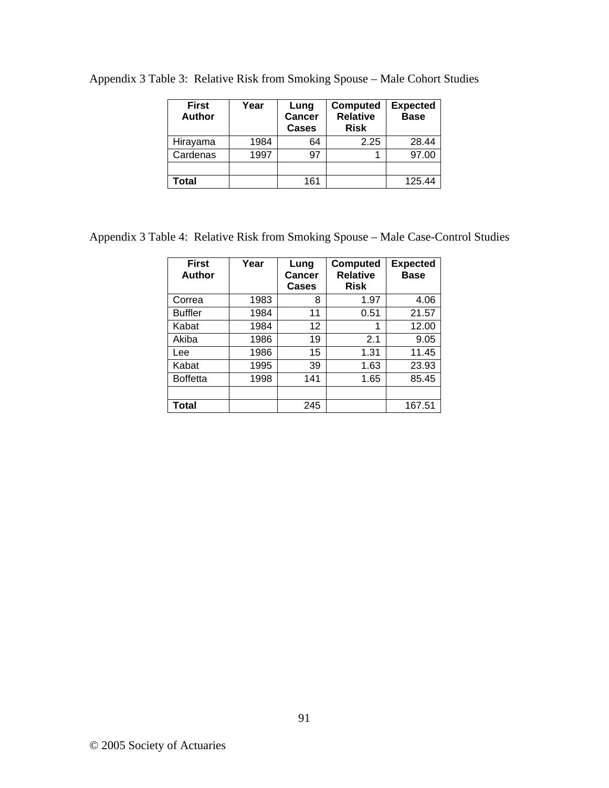| <b>First</b><br><b>Author</b> | Year | Lung<br><b>Cancer</b><br><b>Cases</b> | <b>Computed</b><br><b>Relative</b><br><b>Risk</b> | <b>Expected</b><br><b>Base</b> |
|-------------------------------|------|---------------------------------------|---------------------------------------------------|--------------------------------|
| Hirayama                      | 1984 | 64                                    | 2.25                                              | 28.44                          |
| Cardenas                      | 1997 | 97                                    |                                                   | 97.00                          |
|                               |      |                                       |                                                   |                                |
| Total                         |      | 161                                   |                                                   | 125.44                         |

Appendix 3 Table 3: Relative Risk from Smoking Spouse – Male Cohort Studies

Appendix 3 Table 4: Relative Risk from Smoking Spouse – Male Case-Control Studies

| <b>First</b><br>Author | Year | Lung<br>Cancer<br>Cases | <b>Computed</b><br><b>Relative</b><br><b>Risk</b> | <b>Expected</b><br><b>Base</b> |
|------------------------|------|-------------------------|---------------------------------------------------|--------------------------------|
| Correa                 | 1983 | 8                       | 1.97                                              | 4.06                           |
| <b>Buffler</b>         | 1984 | 11                      | 0.51                                              | 21.57                          |
| Kabat                  | 1984 | 12                      | 1                                                 | 12.00                          |
| Akiba                  | 1986 | 19                      | 2.1                                               | 9.05                           |
| Lee                    | 1986 | 15                      | 1.31                                              | 11.45                          |
| Kabat                  | 1995 | 39                      | 1.63                                              | 23.93                          |
| <b>Boffetta</b>        | 1998 | 141                     | 1.65                                              | 85.45                          |
|                        |      |                         |                                                   |                                |
| Total                  |      | 245                     |                                                   | 167.51                         |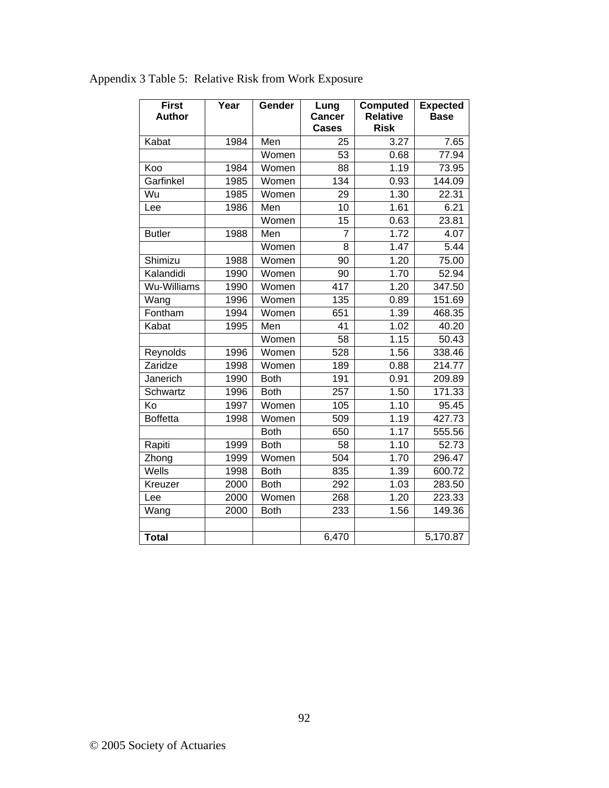| <b>First</b><br><b>Author</b> | Year | Gender      | Lung<br><b>Cancer</b><br><b>Cases</b> | <b>Computed</b><br><b>Relative</b><br><b>Risk</b> | <b>Expected</b><br><b>Base</b> |
|-------------------------------|------|-------------|---------------------------------------|---------------------------------------------------|--------------------------------|
| Kabat                         | 1984 | Men         | 25                                    | 3.27                                              | 7.65                           |
|                               |      | Women       | 53                                    | 0.68                                              | 77.94                          |
| Koo                           | 1984 | Women       | 88                                    | 1.19                                              | 73.95                          |
| Garfinkel                     | 1985 | Women       | 134                                   | 0.93                                              | 144.09                         |
| Wu                            | 1985 | Women       | 29                                    | 1.30                                              | 22.31                          |
| Lee                           | 1986 | Men         | 10                                    | 1.61                                              | 6.21                           |
|                               |      | Women       | 15                                    | 0.63                                              | 23.81                          |
| <b>Butler</b>                 | 1988 | Men         | $\overline{7}$                        | 1.72                                              | 4.07                           |
|                               |      | Women       | 8                                     | 1.47                                              | 5.44                           |
| Shimizu                       | 1988 | Women       | 90                                    | 1.20                                              | 75.00                          |
| Kalandidi                     | 1990 | Women       | 90                                    | 1.70                                              | 52.94                          |
| Wu-Williams                   | 1990 | Women       | $\overline{417}$                      | 1.20                                              | 347.50                         |
| Wang                          | 1996 | Women       | 135                                   | 0.89                                              | 151.69                         |
| Fontham                       | 1994 | Women       | 651                                   | 1.39                                              | 468.35                         |
| Kabat                         | 1995 | Men         | 41                                    | 1.02                                              | 40.20                          |
|                               |      | Women       | 58                                    | 1.15                                              | 50.43                          |
| Reynolds                      | 1996 | Women       | 528                                   | 1.56                                              | 338.46                         |
| Zaridze                       | 1998 | Women       | 189                                   | 0.88                                              | 214.77                         |
| Janerich                      | 1990 | <b>Both</b> | 191                                   | 0.91                                              | 209.89                         |
| <b>Schwartz</b>               | 1996 | <b>Both</b> | 257                                   | 1.50                                              | 171.33                         |
| Ko                            | 1997 | Women       | 105                                   | 1.10                                              | 95.45                          |
| <b>Boffetta</b>               | 1998 | Women       | $\overline{509}$                      | 1.19                                              | 427.73                         |
|                               |      | <b>Both</b> | 650                                   | 1.17                                              | 555.56                         |
| Rapiti                        | 1999 | <b>Both</b> | 58                                    | 1.10                                              | 52.73                          |
| Zhong                         | 1999 | Women       | 504                                   | 1.70                                              | 296.47                         |
| Wells                         | 1998 | <b>Both</b> | 835                                   | 1.39                                              | 600.72                         |
| Kreuzer                       | 2000 | <b>Both</b> | 292                                   | 1.03                                              | 283.50                         |
| Lee                           | 2000 | Women       | 268                                   | 1.20                                              | 223.33                         |
| Wang                          | 2000 | <b>Both</b> | $\overline{233}$                      | 1.56                                              | 149.36                         |
|                               |      |             |                                       |                                                   |                                |
| <b>Total</b>                  |      |             | 6,470                                 |                                                   | 5,170.87                       |

Appendix 3 Table 5: Relative Risk from Work Exposure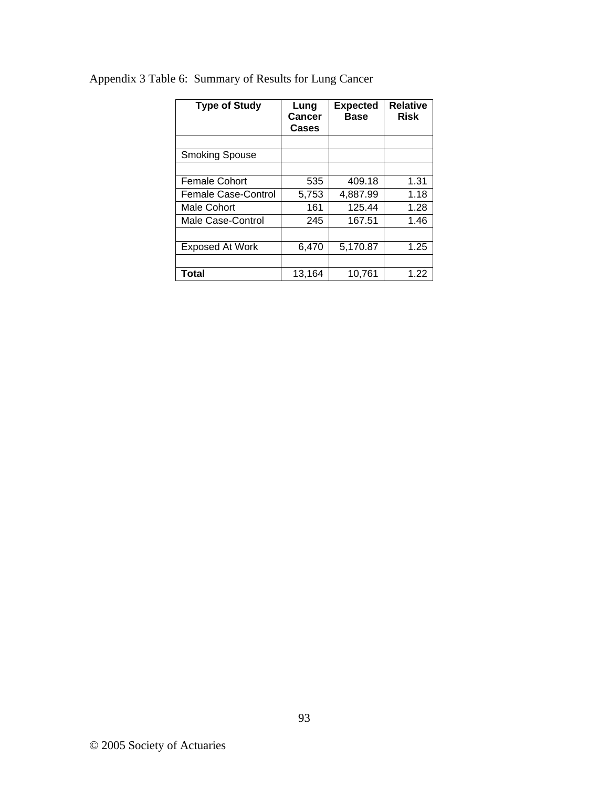| <b>Type of Study</b>   | Lung<br>Cancer<br><b>Cases</b> | <b>Expected</b><br><b>Base</b> | <b>Relative</b><br><b>Risk</b> |
|------------------------|--------------------------------|--------------------------------|--------------------------------|
|                        |                                |                                |                                |
| <b>Smoking Spouse</b>  |                                |                                |                                |
|                        |                                |                                |                                |
| <b>Female Cohort</b>   | 535                            | 409.18                         | 1.31                           |
| Female Case-Control    | 5,753                          | 4,887.99                       | 1.18                           |
| Male Cohort            | 161                            | 125.44                         | 1.28                           |
| Male Case-Control      | 245                            | 167.51                         | 1.46                           |
|                        |                                |                                |                                |
| <b>Exposed At Work</b> | 6,470                          | 5,170.87                       | 1.25                           |
|                        |                                |                                |                                |
| Total                  | 13,164                         | 10.761                         | 1.22                           |

# Appendix 3 Table 6: Summary of Results for Lung Cancer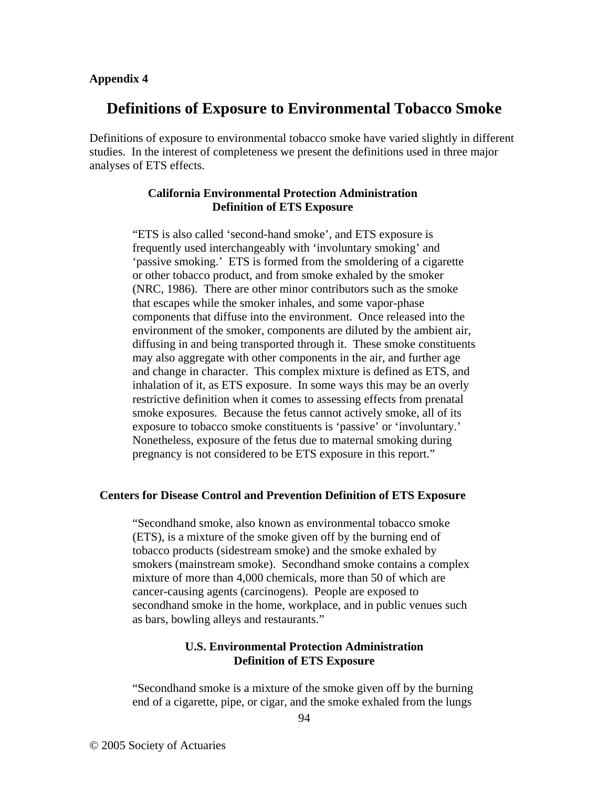#### **Appendix 4**

# **Definitions of Exposure to Environmental Tobacco Smoke**

Definitions of exposure to environmental tobacco smoke have varied slightly in different studies. In the interest of completeness we present the definitions used in three major analyses of ETS effects.

## **California Environmental Protection Administration Definition of ETS Exposure**

"ETS is also called 'second-hand smoke', and ETS exposure is frequently used interchangeably with 'involuntary smoking' and 'passive smoking.' ETS is formed from the smoldering of a cigarette or other tobacco product, and from smoke exhaled by the smoker (NRC, 1986). There are other minor contributors such as the smoke that escapes while the smoker inhales, and some vapor-phase components that diffuse into the environment. Once released into the environment of the smoker, components are diluted by the ambient air, diffusing in and being transported through it. These smoke constituents may also aggregate with other components in the air, and further age and change in character. This complex mixture is defined as ETS, and inhalation of it, as ETS exposure. In some ways this may be an overly restrictive definition when it comes to assessing effects from prenatal smoke exposures. Because the fetus cannot actively smoke, all of its exposure to tobacco smoke constituents is 'passive' or 'involuntary.' Nonetheless, exposure of the fetus due to maternal smoking during pregnancy is not considered to be ETS exposure in this report."

### **Centers for Disease Control and Prevention Definition of ETS Exposure**

"Secondhand smoke, also known as environmental tobacco smoke (ETS), is a mixture of the smoke given off by the burning end of tobacco products (sidestream smoke) and the smoke exhaled by smokers (mainstream smoke). Secondhand smoke contains a complex mixture of more than 4,000 chemicals, more than 50 of which are cancer-causing agents (carcinogens). People are exposed to secondhand smoke in the home, workplace, and in public venues such as bars, bowling alleys and restaurants."

## **U.S. Environmental Protection Administration Definition of ETS Exposure**

"Secondhand smoke is a mixture of the smoke given off by the burning end of a cigarette, pipe, or cigar, and the smoke exhaled from the lungs